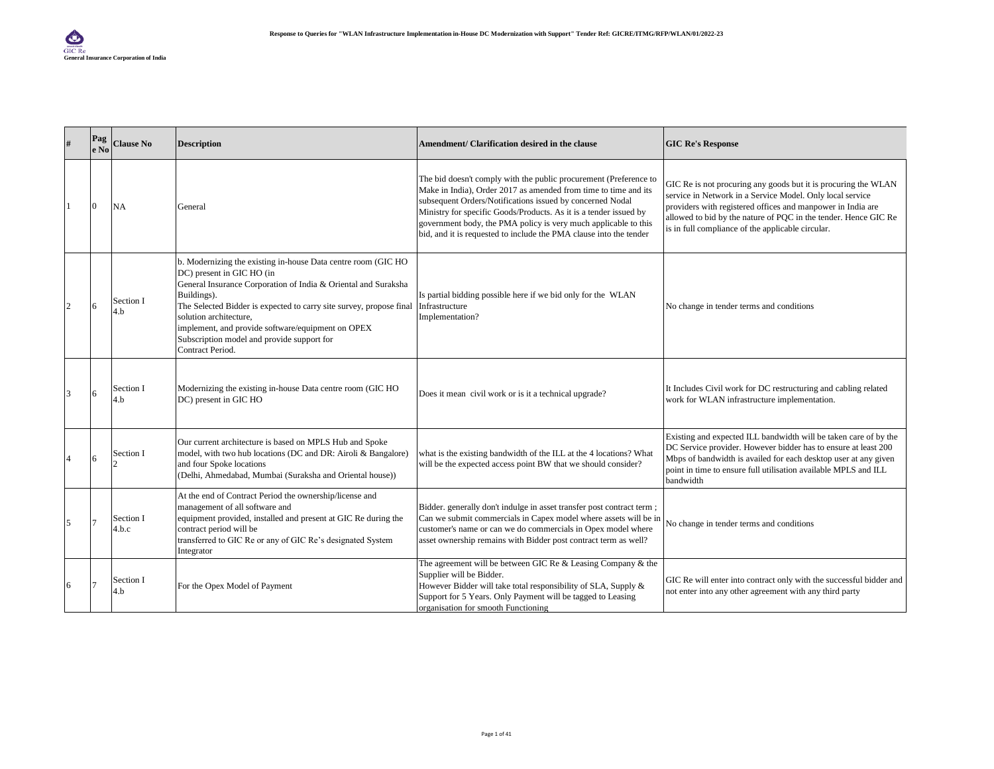| #              | Pag<br>e No | <b>Clause No</b>   | <b>Description</b>                                                                                                                                                                                                                                                                                                                                                                                  | Amendment/ Clarification desired in the clause                                                                                                                                                                                                                                                                                                                                                                  | <b>GIC Re's Response</b>                                                                                                                                                                                                                                                                                           |
|----------------|-------------|--------------------|-----------------------------------------------------------------------------------------------------------------------------------------------------------------------------------------------------------------------------------------------------------------------------------------------------------------------------------------------------------------------------------------------------|-----------------------------------------------------------------------------------------------------------------------------------------------------------------------------------------------------------------------------------------------------------------------------------------------------------------------------------------------------------------------------------------------------------------|--------------------------------------------------------------------------------------------------------------------------------------------------------------------------------------------------------------------------------------------------------------------------------------------------------------------|
|                | Iθ          | NA                 | General                                                                                                                                                                                                                                                                                                                                                                                             | The bid doesn't comply with the public procurement (Preference to<br>Make in India), Order 2017 as amended from time to time and its<br>subsequent Orders/Notifications issued by concerned Nodal<br>Ministry for specific Goods/Products. As it is a tender issued by<br>government body, the PMA policy is very much applicable to this<br>bid, and it is requested to include the PMA clause into the tender | GIC Re is not procuring any goods but it is procuring the WLAN<br>service in Network in a Service Model. Only local service<br>providers with registered offices and manpower in India are<br>allowed to bid by the nature of PQC in the tender. Hence GIC Re<br>is in full compliance of the applicable circular. |
| $\overline{c}$ | 16          | Section I<br>4.b   | b. Modernizing the existing in-house Data centre room (GIC HO<br>DC) present in GIC HO (in<br>General Insurance Corporation of India & Oriental and Suraksha<br>Buildings).<br>The Selected Bidder is expected to carry site survey, propose final<br>solution architecture,<br>implement, and provide software/equipment on OPEX<br>Subscription model and provide support for<br>Contract Period. | Is partial bidding possible here if we bid only for the WLAN<br>Infrastructure<br>Implementation?                                                                                                                                                                                                                                                                                                               | No change in tender terms and conditions                                                                                                                                                                                                                                                                           |
| 3              | 16          | Section I<br>4.b   | Modernizing the existing in-house Data centre room (GIC HO<br>DC) present in GIC HO                                                                                                                                                                                                                                                                                                                 | Does it mean civil work or is it a technical upgrade?                                                                                                                                                                                                                                                                                                                                                           | It Includes Civil work for DC restructuring and cabling related<br>work for WLAN infrastructure implementation.                                                                                                                                                                                                    |
| 4              | 6           | Section I          | Our current architecture is based on MPLS Hub and Spoke<br>model, with two hub locations (DC and DR: Airoli & Bangalore)<br>and four Spoke locations<br>(Delhi, Ahmedabad, Mumbai (Suraksha and Oriental house))                                                                                                                                                                                    | what is the existing bandwidth of the ILL at the 4 locations? What<br>will be the expected access point BW that we should consider?                                                                                                                                                                                                                                                                             | Existing and expected ILL bandwidth will be taken care of by the<br>DC Service provider. However bidder has to ensure at least 200<br>Mbps of bandwidth is availed for each desktop user at any given<br>point in time to ensure full utilisation available MPLS and ILL<br>bandwidth                              |
| 5              |             | Section I<br>4.b.c | At the end of Contract Period the ownership/license and<br>management of all software and<br>equipment provided, installed and present at GIC Re during the<br>contract period will be<br>transferred to GIC Re or any of GIC Re's designated System<br>Integrator                                                                                                                                  | Bidder. generally don't indulge in asset transfer post contract term;<br>Can we submit commercials in Capex model where assets will be in<br>customer's name or can we do commercials in Opex model where<br>asset ownership remains with Bidder post contract term as well?                                                                                                                                    | No change in tender terms and conditions                                                                                                                                                                                                                                                                           |
| 6              |             | Section I<br>4.b   | For the Opex Model of Payment                                                                                                                                                                                                                                                                                                                                                                       | The agreement will be between GIC Re $&$ Leasing Company $&$ the<br>Supplier will be Bidder.<br>However Bidder will take total responsibility of SLA, Supply &<br>Support for 5 Years. Only Payment will be tagged to Leasing<br>organisation for smooth Functioning                                                                                                                                            | GIC Re will enter into contract only with the successful bidder and<br>not enter into any other agreement with any third party                                                                                                                                                                                     |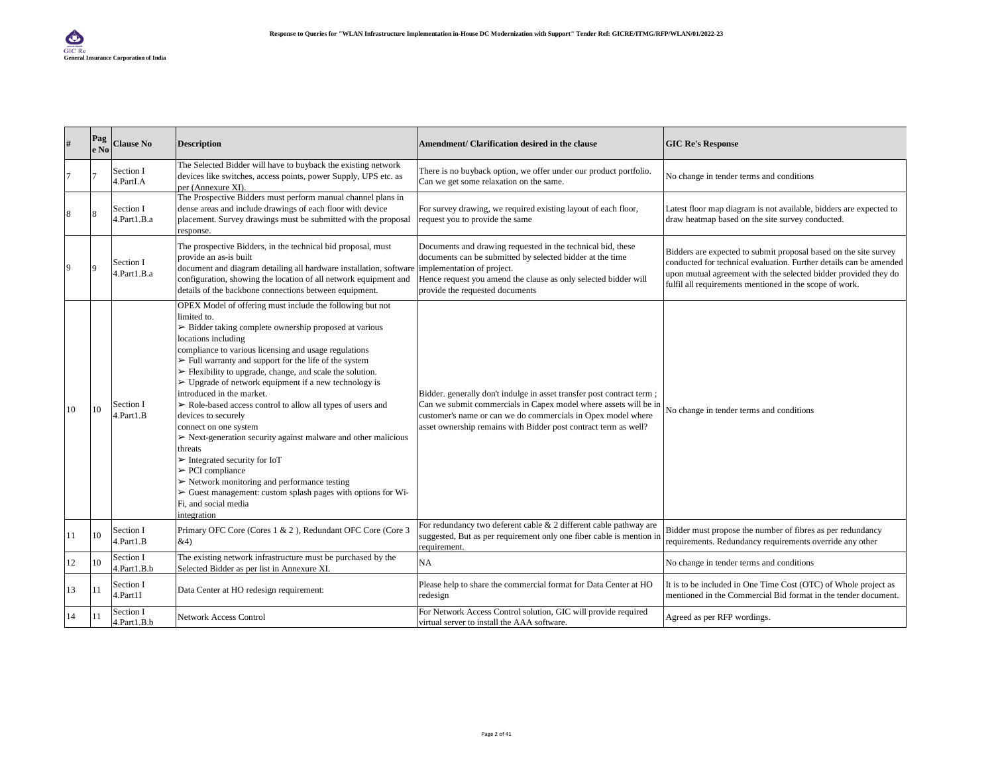| $\#$ | Pag<br>e No | <b>Clause No</b>         | <b>Description</b>                                                                                                                                                                                                                                                                                                                                                                                                                                                                                                                                                                                                                                                                                                                                                                                                                                                                                                                                                             | Amendment/ Clarification desired in the clause                                                                                                                                                                                                                               | <b>GIC Re's Response</b>                                                                                                                                                                                                                                             |
|------|-------------|--------------------------|--------------------------------------------------------------------------------------------------------------------------------------------------------------------------------------------------------------------------------------------------------------------------------------------------------------------------------------------------------------------------------------------------------------------------------------------------------------------------------------------------------------------------------------------------------------------------------------------------------------------------------------------------------------------------------------------------------------------------------------------------------------------------------------------------------------------------------------------------------------------------------------------------------------------------------------------------------------------------------|------------------------------------------------------------------------------------------------------------------------------------------------------------------------------------------------------------------------------------------------------------------------------|----------------------------------------------------------------------------------------------------------------------------------------------------------------------------------------------------------------------------------------------------------------------|
|      |             | Section I<br>4.PartI.A   | The Selected Bidder will have to buyback the existing network<br>devices like switches, access points, power Supply, UPS etc. as<br>per (Annexure XI).                                                                                                                                                                                                                                                                                                                                                                                                                                                                                                                                                                                                                                                                                                                                                                                                                         | There is no buyback option, we offer under our product portfolio.<br>Can we get some relaxation on the same.                                                                                                                                                                 | No change in tender terms and conditions                                                                                                                                                                                                                             |
| 8    |             | Section I<br>4.Part1.B.a | The Prospective Bidders must perform manual channel plans in<br>dense areas and include drawings of each floor with device<br>placement. Survey drawings must be submitted with the proposal<br>esponse.                                                                                                                                                                                                                                                                                                                                                                                                                                                                                                                                                                                                                                                                                                                                                                       | For survey drawing, we required existing layout of each floor,<br>request you to provide the same                                                                                                                                                                            | Latest floor map diagram is not available, bidders are expected to<br>draw heatmap based on the site survey conducted.                                                                                                                                               |
| 9    |             | Section I<br>4.Part1.B.a | The prospective Bidders, in the technical bid proposal, must<br>provide an as-is built<br>document and diagram detailing all hardware installation, software<br>configuration, showing the location of all network equipment and<br>details of the backbone connections between equipment.                                                                                                                                                                                                                                                                                                                                                                                                                                                                                                                                                                                                                                                                                     | Documents and drawing requested in the technical bid, these<br>documents can be submitted by selected bidder at the time<br>implementation of project.<br>Hence request you amend the clause as only selected bidder will<br>provide the requested documents                 | Bidders are expected to submit proposal based on the site survey<br>conducted for technical evaluation. Further details can be amended<br>upon mutual agreement with the selected bidder provided they do<br>fulfil all requirements mentioned in the scope of work. |
| 10   | 10          | Section I<br>4.Part1.B   | OPEX Model of offering must include the following but not<br>limited to.<br>$\triangleright$ Bidder taking complete ownership proposed at various<br>locations including<br>compliance to various licensing and usage regulations<br>$\triangleright$ Full warranty and support for the life of the system<br>$\triangleright$ Flexibility to upgrade, change, and scale the solution.<br>$\triangleright$ Upgrade of network equipment if a new technology is<br>introduced in the market.<br>> Role-based access control to allow all types of users and<br>devices to securely<br>connect on one system<br>$\triangleright$ Next-generation security against malware and other malicious<br>threats<br>$\triangleright$ Integrated security for IoT<br>$\triangleright$ PCI compliance<br>$\triangleright$ Network monitoring and performance testing<br>$\triangleright$ Guest management: custom splash pages with options for Wi-<br>Fi, and social media<br>integration | Bidder. generally don't indulge in asset transfer post contract term;<br>Can we submit commercials in Capex model where assets will be in<br>customer's name or can we do commercials in Opex model where<br>asset ownership remains with Bidder post contract term as well? | No change in tender terms and conditions                                                                                                                                                                                                                             |
| 11   | 10          | Section I<br>4.Part1.B   | Primary OFC Core (Cores 1 & 2), Redundant OFC Core (Core 3<br>&4)                                                                                                                                                                                                                                                                                                                                                                                                                                                                                                                                                                                                                                                                                                                                                                                                                                                                                                              | For redundancy two deferent cable $& 2$ different cable pathway are<br>suggested, But as per requirement only one fiber cable is mention in<br>requirement.                                                                                                                  | Bidder must propose the number of fibres as per redundancy<br>requirements. Redundancy requirements override any other                                                                                                                                               |
| 12   | 10          | Section I<br>4.Part1.B.b | The existing network infrastructure must be purchased by the<br>Selected Bidder as per list in Annexure XI.                                                                                                                                                                                                                                                                                                                                                                                                                                                                                                                                                                                                                                                                                                                                                                                                                                                                    | <b>NA</b>                                                                                                                                                                                                                                                                    | No change in tender terms and conditions                                                                                                                                                                                                                             |
| 13   | 11          | Section I<br>4.Part1I    | Data Center at HO redesign requirement:                                                                                                                                                                                                                                                                                                                                                                                                                                                                                                                                                                                                                                                                                                                                                                                                                                                                                                                                        | Please help to share the commercial format for Data Center at HO<br>redesign                                                                                                                                                                                                 | It is to be included in One Time Cost (OTC) of Whole project as<br>mentioned in the Commercial Bid format in the tender document.                                                                                                                                    |
| 14   | 11          | Section I<br>4.Part1.B.b | <b>Network Access Control</b>                                                                                                                                                                                                                                                                                                                                                                                                                                                                                                                                                                                                                                                                                                                                                                                                                                                                                                                                                  | For Network Access Control solution, GIC will provide required<br>virtual server to install the AAA software.                                                                                                                                                                | Agreed as per RFP wordings.                                                                                                                                                                                                                                          |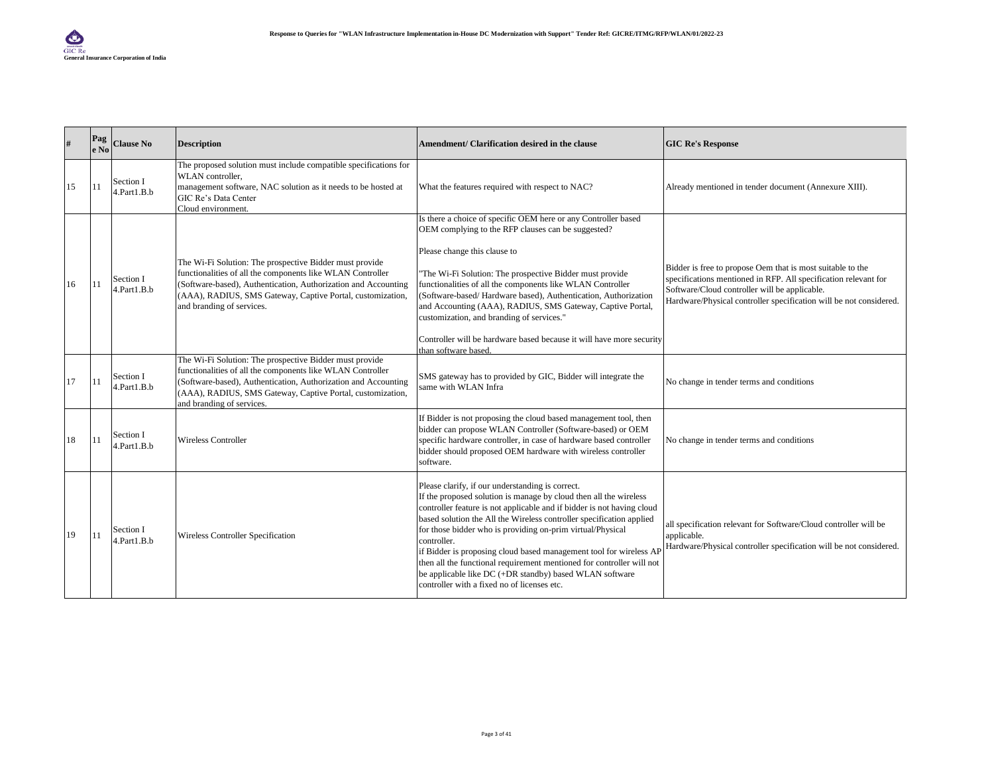| $\#$ | Pag<br>e No | <b>Clause No</b>         | <b>Description</b>                                                                                                                                                                                                                                                                 | Amendment/ Clarification desired in the clause                                                                                                                                                                                                                                                                                                                                                                                                                                                                                                                                                                | <b>GIC Re's Response</b>                                                                                                                                                                                                                             |
|------|-------------|--------------------------|------------------------------------------------------------------------------------------------------------------------------------------------------------------------------------------------------------------------------------------------------------------------------------|---------------------------------------------------------------------------------------------------------------------------------------------------------------------------------------------------------------------------------------------------------------------------------------------------------------------------------------------------------------------------------------------------------------------------------------------------------------------------------------------------------------------------------------------------------------------------------------------------------------|------------------------------------------------------------------------------------------------------------------------------------------------------------------------------------------------------------------------------------------------------|
| 15   | 11          | Section I<br>4.Part1.B.b | The proposed solution must include compatible specifications for<br>WLAN controller.<br>management software, NAC solution as it needs to be hosted at<br>GIC Re's Data Center<br>Cloud environment.                                                                                | What the features required with respect to NAC?                                                                                                                                                                                                                                                                                                                                                                                                                                                                                                                                                               | Already mentioned in tender document (Annexure XIII).                                                                                                                                                                                                |
| 16   | 11          | Section I<br>4.Part1.B.b | The Wi-Fi Solution: The prospective Bidder must provide<br>functionalities of all the components like WLAN Controller<br>(Software-based), Authentication, Authorization and Accounting<br>(AAA), RADIUS, SMS Gateway, Captive Portal, customization,<br>and branding of services. | Is there a choice of specific OEM here or any Controller based<br>OEM complying to the RFP clauses can be suggested?<br>Please change this clause to<br>"The Wi-Fi Solution: The prospective Bidder must provide<br>functionalities of all the components like WLAN Controller<br>(Software-based/Hardware based), Authentication, Authorization<br>and Accounting (AAA), RADIUS, SMS Gateway, Captive Portal,<br>customization, and branding of services."<br>Controller will be hardware based because it will have more security<br>than software based.                                                   | Bidder is free to propose Oem that is most suitable to the<br>specifications mentioned in RFP. All specification relevant for<br>Software/Cloud controller will be applicable.<br>Hardware/Physical controller specification will be not considered. |
| 17   | 11          | Section I<br>4.Part1.B.b | The Wi-Fi Solution: The prospective Bidder must provide<br>functionalities of all the components like WLAN Controller<br>(Software-based), Authentication, Authorization and Accounting<br>(AAA), RADIUS, SMS Gateway, Captive Portal, customization,<br>and branding of services. | SMS gateway has to provided by GIC, Bidder will integrate the<br>same with WLAN Infra                                                                                                                                                                                                                                                                                                                                                                                                                                                                                                                         | No change in tender terms and conditions                                                                                                                                                                                                             |
| 18   | 11          | Section I<br>4.Part1.B.b | <b>Wireless Controller</b>                                                                                                                                                                                                                                                         | If Bidder is not proposing the cloud based management tool, then<br>bidder can propose WLAN Controller (Software-based) or OEM<br>specific hardware controller, in case of hardware based controller<br>bidder should proposed OEM hardware with wireless controller<br>software.                                                                                                                                                                                                                                                                                                                             | No change in tender terms and conditions                                                                                                                                                                                                             |
| 19   | 11          | Section I<br>4.Part1.B.b | <b>Wireless Controller Specification</b>                                                                                                                                                                                                                                           | Please clarify, if our understanding is correct.<br>If the proposed solution is manage by cloud then all the wireless<br>controller feature is not applicable and if bidder is not having cloud<br>based solution the All the Wireless controller specification applied<br>for those bidder who is providing on-prim virtual/Physical<br>controller.<br>if Bidder is proposing cloud based management tool for wireless AF<br>then all the functional requirement mentioned for controller will not<br>be applicable like DC (+DR standby) based WLAN software<br>controller with a fixed no of licenses etc. | all specification relevant for Software/Cloud controller will be<br>applicable.<br>Hardware/Physical controller specification will be not considered.                                                                                                |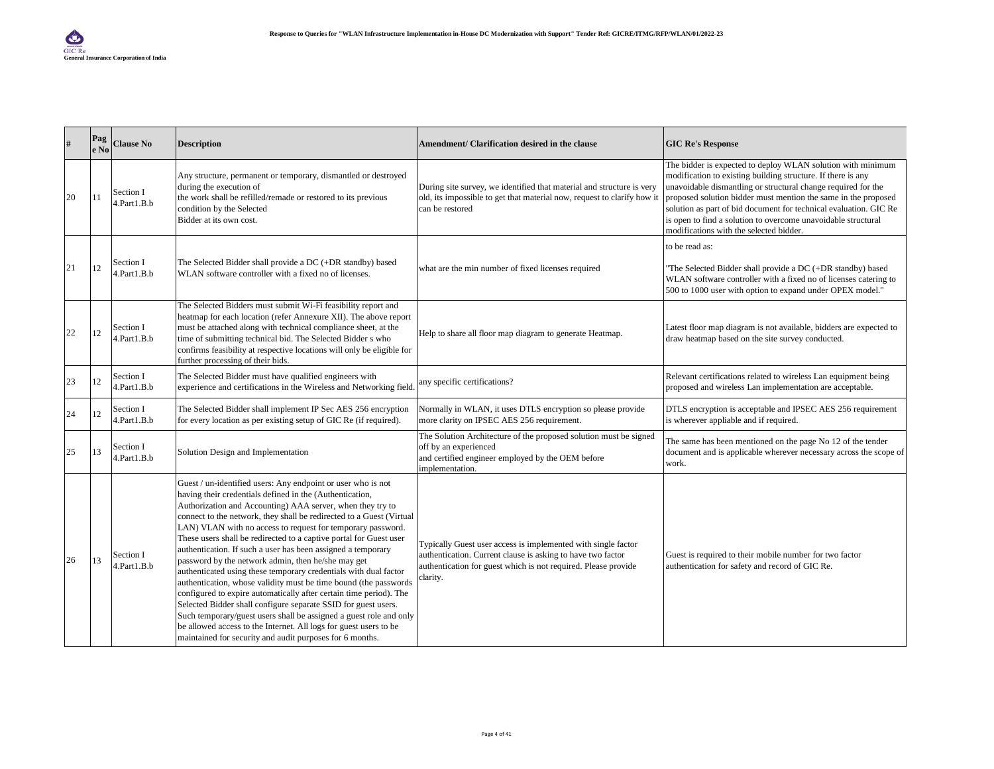| #  | Pag<br>e No | <b>Clause No</b>         | <b>Description</b>                                                                                                                                                                                                                                                                                                                                                                                                                                                                                                                                                                                                                                                                                                                                                                                                                                                                                                                                                                                               | Amendment/ Clarification desired in the clause                                                                                                                                                             | <b>GIC Re's Response</b>                                                                                                                                                                                                                                                                                                                                                                                                                        |
|----|-------------|--------------------------|------------------------------------------------------------------------------------------------------------------------------------------------------------------------------------------------------------------------------------------------------------------------------------------------------------------------------------------------------------------------------------------------------------------------------------------------------------------------------------------------------------------------------------------------------------------------------------------------------------------------------------------------------------------------------------------------------------------------------------------------------------------------------------------------------------------------------------------------------------------------------------------------------------------------------------------------------------------------------------------------------------------|------------------------------------------------------------------------------------------------------------------------------------------------------------------------------------------------------------|-------------------------------------------------------------------------------------------------------------------------------------------------------------------------------------------------------------------------------------------------------------------------------------------------------------------------------------------------------------------------------------------------------------------------------------------------|
| 20 | 11          | Section I<br>4.Part1.B.b | Any structure, permanent or temporary, dismantled or destroyed<br>during the execution of<br>the work shall be refilled/remade or restored to its previous<br>condition by the Selected<br>Bidder at its own cost.                                                                                                                                                                                                                                                                                                                                                                                                                                                                                                                                                                                                                                                                                                                                                                                               | During site survey, we identified that material and structure is very<br>old, its impossible to get that material now, request to clarify how it<br>can be restored                                        | The bidder is expected to deploy WLAN solution with minimum<br>modification to existing building structure. If there is any<br>unavoidable dismantling or structural change required for the<br>proposed solution bidder must mention the same in the proposed<br>solution as part of bid document for technical evaluation. GIC Re<br>is open to find a solution to overcome unavoidable structural<br>modifications with the selected bidder. |
| 21 | 12          | Section I<br>l.Part1.B.b | The Selected Bidder shall provide a DC (+DR standby) based<br>WLAN software controller with a fixed no of licenses.                                                                                                                                                                                                                                                                                                                                                                                                                                                                                                                                                                                                                                                                                                                                                                                                                                                                                              | what are the min number of fixed licenses required                                                                                                                                                         | to be read as:<br>"The Selected Bidder shall provide a DC (+DR standby) based<br>WLAN software controller with a fixed no of licenses catering to<br>500 to 1000 user with option to expand under OPEX model."                                                                                                                                                                                                                                  |
| 22 | 12          | Section I<br>1.Part1.B.b | The Selected Bidders must submit Wi-Fi feasibility report and<br>heatmap for each location (refer Annexure XII). The above report<br>must be attached along with technical compliance sheet, at the<br>time of submitting technical bid. The Selected Bidder s who<br>confirms feasibility at respective locations will only be eligible for<br>further processing of their bids.                                                                                                                                                                                                                                                                                                                                                                                                                                                                                                                                                                                                                                | Help to share all floor map diagram to generate Heatmap.                                                                                                                                                   | Latest floor map diagram is not available, bidders are expected to<br>draw heatmap based on the site survey conducted.                                                                                                                                                                                                                                                                                                                          |
| 23 | 12          | Section I<br>4.Part1.B.b | The Selected Bidder must have qualified engineers with<br>experience and certifications in the Wireless and Networking field.                                                                                                                                                                                                                                                                                                                                                                                                                                                                                                                                                                                                                                                                                                                                                                                                                                                                                    | any specific certifications?                                                                                                                                                                               | Relevant certifications related to wireless Lan equipment being<br>proposed and wireless Lan implementation are acceptable.                                                                                                                                                                                                                                                                                                                     |
| 24 | 12          | Section I<br>4.Part1.B.b | The Selected Bidder shall implement IP Sec AES 256 encryption<br>for every location as per existing setup of GIC Re (if required).                                                                                                                                                                                                                                                                                                                                                                                                                                                                                                                                                                                                                                                                                                                                                                                                                                                                               | Normally in WLAN, it uses DTLS encryption so please provide<br>more clarity on IPSEC AES 256 requirement.                                                                                                  | DTLS encryption is acceptable and IPSEC AES 256 requirement<br>is wherever appliable and if required.                                                                                                                                                                                                                                                                                                                                           |
| 25 | 13          | Section I<br>4.Part1.B.b | Solution Design and Implementation                                                                                                                                                                                                                                                                                                                                                                                                                                                                                                                                                                                                                                                                                                                                                                                                                                                                                                                                                                               | The Solution Architecture of the proposed solution must be signed<br>off by an experienced<br>and certified engineer employed by the OEM before<br>implementation.                                         | The same has been mentioned on the page No 12 of the tender<br>document and is applicable wherever necessary across the scope of<br>work.                                                                                                                                                                                                                                                                                                       |
| 26 | 13          | Section I<br>4.Part1.B.b | Guest / un-identified users: Any endpoint or user who is not<br>having their credentials defined in the (Authentication,<br>Authorization and Accounting) AAA server, when they try to<br>connect to the network, they shall be redirected to a Guest (Virtual<br>LAN) VLAN with no access to request for temporary password.<br>These users shall be redirected to a captive portal for Guest user<br>authentication. If such a user has been assigned a temporary<br>password by the network admin, then he/she may get<br>authenticated using these temporary credentials with dual factor<br>authentication, whose validity must be time bound (the passwords<br>configured to expire automatically after certain time period). The<br>Selected Bidder shall configure separate SSID for guest users.<br>Such temporary/guest users shall be assigned a guest role and only<br>be allowed access to the Internet. All logs for guest users to be<br>maintained for security and audit purposes for 6 months. | Typically Guest user access is implemented with single factor<br>authentication. Current clause is asking to have two factor<br>authentication for guest which is not required. Please provide<br>clarity. | Guest is required to their mobile number for two factor<br>authentication for safety and record of GIC Re.                                                                                                                                                                                                                                                                                                                                      |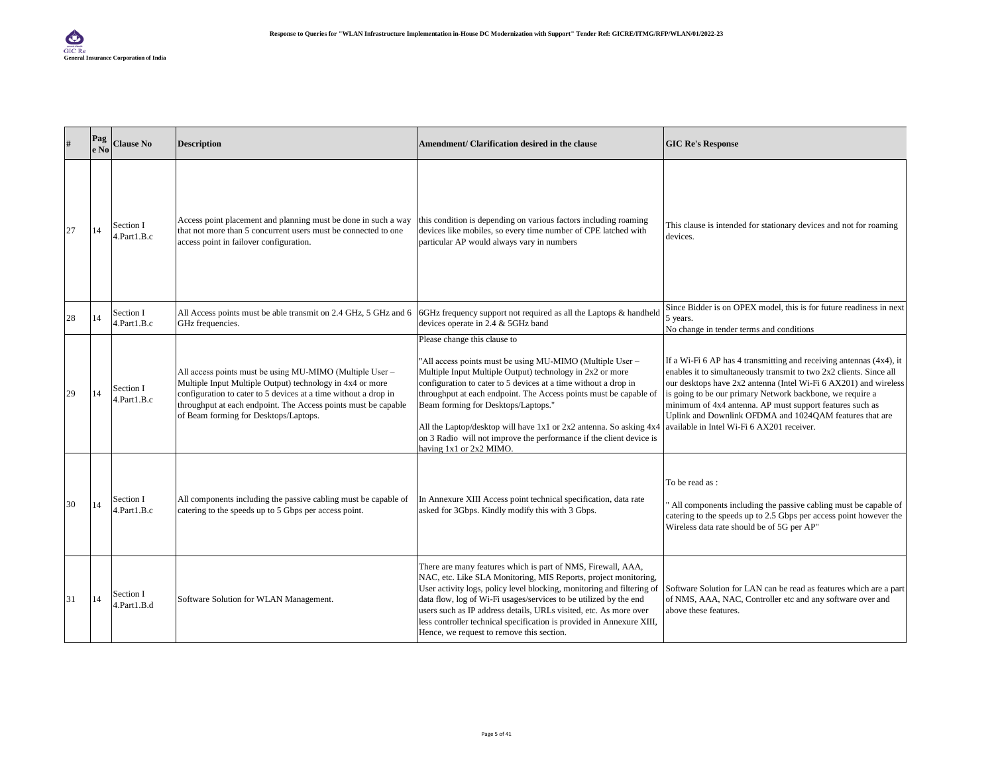| #  | Pag<br>e No | <b>Clause No</b>         | <b>Description</b>                                                                                                                                                                                                                                                                                  | Amendment/ Clarification desired in the clause                                                                                                                                                                                                                                                                                                                                                                                                                                                                | <b>GIC Re's Response</b>                                                                                                                                                                                                                                                                                                                                                                                                                         |
|----|-------------|--------------------------|-----------------------------------------------------------------------------------------------------------------------------------------------------------------------------------------------------------------------------------------------------------------------------------------------------|---------------------------------------------------------------------------------------------------------------------------------------------------------------------------------------------------------------------------------------------------------------------------------------------------------------------------------------------------------------------------------------------------------------------------------------------------------------------------------------------------------------|--------------------------------------------------------------------------------------------------------------------------------------------------------------------------------------------------------------------------------------------------------------------------------------------------------------------------------------------------------------------------------------------------------------------------------------------------|
| 27 | 14          | Section I<br>4.Part1.B.c | Access point placement and planning must be done in such a way<br>that not more than 5 concurrent users must be connected to one<br>access point in failover configuration.                                                                                                                         | this condition is depending on various factors including roaming<br>devices like mobiles, so every time number of CPE latched with<br>particular AP would always vary in numbers                                                                                                                                                                                                                                                                                                                              | This clause is intended for stationary devices and not for roaming<br>devices.                                                                                                                                                                                                                                                                                                                                                                   |
| 28 | 14          | Section I<br>4.Part1.B.c | GHz frequencies.                                                                                                                                                                                                                                                                                    | All Access points must be able transmit on 2.4 GHz, 5 GHz and 6 6 GHz frequency support not required as all the Laptops & handheld<br>devices operate in 2.4 & 5GHz band                                                                                                                                                                                                                                                                                                                                      | Since Bidder is on OPEX model, this is for future readiness in next<br>5 years.<br>No change in tender terms and conditions                                                                                                                                                                                                                                                                                                                      |
| 29 | 14          | Section I<br>4.Part1.B.c | All access points must be using MU-MIMO (Multiple User -<br>Multiple Input Multiple Output) technology in 4x4 or more<br>configuration to cater to 5 devices at a time without a drop in<br>throughput at each endpoint. The Access points must be capable<br>of Beam forming for Desktops/Laptops. | Please change this clause to<br>"All access points must be using MU-MIMO (Multiple User -<br>Multiple Input Multiple Output) technology in 2x2 or more<br>configuration to cater to 5 devices at a time without a drop in<br>throughput at each endpoint. The Access points must be capable of<br>Beam forming for Desktops/Laptops."<br>All the Laptop/desktop will have 1x1 or 2x2 antenna. So asking 4x4<br>on 3 Radio will not improve the performance if the client device is<br>having 1x1 or 2x2 MIMO. | If a Wi-Fi 6 AP has 4 transmitting and receiving antennas (4x4), it<br>enables it to simultaneously transmit to two 2x2 clients. Since all<br>our desktops have 2x2 antenna (Intel Wi-Fi 6 AX201) and wireless<br>is going to be our primary Network backbone, we require a<br>minimum of 4x4 antenna. AP must support features such as<br>Uplink and Downlink OFDMA and 1024QAM features that are<br>available in Intel Wi-Fi 6 AX201 receiver. |
| 30 | 14          | Section I<br>4.Part1.B.c | All components including the passive cabling must be capable of<br>catering to the speeds up to 5 Gbps per access point.                                                                                                                                                                            | In Annexure XIII Access point technical specification, data rate<br>asked for 3Gbps. Kindly modify this with 3 Gbps.                                                                                                                                                                                                                                                                                                                                                                                          | To be read as :<br>All components including the passive cabling must be capable of<br>catering to the speeds up to 2.5 Gbps per access point however the<br>Wireless data rate should be of 5G per AP"                                                                                                                                                                                                                                           |
| 31 | 14          | Section I<br>4.Part1.B.d | Software Solution for WLAN Management.                                                                                                                                                                                                                                                              | There are many features which is part of NMS, Firewall, AAA,<br>NAC, etc. Like SLA Monitoring, MIS Reports, project monitoring,<br>User activity logs, policy level blocking, monitoring and filtering of<br>data flow, log of Wi-Fi usages/services to be utilized by the end<br>users such as IP address details, URLs visited, etc. As more over<br>less controller technical specification is provided in Annexure XIII,<br>Hence, we request to remove this section.                                     | Software Solution for LAN can be read as features which are a part<br>of NMS, AAA, NAC, Controller etc and any software over and<br>above these features.                                                                                                                                                                                                                                                                                        |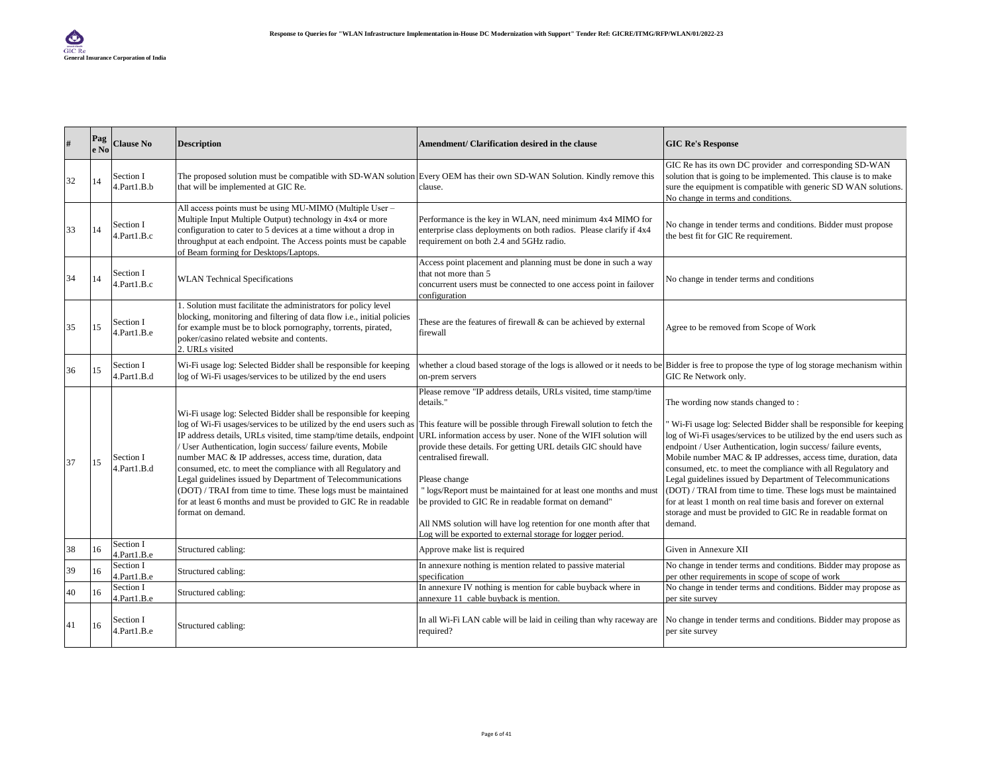| #  | Pag<br>e No | <b>Clause No</b>         | <b>Description</b>                                                                                                                                                                                                                                                                                                                                                                                                                                                                                                                                                                                                                | Amendment/ Clarification desired in the clause                                                                                                                                                                                                                                                                                                                                                                                                                                                                                                                                                     | <b>GIC Re's Response</b>                                                                                                                                                                                                                                                                                                                                                                                                                                                                                                                                                                                                                                         |
|----|-------------|--------------------------|-----------------------------------------------------------------------------------------------------------------------------------------------------------------------------------------------------------------------------------------------------------------------------------------------------------------------------------------------------------------------------------------------------------------------------------------------------------------------------------------------------------------------------------------------------------------------------------------------------------------------------------|----------------------------------------------------------------------------------------------------------------------------------------------------------------------------------------------------------------------------------------------------------------------------------------------------------------------------------------------------------------------------------------------------------------------------------------------------------------------------------------------------------------------------------------------------------------------------------------------------|------------------------------------------------------------------------------------------------------------------------------------------------------------------------------------------------------------------------------------------------------------------------------------------------------------------------------------------------------------------------------------------------------------------------------------------------------------------------------------------------------------------------------------------------------------------------------------------------------------------------------------------------------------------|
| 32 | 14          | Section I<br>4.Part1.B.b | that will be implemented at GIC Re.                                                                                                                                                                                                                                                                                                                                                                                                                                                                                                                                                                                               | The proposed solution must be compatible with SD-WAN solution Every OEM has their own SD-WAN Solution. Kindly remove this<br>clause.                                                                                                                                                                                                                                                                                                                                                                                                                                                               | GIC Re has its own DC provider and corresponding SD-WAN<br>solution that is going to be implemented. This clause is to make<br>sure the equipment is compatible with generic SD WAN solutions.<br>No change in terms and conditions.                                                                                                                                                                                                                                                                                                                                                                                                                             |
| 33 | 14          | Section I<br>1.Part1.B.c | All access points must be using MU-MIMO (Multiple User -<br>Multiple Input Multiple Output) technology in 4x4 or more<br>configuration to cater to 5 devices at a time without a drop in<br>throughput at each endpoint. The Access points must be capable<br>of Beam forming for Desktops/Laptops.                                                                                                                                                                                                                                                                                                                               | Performance is the key in WLAN, need minimum 4x4 MIMO for<br>enterprise class deployments on both radios. Please clarify if 4x4<br>requirement on both 2.4 and 5GHz radio.                                                                                                                                                                                                                                                                                                                                                                                                                         | No change in tender terms and conditions. Bidder must propose<br>the best fit for GIC Re requirement.                                                                                                                                                                                                                                                                                                                                                                                                                                                                                                                                                            |
| 34 | 14          | Section I<br>4.Part1.B.c | <b>WLAN</b> Technical Specifications                                                                                                                                                                                                                                                                                                                                                                                                                                                                                                                                                                                              | Access point placement and planning must be done in such a way<br>that not more than 5<br>concurrent users must be connected to one access point in failover<br>configuration                                                                                                                                                                                                                                                                                                                                                                                                                      | No change in tender terms and conditions                                                                                                                                                                                                                                                                                                                                                                                                                                                                                                                                                                                                                         |
| 35 | 15          | Section I<br>4.Part1.B.e | 1. Solution must facilitate the administrators for policy level<br>blocking, monitoring and filtering of data flow i.e., initial policies<br>for example must be to block pornography, torrents, pirated,<br>poker/casino related website and contents.<br>2. URLs visited                                                                                                                                                                                                                                                                                                                                                        | These are the features of firewall $\&$ can be achieved by external<br>firewall                                                                                                                                                                                                                                                                                                                                                                                                                                                                                                                    | Agree to be removed from Scope of Work                                                                                                                                                                                                                                                                                                                                                                                                                                                                                                                                                                                                                           |
| 36 | 15          | Section I<br>4.Part1.B.d | Wi-Fi usage log: Selected Bidder shall be responsible for keeping<br>log of Wi-Fi usages/services to be utilized by the end users                                                                                                                                                                                                                                                                                                                                                                                                                                                                                                 | whether a cloud based storage of the logs is allowed or it needs to be Bidder is free to propose the type of log storage mechanism within<br>on-prem servers                                                                                                                                                                                                                                                                                                                                                                                                                                       | GIC Re Network only.                                                                                                                                                                                                                                                                                                                                                                                                                                                                                                                                                                                                                                             |
| 37 | 15          | Section I<br>4.Part1.B.d | Wi-Fi usage log: Selected Bidder shall be responsible for keeping<br>log of Wi-Fi usages/services to be utilized by the end users such as<br>IP address details, URLs visited, time stamp/time details, endpoint<br>User Authentication, login success/failure events, Mobile<br>number MAC & IP addresses, access time, duration, data<br>consumed, etc. to meet the compliance with all Regulatory and<br>Legal guidelines issued by Department of Telecommunications<br>(DOT) / TRAI from time to time. These logs must be maintained<br>for at least 6 months and must be provided to GIC Re in readable<br>format on demand. | Please remove "IP address details, URLs visited, time stamp/time<br>details."<br>This feature will be possible through Firewall solution to fetch the<br>URL information access by user. None of the WIFI solution will<br>provide these details. For getting URL details GIC should have<br>centralised firewall.<br>Please change<br>"logs/Report must be maintained for at least one months and must<br>be provided to GIC Re in readable format on demand"<br>All NMS solution will have log retention for one month after that<br>Log will be exported to external storage for logger period. | The wording now stands changed to:<br>Wi-Fi usage log: Selected Bidder shall be responsible for keeping<br>log of Wi-Fi usages/services to be utilized by the end users such as<br>endpoint / User Authentication, login success/failure events,<br>Mobile number MAC & IP addresses, access time, duration, data<br>consumed, etc. to meet the compliance with all Regulatory and<br>Legal guidelines issued by Department of Telecommunications<br>(DOT) / TRAI from time to time. These logs must be maintained<br>for at least 1 month on real time basis and forever on external<br>storage and must be provided to GIC Re in readable format on<br>demand. |
| 38 | 16          | Section I<br>4.Part1.B.e | Structured cabling:                                                                                                                                                                                                                                                                                                                                                                                                                                                                                                                                                                                                               | Approve make list is required                                                                                                                                                                                                                                                                                                                                                                                                                                                                                                                                                                      | Given in Annexure XII                                                                                                                                                                                                                                                                                                                                                                                                                                                                                                                                                                                                                                            |
| 39 | 16          | Section I<br>4.Part1.B.e | Structured cabling:                                                                                                                                                                                                                                                                                                                                                                                                                                                                                                                                                                                                               | In annexure nothing is mention related to passive material<br>specification                                                                                                                                                                                                                                                                                                                                                                                                                                                                                                                        | No change in tender terms and conditions. Bidder may propose as<br>per other requirements in scope of scope of work                                                                                                                                                                                                                                                                                                                                                                                                                                                                                                                                              |
| 40 | 16          | Section I<br>4.Part1.B.e | Structured cabling:                                                                                                                                                                                                                                                                                                                                                                                                                                                                                                                                                                                                               | In annexure IV nothing is mention for cable buyback where in<br>annexure 11 cable buyback is mention.                                                                                                                                                                                                                                                                                                                                                                                                                                                                                              | No change in tender terms and conditions. Bidder may propose as<br>per site survey                                                                                                                                                                                                                                                                                                                                                                                                                                                                                                                                                                               |
| 41 | 16          | Section I<br>4.Part1.B.e | Structured cabling:                                                                                                                                                                                                                                                                                                                                                                                                                                                                                                                                                                                                               | In all Wi-Fi LAN cable will be laid in ceiling than why raceway are<br>required?                                                                                                                                                                                                                                                                                                                                                                                                                                                                                                                   | No change in tender terms and conditions. Bidder may propose as<br>per site survey                                                                                                                                                                                                                                                                                                                                                                                                                                                                                                                                                                               |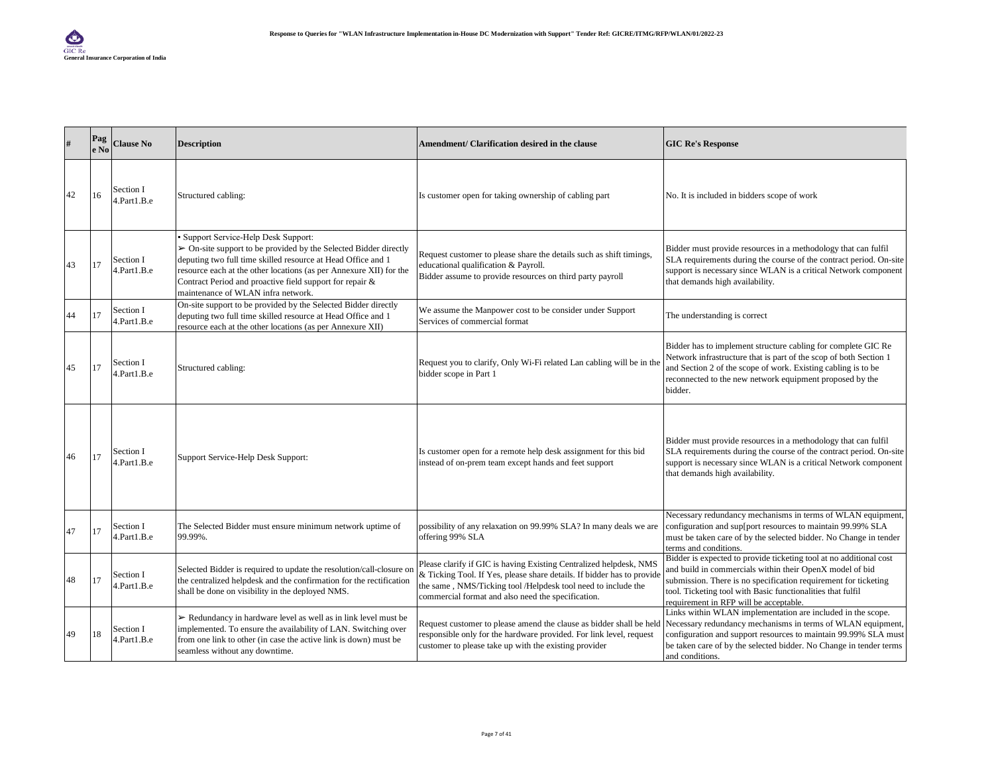| #  | Pag<br>e No | <b>Clause No</b>         | <b>Description</b>                                                                                                                                                                                                                                                                                                                             | Amendment/ Clarification desired in the clause                                                                                                                                                                                                                     | <b>GIC Re's Response</b>                                                                                                                                                                                                                                                                                   |
|----|-------------|--------------------------|------------------------------------------------------------------------------------------------------------------------------------------------------------------------------------------------------------------------------------------------------------------------------------------------------------------------------------------------|--------------------------------------------------------------------------------------------------------------------------------------------------------------------------------------------------------------------------------------------------------------------|------------------------------------------------------------------------------------------------------------------------------------------------------------------------------------------------------------------------------------------------------------------------------------------------------------|
| 42 | 16          | Section I<br>4.Part1.B.e | Structured cabling:                                                                                                                                                                                                                                                                                                                            | Is customer open for taking ownership of cabling part                                                                                                                                                                                                              | No. It is included in bidders scope of work                                                                                                                                                                                                                                                                |
| 43 | 17          | Section I<br>4.Part1.B.e | Support Service-Help Desk Support:<br>> On-site support to be provided by the Selected Bidder directly<br>deputing two full time skilled resource at Head Office and 1<br>resource each at the other locations (as per Annexure XII) for the<br>Contract Period and proactive field support for repair &<br>maintenance of WLAN infra network. | Request customer to please share the details such as shift timings,<br>educational qualification & Payroll.<br>Bidder assume to provide resources on third party payroll                                                                                           | Bidder must provide resources in a methodology that can fulfil<br>SLA requirements during the course of the contract period. On-site<br>support is necessary since WLAN is a critical Network component<br>that demands high availability.                                                                 |
| 44 | 17          | Section I<br>4.Part1.B.e | On-site support to be provided by the Selected Bidder directly<br>deputing two full time skilled resource at Head Office and 1<br>resource each at the other locations (as per Annexure XII)                                                                                                                                                   | We assume the Manpower cost to be consider under Support<br>Services of commercial format                                                                                                                                                                          | The understanding is correct                                                                                                                                                                                                                                                                               |
| 45 | 17          | Section I<br>4.Part1.B.e | Structured cabling:                                                                                                                                                                                                                                                                                                                            | Request you to clarify, Only Wi-Fi related Lan cabling will be in the<br>bidder scope in Part 1                                                                                                                                                                    | Bidder has to implement structure cabling for complete GIC Re<br>Network infrastructure that is part of the scop of both Section 1<br>and Section 2 of the scope of work. Existing cabling is to be<br>reconnected to the new network equipment proposed by the<br>bidder.                                 |
| 46 | 17          | Section I<br>4.Part1.B.e | Support Service-Help Desk Support:                                                                                                                                                                                                                                                                                                             | Is customer open for a remote help desk assignment for this bid<br>instead of on-prem team except hands and feet support                                                                                                                                           | Bidder must provide resources in a methodology that can fulfil<br>SLA requirements during the course of the contract period. On-site<br>support is necessary since WLAN is a critical Network component<br>that demands high availability.                                                                 |
| 47 | 17          | Section I<br>4.Part1.B.e | The Selected Bidder must ensure minimum network uptime of<br>99.99%.                                                                                                                                                                                                                                                                           | possibility of any relaxation on 99.99% SLA? In many deals we are<br>offering 99% SLA                                                                                                                                                                              | Necessary redundancy mechanisms in terms of WLAN equipment,<br>configuration and sup[port resources to maintain 99.99% SLA<br>must be taken care of by the selected bidder. No Change in tender<br>terms and conditions.                                                                                   |
| 48 | 17          | Section I<br>4.Part1.B.e | Selected Bidder is required to update the resolution/call-closure on<br>the centralized helpdesk and the confirmation for the rectification<br>shall be done on visibility in the deployed NMS.                                                                                                                                                | Please clarify if GIC is having Existing Centralized helpdesk, NMS<br>& Ticking Tool. If Yes, please share details. If bidder has to provide<br>the same, NMS/Ticking tool/Helpdesk tool need to include the<br>commercial format and also need the specification. | Bidder is expected to provide ticketing tool at no additional cost<br>and build in commercials within their OpenX model of bid<br>submission. There is no specification requirement for ticketing<br>tool. Ticketing tool with Basic functionalities that fulfil<br>requirement in RFP will be acceptable. |
| 49 | 18          | Section I<br>4.Part1.B.e | Redundancy in hardware level as well as in link level must be<br>implemented. To ensure the availability of LAN. Switching over<br>from one link to other (in case the active link is down) must be<br>seamless without any downtime.                                                                                                          | Request customer to please amend the clause as bidder shall be held<br>responsible only for the hardware provided. For link level, request<br>customer to please take up with the existing provider                                                                | Links within WLAN implementation are included in the scope.<br>Necessary redundancy mechanisms in terms of WLAN equipment,<br>configuration and support resources to maintain 99.99% SLA must<br>be taken care of by the selected bidder. No Change in tender terms<br>and conditions.                     |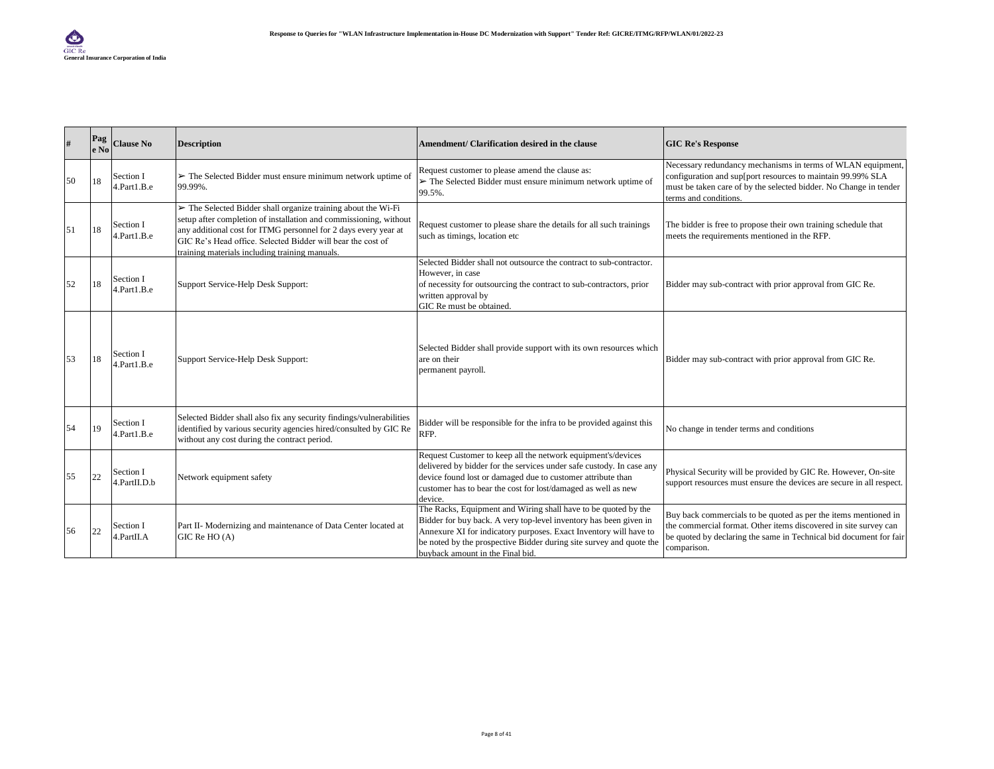| #  | Pag<br>e No | <b>Clause No</b>          | <b>Description</b>                                                                                                                                                                                                                                                                                                                    | Amendment/ Clarification desired in the clause                                                                                                                                                                                                                                                                      | <b>GIC Re's Response</b>                                                                                                                                                                                                 |
|----|-------------|---------------------------|---------------------------------------------------------------------------------------------------------------------------------------------------------------------------------------------------------------------------------------------------------------------------------------------------------------------------------------|---------------------------------------------------------------------------------------------------------------------------------------------------------------------------------------------------------------------------------------------------------------------------------------------------------------------|--------------------------------------------------------------------------------------------------------------------------------------------------------------------------------------------------------------------------|
| 50 | 18          | Section I<br>4.Part1.B.e  | $\triangleright$ The Selected Bidder must ensure minimum network uptime of<br>99.99%.                                                                                                                                                                                                                                                 | Request customer to please amend the clause as:<br>$\triangleright$ The Selected Bidder must ensure minimum network uptime of<br>99.5%.                                                                                                                                                                             | Necessary redundancy mechanisms in terms of WLAN equipment,<br>configuration and sup[port resources to maintain 99.99% SLA<br>must be taken care of by the selected bidder. No Change in tender<br>terms and conditions. |
| 51 | 18          | Section I<br>1.Part1.B.e  | $\triangleright$ The Selected Bidder shall organize training about the Wi-Fi<br>setup after completion of installation and commissioning, without<br>any additional cost for ITMG personnel for 2 days every year at<br>GIC Re's Head office. Selected Bidder will bear the cost of<br>training materials including training manuals. | Request customer to please share the details for all such trainings<br>such as timings, location etc                                                                                                                                                                                                                | The bidder is free to propose their own training schedule that<br>meets the requirements mentioned in the RFP.                                                                                                           |
| 52 | 18          | Section I<br>4.Part1.B.e  | Support Service-Help Desk Support:                                                                                                                                                                                                                                                                                                    | Selected Bidder shall not outsource the contract to sub-contractor.<br>However, in case<br>of necessity for outsourcing the contract to sub-contractors, prior<br>written approval by<br>GIC Re must be obtained.                                                                                                   | Bidder may sub-contract with prior approval from GIC Re.                                                                                                                                                                 |
| 53 | 18          | Section I<br>4.Part1.B.e  | Support Service-Help Desk Support:                                                                                                                                                                                                                                                                                                    | Selected Bidder shall provide support with its own resources which<br>are on their<br>permanent payroll.                                                                                                                                                                                                            | Bidder may sub-contract with prior approval from GIC Re.                                                                                                                                                                 |
| 54 | 19          | Section I<br>4.Part1.B.e  | Selected Bidder shall also fix any security findings/vulnerabilities<br>identified by various security agencies hired/consulted by GIC Re<br>without any cost during the contract period.                                                                                                                                             | Bidder will be responsible for the infra to be provided against this<br>RFP.                                                                                                                                                                                                                                        | No change in tender terms and conditions                                                                                                                                                                                 |
| 55 | 22          | Section I<br>4.PartII.D.b | Network equipment safety                                                                                                                                                                                                                                                                                                              | Request Customer to keep all the network equipment's/devices<br>delivered by bidder for the services under safe custody. In case any<br>device found lost or damaged due to customer attribute than<br>customer has to bear the cost for lost/damaged as well as new<br>device.                                     | Physical Security will be provided by GIC Re. However, On-site<br>support resources must ensure the devices are secure in all respect.                                                                                   |
| 56 | 22          | Section I<br>4.PartII.A   | Part II- Modernizing and maintenance of Data Center located at<br>$GIC$ Re $HO(A)$                                                                                                                                                                                                                                                    | The Racks, Equipment and Wiring shall have to be quoted by the<br>Bidder for buy back. A very top-level inventory has been given in<br>Annexure XI for indicatory purposes. Exact Inventory will have to<br>be noted by the prospective Bidder during site survey and quote the<br>buyback amount in the Final bid. | Buy back commercials to be quoted as per the items mentioned in<br>the commercial format. Other items discovered in site survey can<br>be quoted by declaring the same in Technical bid document for fair<br>comparison. |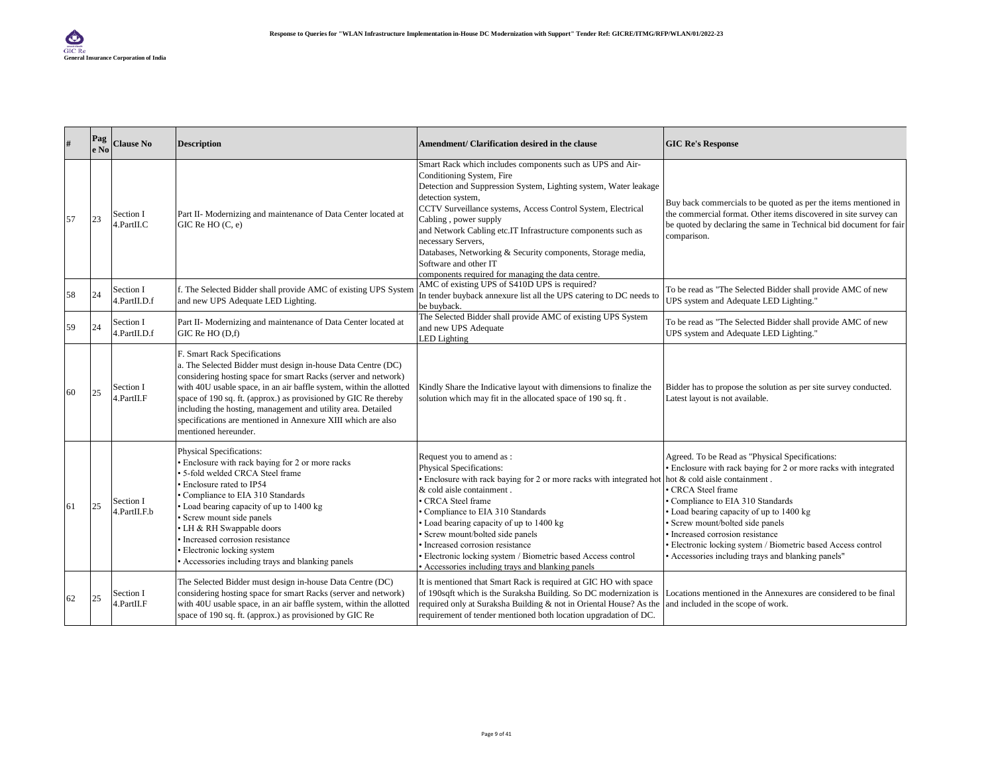| #  | Pag<br>e No | <b>Clause No</b>          | <b>Description</b>                                                                                                                                                                                                                                                                                                                                                                                                                                               | Amendment/ Clarification desired in the clause                                                                                                                                                                                                                                                                                                                                                                                                                                                              | <b>GIC Re's Response</b>                                                                                                                                                                                                                                                                                                                                                                                                                        |
|----|-------------|---------------------------|------------------------------------------------------------------------------------------------------------------------------------------------------------------------------------------------------------------------------------------------------------------------------------------------------------------------------------------------------------------------------------------------------------------------------------------------------------------|-------------------------------------------------------------------------------------------------------------------------------------------------------------------------------------------------------------------------------------------------------------------------------------------------------------------------------------------------------------------------------------------------------------------------------------------------------------------------------------------------------------|-------------------------------------------------------------------------------------------------------------------------------------------------------------------------------------------------------------------------------------------------------------------------------------------------------------------------------------------------------------------------------------------------------------------------------------------------|
| 57 | 23          | Section I<br>4.PartII.C   | Part II- Modernizing and maintenance of Data Center located at<br>GIC Re HO (C, e)                                                                                                                                                                                                                                                                                                                                                                               | Smart Rack which includes components such as UPS and Air-<br>Conditioning System, Fire<br>Detection and Suppression System, Lighting system, Water leakage<br>detection system,<br>CCTV Surveillance systems, Access Control System, Electrical<br>Cabling, power supply<br>and Network Cabling etc.IT Infrastructure components such as<br>necessary Servers,<br>Databases, Networking & Security components, Storage media,<br>Software and other IT<br>components required for managing the data centre. | Buy back commercials to be quoted as per the items mentioned in<br>the commercial format. Other items discovered in site survey can<br>be quoted by declaring the same in Technical bid document for fair<br>comparison.                                                                                                                                                                                                                        |
| 58 | 24          | Section I<br>4.PartII.D.f | f. The Selected Bidder shall provide AMC of existing UPS System<br>and new UPS Adequate LED Lighting.                                                                                                                                                                                                                                                                                                                                                            | AMC of existing UPS of S410D UPS is required?<br>In tender buyback annexure list all the UPS catering to DC needs to<br>be buyback.                                                                                                                                                                                                                                                                                                                                                                         | To be read as "The Selected Bidder shall provide AMC of new<br>UPS system and Adequate LED Lighting."                                                                                                                                                                                                                                                                                                                                           |
| 59 | 24          | Section I<br>4.PartII.D.f | Part II- Modernizing and maintenance of Data Center located at<br>GIC Re HO (D,f)                                                                                                                                                                                                                                                                                                                                                                                | The Selected Bidder shall provide AMC of existing UPS System<br>and new UPS Adequate<br>LED Lighting                                                                                                                                                                                                                                                                                                                                                                                                        | To be read as "The Selected Bidder shall provide AMC of new<br>UPS system and Adequate LED Lighting."                                                                                                                                                                                                                                                                                                                                           |
| 60 | 25          | Section I<br>4.PartII.F   | F. Smart Rack Specifications<br>a. The Selected Bidder must design in-house Data Centre (DC)<br>considering hosting space for smart Racks (server and network)<br>with 40U usable space, in an air baffle system, within the allotted<br>space of 190 sq. ft. (approx.) as provisioned by GIC Re thereby<br>including the hosting, management and utility area. Detailed<br>specifications are mentioned in Annexure XIII which are also<br>mentioned hereunder. | Kindly Share the Indicative layout with dimensions to finalize the<br>solution which may fit in the allocated space of 190 sq. ft.                                                                                                                                                                                                                                                                                                                                                                          | Bidder has to propose the solution as per site survey conducted.<br>Latest layout is not available.                                                                                                                                                                                                                                                                                                                                             |
| 61 | 25          | Section I<br>4.PartII.F.b | <b>Physical Specifications:</b><br>Enclosure with rack baying for 2 or more racks<br>5-fold welded CRCA Steel frame<br>Enclosure rated to IP54<br>Compliance to EIA 310 Standards<br>Load bearing capacity of up to 1400 kg<br>Screw mount side panels<br>LH & RH Swappable doors<br>Increased corrosion resistance<br>Electronic locking system<br>Accessories including trays and blanking panels                                                              | Request you to amend as :<br>Physical Specifications:<br>· Enclosure with rack baying for 2 or more racks with integrated hot<br>& cold aisle containment.<br>· CRCA Steel frame<br>Compliance to EIA 310 Standards<br>• Load bearing capacity of up to 1400 kg<br>Screw mount/bolted side panels<br>Increased corrosion resistance<br>· Electronic locking system / Biometric based Access control<br>• Accessories including trays and blanking panels                                                    | Agreed. To be Read as "Physical Specifications:<br>Enclosure with rack baying for 2 or more racks with integrated<br>hot & cold aisle containment.<br>CRCA Steel frame<br>· Compliance to EIA 310 Standards<br>· Load bearing capacity of up to 1400 kg<br>Screw mount/bolted side panels<br>Increased corrosion resistance<br>Electronic locking system / Biometric based Access control<br>• Accessories including trays and blanking panels" |
| 62 | 125         | Section I<br>4.PartII.F   | The Selected Bidder must design in-house Data Centre (DC)<br>considering hosting space for smart Racks (server and network)<br>with 40U usable space, in an air baffle system, within the allotted<br>space of 190 sq. ft. (approx.) as provisioned by GIC Re                                                                                                                                                                                                    | It is mentioned that Smart Rack is required at GIC HO with space<br>of 190sqft which is the Suraksha Building. So DC modernization is<br>required only at Suraksha Building & not in Oriental House? As the<br>requirement of tender mentioned both location upgradation of DC.                                                                                                                                                                                                                             | Locations mentioned in the Annexures are considered to be final<br>and included in the scope of work.                                                                                                                                                                                                                                                                                                                                           |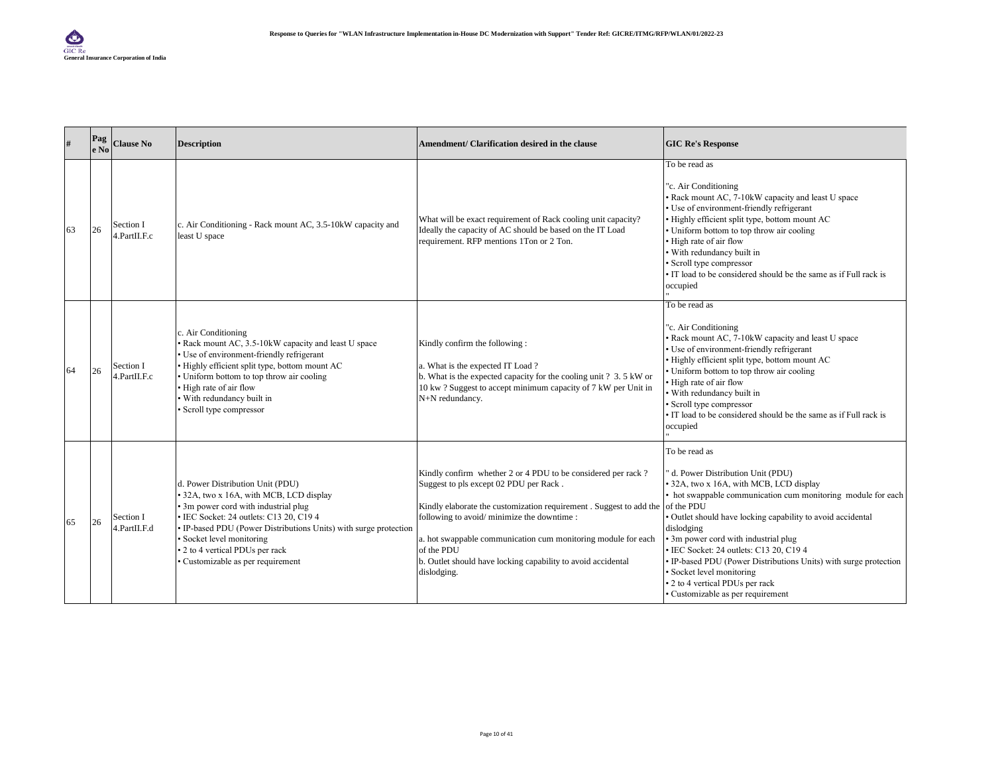| #  | Pag<br>e No | <b>Clause No</b>          | <b>Description</b>                                                                                                                                                                                                                                                                                                                      | Amendment/ Clarification desired in the clause                                                                                                                                                                                                                                                                                                                                          | <b>GIC Re's Response</b>                                                                                                                                                                                                                                                                                                                                                                                                                                                                         |
|----|-------------|---------------------------|-----------------------------------------------------------------------------------------------------------------------------------------------------------------------------------------------------------------------------------------------------------------------------------------------------------------------------------------|-----------------------------------------------------------------------------------------------------------------------------------------------------------------------------------------------------------------------------------------------------------------------------------------------------------------------------------------------------------------------------------------|--------------------------------------------------------------------------------------------------------------------------------------------------------------------------------------------------------------------------------------------------------------------------------------------------------------------------------------------------------------------------------------------------------------------------------------------------------------------------------------------------|
| 63 | 26          | Section I<br>4.PartII.F.c | c. Air Conditioning - Rack mount AC, 3.5-10kW capacity and<br>least U space                                                                                                                                                                                                                                                             | What will be exact requirement of Rack cooling unit capacity?<br>Ideally the capacity of AC should be based on the IT Load<br>requirement. RFP mentions 1Ton or 2 Ton.                                                                                                                                                                                                                  | To be read as<br>"c. Air Conditioning<br>Rack mount AC, 7-10kW capacity and least U space<br>Use of environment-friendly refrigerant<br>Highly efficient split type, bottom mount AC<br>Uniform bottom to top throw air cooling<br>High rate of air flow<br>With redundancy built in<br>Scroll type compressor<br>IT load to be considered should be the same as if Full rack is<br>occupied                                                                                                     |
| 64 | 26          | Section I<br>4.PartII.F.c | c. Air Conditioning<br>• Rack mount AC, 3.5-10kW capacity and least U space<br>• Use of environment-friendly refrigerant<br>· Highly efficient split type, bottom mount AC<br>• Uniform bottom to top throw air cooling<br>• High rate of air flow<br>· With redundancy built in<br>Scroll type compressor                              | Kindly confirm the following:<br>a. What is the expected IT Load?<br>b. What is the expected capacity for the cooling unit ? 3.5 kW or<br>10 kw? Suggest to accept minimum capacity of 7 kW per Unit in<br>N+N redundancy.                                                                                                                                                              | To be read as<br>"c. Air Conditioning<br>Rack mount AC, 7-10kW capacity and least U space<br>· Use of environment-friendly refrigerant<br>Highly efficient split type, bottom mount AC<br>Uniform bottom to top throw air cooling<br>High rate of air flow<br>With redundancy built in<br>Scroll type compressor<br>IT load to be considered should be the same as if Full rack is<br>occupied                                                                                                   |
| 65 | 26          | Section I<br>4.PartII.F.d | d. Power Distribution Unit (PDU)<br>• 32A, two x 16A, with MCB, LCD display<br>• 3m power cord with industrial plug<br>· IEC Socket: 24 outlets: C13 20, C19 4<br>• IP-based PDU (Power Distributions Units) with surge protection<br>• Socket level monitoring<br>• 2 to 4 vertical PDUs per rack<br>· Customizable as per requirement | Kindly confirm whether 2 or 4 PDU to be considered per rack?<br>Suggest to pls except 02 PDU per Rack.<br>Kindly elaborate the customization requirement. Suggest to add the<br>following to avoid/minimize the downtime:<br>a. hot swappable communication cum monitoring module for each<br>of the PDU<br>b. Outlet should have locking capability to avoid accidental<br>dislodging. | To be read as<br>d. Power Distribution Unit (PDU)<br>32A, two x 16A, with MCB, LCD display<br>hot swappable communication cum monitoring module for each<br>of the PDU<br>Outlet should have locking capability to avoid accidental<br>dislodging<br>3m power cord with industrial plug<br>EC Socket: 24 outlets: C13 20, C19 4<br>IP-based PDU (Power Distributions Units) with surge protection<br>Socket level monitoring<br>2 to 4 vertical PDUs per rack<br>Customizable as per requirement |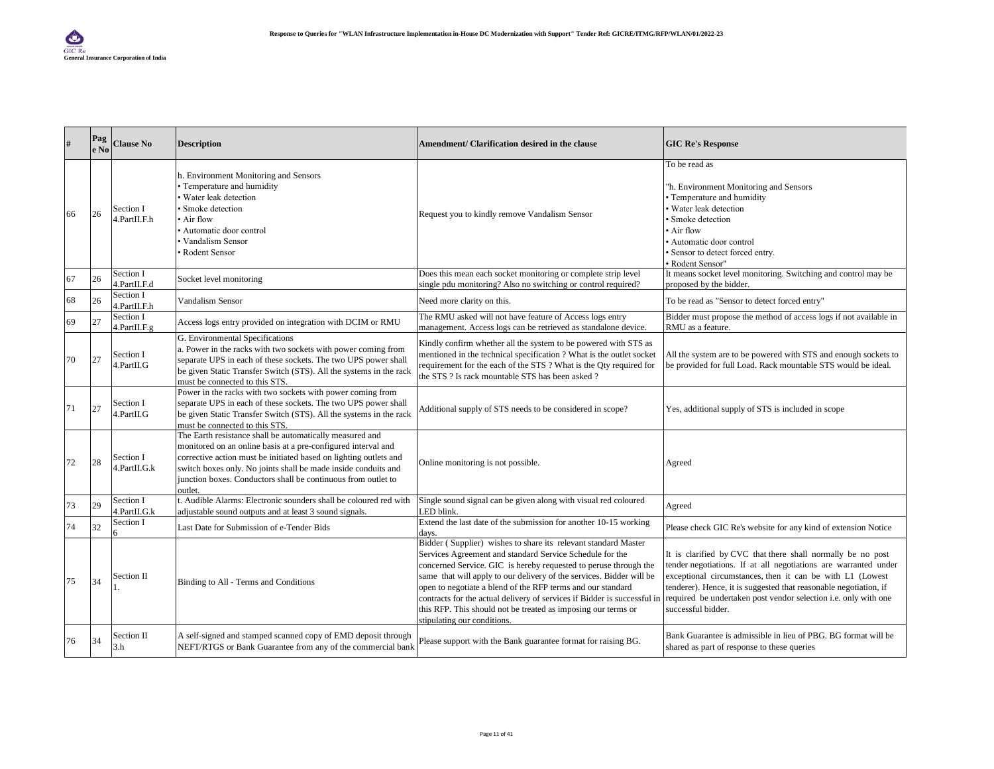| #  | Pag<br>e No | <b>Clause No</b>             | <b>Description</b>                                                                                                                                                                                                                                                                                                                           | Amendment/ Clarification desired in the clause                                                                                                                                                                                                                                                                                                                                                                                                                                                                    | <b>GIC Re's Response</b>                                                                                                                                                                                                                                                                                                                                  |
|----|-------------|------------------------------|----------------------------------------------------------------------------------------------------------------------------------------------------------------------------------------------------------------------------------------------------------------------------------------------------------------------------------------------|-------------------------------------------------------------------------------------------------------------------------------------------------------------------------------------------------------------------------------------------------------------------------------------------------------------------------------------------------------------------------------------------------------------------------------------------------------------------------------------------------------------------|-----------------------------------------------------------------------------------------------------------------------------------------------------------------------------------------------------------------------------------------------------------------------------------------------------------------------------------------------------------|
| 66 | 26          | Section I<br>4.PartII.F.h    | h. Environment Monitoring and Sensors<br>· Temperature and humidity<br>Water leak detection<br>Smoke detection<br>• Air flow<br>Automatic door control<br>Vandalism Sensor<br>Rodent Sensor                                                                                                                                                  | Request you to kindly remove Vandalism Sensor                                                                                                                                                                                                                                                                                                                                                                                                                                                                     | To be read as<br>"h. Environment Monitoring and Sensors<br>Temperature and humidity<br>Water leak detection<br>Smoke detection<br>Air flow<br>Automatic door control<br>Sensor to detect forced entry.<br>· Rodent Sensor"                                                                                                                                |
| 67 | 26          | Section I<br>4.PartII.F.d    | Socket level monitoring                                                                                                                                                                                                                                                                                                                      | Does this mean each socket monitoring or complete strip level<br>single pdu monitoring? Also no switching or control required?                                                                                                                                                                                                                                                                                                                                                                                    | It means socket level monitoring. Switching and control may be<br>proposed by the bidder.                                                                                                                                                                                                                                                                 |
| 68 | 26          | Section I<br>l.PartII.F.h    | <b>Vandalism Sensor</b>                                                                                                                                                                                                                                                                                                                      | Need more clarity on this.                                                                                                                                                                                                                                                                                                                                                                                                                                                                                        | To be read as "Sensor to detect forced entry"                                                                                                                                                                                                                                                                                                             |
| 69 | 27          | Section I<br>$l$ .PartII.F.g | Access logs entry provided on integration with DCIM or RMU                                                                                                                                                                                                                                                                                   | The RMU asked will not have feature of Access logs entry<br>management. Access logs can be retrieved as standalone device.                                                                                                                                                                                                                                                                                                                                                                                        | Bidder must propose the method of access logs if not available in<br>RMU as a feature.                                                                                                                                                                                                                                                                    |
| 70 | 27          | Section I<br>4.PartII.G      | G. Environmental Specifications<br>a. Power in the racks with two sockets with power coming from<br>separate UPS in each of these sockets. The two UPS power shall<br>be given Static Transfer Switch (STS). All the systems in the rack<br>must be connected to this STS.                                                                   | Kindly confirm whether all the system to be powered with STS as<br>mentioned in the technical specification ? What is the outlet socket<br>requirement for the each of the STS ? What is the Qty required for<br>the STS ? Is rack mountable STS has been asked ?                                                                                                                                                                                                                                                 | All the system are to be powered with STS and enough sockets to<br>be provided for full Load. Rack mountable STS would be ideal.                                                                                                                                                                                                                          |
| 71 | 27          | Section I<br>4.PartII.G      | Power in the racks with two sockets with power coming from<br>separate UPS in each of these sockets. The two UPS power shall<br>be given Static Transfer Switch (STS). All the systems in the rack<br>must be connected to this STS.                                                                                                         | Additional supply of STS needs to be considered in scope?                                                                                                                                                                                                                                                                                                                                                                                                                                                         | Yes, additional supply of STS is included in scope                                                                                                                                                                                                                                                                                                        |
| 72 | 28          | Section I<br>4.PartII.G.k    | The Earth resistance shall be automatically measured and<br>monitored on an online basis at a pre-configured interval and<br>corrective action must be initiated based on lighting outlets and<br>switch boxes only. No joints shall be made inside conduits and<br>junction boxes. Conductors shall be continuous from outlet to<br>outlet. | Online monitoring is not possible.                                                                                                                                                                                                                                                                                                                                                                                                                                                                                | Agreed                                                                                                                                                                                                                                                                                                                                                    |
| 73 | 29          | Section I<br>1.PartII.G.k    | . Audible Alarms: Electronic sounders shall be coloured red with<br>adjustable sound outputs and at least 3 sound signals.                                                                                                                                                                                                                   | Single sound signal can be given along with visual red coloured<br>LED blink.                                                                                                                                                                                                                                                                                                                                                                                                                                     | Agreed                                                                                                                                                                                                                                                                                                                                                    |
| 74 | 32          | Section I                    | Last Date for Submission of e-Tender Bids                                                                                                                                                                                                                                                                                                    | Extend the last date of the submission for another 10-15 working<br>days.                                                                                                                                                                                                                                                                                                                                                                                                                                         | Please check GIC Re's website for any kind of extension Notice                                                                                                                                                                                                                                                                                            |
| 75 | 34          | Section II                   | Binding to All - Terms and Conditions                                                                                                                                                                                                                                                                                                        | Bidder (Supplier) wishes to share its relevant standard Master<br>Services Agreement and standard Service Schedule for the<br>concerned Service. GIC is hereby requested to peruse through the<br>same that will apply to our delivery of the services. Bidder will be<br>open to negotiate a blend of the RFP terms and our standard<br>contracts for the actual delivery of services if Bidder is successful in<br>this RFP. This should not be treated as imposing our terms or<br>stipulating our conditions. | It is clarified by CVC that there shall normally be no post<br>tender negotiations. If at all negotiations are warranted under<br>exceptional circumstances, then it can be with L1 (Lowest<br>tenderer). Hence, it is suggested that reasonable negotiation, if<br>required be undertaken post vendor selection i.e. only with one<br>successful bidder. |
| 76 | 34          | Section II<br>3.h            | A self-signed and stamped scanned copy of EMD deposit through<br>NEFT/RTGS or Bank Guarantee from any of the commercial bank                                                                                                                                                                                                                 | Please support with the Bank guarantee format for raising BG.                                                                                                                                                                                                                                                                                                                                                                                                                                                     | Bank Guarantee is admissible in lieu of PBG. BG format will be<br>shared as part of response to these queries                                                                                                                                                                                                                                             |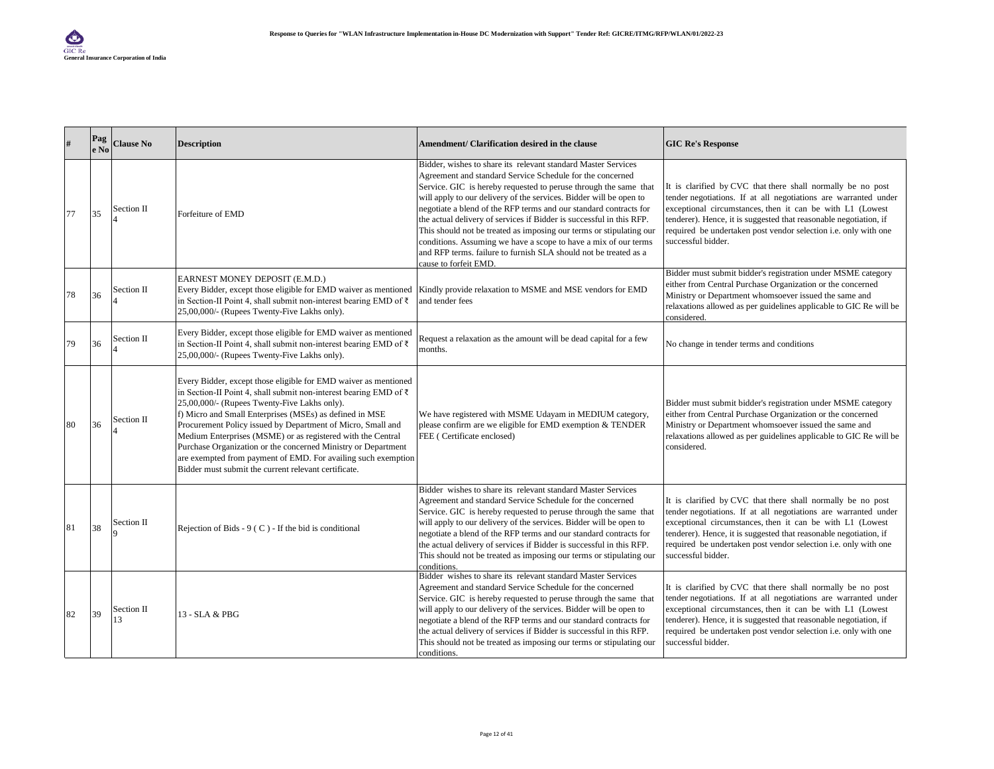| $\#$ | Pag<br>e No | <b>Clause No</b> | <b>Description</b>                                                                                                                                                                                                                                                                                                                                                                                                                                                                                                                                                      | Amendment/ Clarification desired in the clause                                                                                                                                                                                                                                                                                                                                                                                                                                                                                                                                                                                                           | <b>GIC Re's Response</b>                                                                                                                                                                                                                                                                                                                                         |
|------|-------------|------------------|-------------------------------------------------------------------------------------------------------------------------------------------------------------------------------------------------------------------------------------------------------------------------------------------------------------------------------------------------------------------------------------------------------------------------------------------------------------------------------------------------------------------------------------------------------------------------|----------------------------------------------------------------------------------------------------------------------------------------------------------------------------------------------------------------------------------------------------------------------------------------------------------------------------------------------------------------------------------------------------------------------------------------------------------------------------------------------------------------------------------------------------------------------------------------------------------------------------------------------------------|------------------------------------------------------------------------------------------------------------------------------------------------------------------------------------------------------------------------------------------------------------------------------------------------------------------------------------------------------------------|
| 77   | 35          | Section II       | Forfeiture of EMD                                                                                                                                                                                                                                                                                                                                                                                                                                                                                                                                                       | Bidder, wishes to share its relevant standard Master Services<br>Agreement and standard Service Schedule for the concerned<br>Service. GIC is hereby requested to peruse through the same that<br>will apply to our delivery of the services. Bidder will be open to<br>negotiate a blend of the RFP terms and our standard contracts for<br>the actual delivery of services if Bidder is successful in this RFP.<br>This should not be treated as imposing our terms or stipulating our<br>conditions. Assuming we have a scope to have a mix of our terms<br>and RFP terms. failure to furnish SLA should not be treated as a<br>cause to forfeit EMD. | It is clarified by CVC that there shall normally be no post<br>tender negotiations. If at all negotiations are warranted under<br>exceptional circumstances, then it can be with L1 (Lowest<br>tenderer). Hence, it is suggested that reasonable negotiation, if<br>required be undertaken post vendor selection <i>i.e.</i> only with one<br>successful bidder. |
| 78   | 36          | Section II       | EARNEST MONEY DEPOSIT (E.M.D.)<br>Every Bidder, except those eligible for EMD waiver as mentioned<br>in Section-II Point 4, shall submit non-interest bearing EMD of ₹<br>25,00,000/- (Rupees Twenty-Five Lakhs only).                                                                                                                                                                                                                                                                                                                                                  | Kindly provide relaxation to MSME and MSE vendors for EMD<br>and tender fees                                                                                                                                                                                                                                                                                                                                                                                                                                                                                                                                                                             | Bidder must submit bidder's registration under MSME category<br>either from Central Purchase Organization or the concerned<br>Ministry or Department whomsoever issued the same and<br>relaxations allowed as per guidelines applicable to GIC Re will be<br>considered.                                                                                         |
| 79   | 36          | Section II       | Every Bidder, except those eligible for EMD waiver as mentioned<br>in Section-II Point 4, shall submit non-interest bearing EMD of ₹<br>25,00,000/- (Rupees Twenty-Five Lakhs only).                                                                                                                                                                                                                                                                                                                                                                                    | Request a relaxation as the amount will be dead capital for a few<br>months.                                                                                                                                                                                                                                                                                                                                                                                                                                                                                                                                                                             | No change in tender terms and conditions                                                                                                                                                                                                                                                                                                                         |
| 80   | 36          | Section II       | Every Bidder, except those eligible for EMD waiver as mentioned<br>in Section-II Point 4, shall submit non-interest bearing EMD of ₹<br>25,00,000/- (Rupees Twenty-Five Lakhs only).<br>f) Micro and Small Enterprises (MSEs) as defined in MSE<br>Procurement Policy issued by Department of Micro, Small and<br>Medium Enterprises (MSME) or as registered with the Central<br>Purchase Organization or the concerned Ministry or Department<br>are exempted from payment of EMD. For availing such exemption<br>Bidder must submit the current relevant certificate. | We have registered with MSME Udayam in MEDIUM category,<br>please confirm are we eligible for EMD exemption & TENDER<br>FEE (Certificate enclosed)                                                                                                                                                                                                                                                                                                                                                                                                                                                                                                       | Bidder must submit bidder's registration under MSME category<br>either from Central Purchase Organization or the concerned<br>Ministry or Department whomsoever issued the same and<br>relaxations allowed as per guidelines applicable to GIC Re will be<br>considered.                                                                                         |
| 81   | 38          | Section II       | Rejection of Bids - $9$ (C) - If the bid is conditional                                                                                                                                                                                                                                                                                                                                                                                                                                                                                                                 | Bidder wishes to share its relevant standard Master Services<br>Agreement and standard Service Schedule for the concerned<br>Service. GIC is hereby requested to peruse through the same that<br>will apply to our delivery of the services. Bidder will be open to<br>negotiate a blend of the RFP terms and our standard contracts for<br>the actual delivery of services if Bidder is successful in this RFP.<br>This should not be treated as imposing our terms or stipulating our<br>conditions.                                                                                                                                                   | It is clarified by CVC that there shall normally be no post<br>tender negotiations. If at all negotiations are warranted under<br>exceptional circumstances, then it can be with L1 (Lowest<br>tenderer). Hence, it is suggested that reasonable negotiation, if<br>required be undertaken post vendor selection i.e. only with one<br>successful bidder.        |
| 82   | 39          | Section II<br>13 | 13 - SLA & PBG                                                                                                                                                                                                                                                                                                                                                                                                                                                                                                                                                          | Bidder wishes to share its relevant standard Master Services<br>Agreement and standard Service Schedule for the concerned<br>Service. GIC is hereby requested to peruse through the same that<br>will apply to our delivery of the services. Bidder will be open to<br>negotiate a blend of the RFP terms and our standard contracts for<br>the actual delivery of services if Bidder is successful in this RFP.<br>This should not be treated as imposing our terms or stipulating our<br>conditions.                                                                                                                                                   | It is clarified by CVC that there shall normally be no post<br>tender negotiations. If at all negotiations are warranted under<br>exceptional circumstances, then it can be with L1 (Lowest<br>tenderer). Hence, it is suggested that reasonable negotiation, if<br>required be undertaken post vendor selection i.e. only with one<br>successful bidder.        |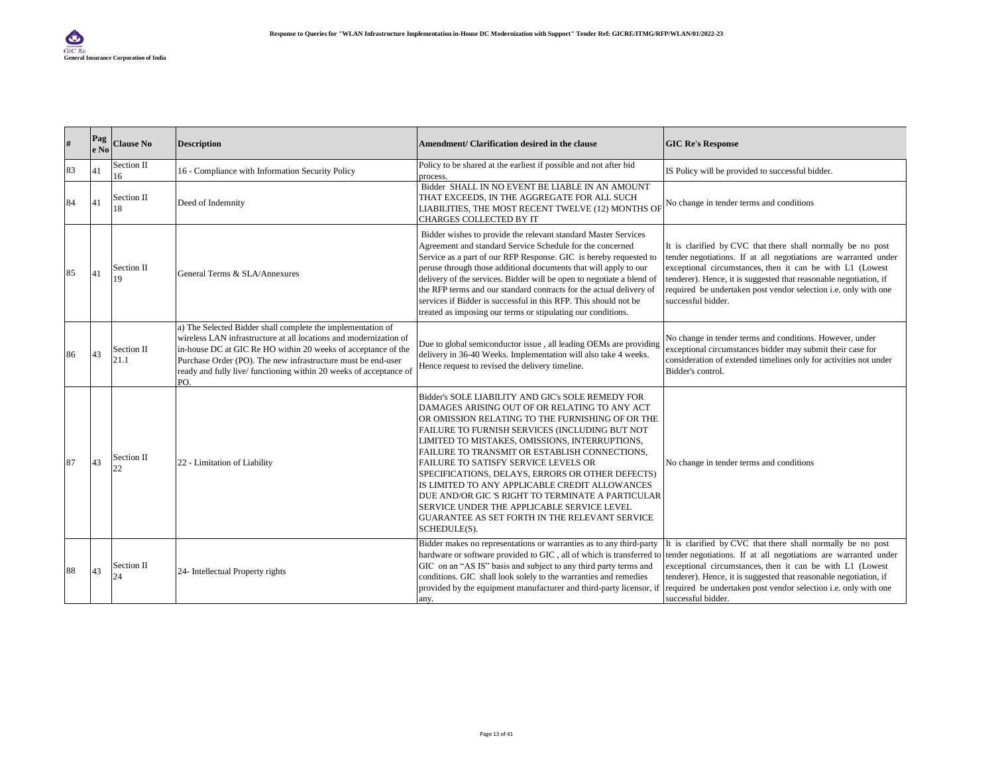| #  | Pag<br>e No | <b>Clause No</b>   | <b>Description</b>                                                                                                                                                                                                                                                                                                                             | Amendment/ Clarification desired in the clause                                                                                                                                                                                                                                                                                                                                                                                                                                                                                                                                                                                 | <b>GIC Re's Response</b>                                                                                                                                                                                                                                                                                                                                  |
|----|-------------|--------------------|------------------------------------------------------------------------------------------------------------------------------------------------------------------------------------------------------------------------------------------------------------------------------------------------------------------------------------------------|--------------------------------------------------------------------------------------------------------------------------------------------------------------------------------------------------------------------------------------------------------------------------------------------------------------------------------------------------------------------------------------------------------------------------------------------------------------------------------------------------------------------------------------------------------------------------------------------------------------------------------|-----------------------------------------------------------------------------------------------------------------------------------------------------------------------------------------------------------------------------------------------------------------------------------------------------------------------------------------------------------|
| 83 | 41          | Section II<br>16   | 16 - Compliance with Information Security Policy                                                                                                                                                                                                                                                                                               | Policy to be shared at the earliest if possible and not after bid<br>process.                                                                                                                                                                                                                                                                                                                                                                                                                                                                                                                                                  | IS Policy will be provided to successful bidder.                                                                                                                                                                                                                                                                                                          |
| 84 | <b>41</b>   | Section II<br>18   | Deed of Indemnity                                                                                                                                                                                                                                                                                                                              | Bidder SHALL IN NO EVENT BE LIABLE IN AN AMOUNT<br>THAT EXCEEDS, IN THE AGGREGATE FOR ALL SUCH<br>LIABILITIES, THE MOST RECENT TWELVE (12) MONTHS OF<br>CHARGES COLLECTED BY IT                                                                                                                                                                                                                                                                                                                                                                                                                                                | No change in tender terms and conditions                                                                                                                                                                                                                                                                                                                  |
| 85 | 41          | Section II<br>19   | General Terms & SLA/Annexures                                                                                                                                                                                                                                                                                                                  | Bidder wishes to provide the relevant standard Master Services<br>Agreement and standard Service Schedule for the concerned<br>Service as a part of our RFP Response. GIC is hereby requested to<br>peruse through those additional documents that will apply to our<br>delivery of the services. Bidder will be open to negotiate a blend of<br>the RFP terms and our standard contracts for the actual delivery of<br>services if Bidder is successful in this RFP. This should not be<br>treated as imposing our terms or stipulating our conditions.                                                                       | It is clarified by CVC that there shall normally be no post<br>tender negotiations. If at all negotiations are warranted under<br>exceptional circumstances, then it can be with L1 (Lowest<br>tenderer). Hence, it is suggested that reasonable negotiation, if<br>required be undertaken post vendor selection i.e. only with one<br>successful bidder. |
| 86 | 43          | Section II<br>21.1 | a) The Selected Bidder shall complete the implementation of<br>wireless LAN infrastructure at all locations and modernization of<br>in-house DC at GIC Re HO within 20 weeks of acceptance of the<br>Purchase Order (PO). The new infrastructure must be end-user<br>ready and fully live/ functioning within 20 weeks of acceptance of<br>PO. | Due to global semiconductor issue, all leading OEMs are providing<br>delivery in 36-40 Weeks. Implementation will also take 4 weeks.<br>Hence request to revised the delivery timeline.                                                                                                                                                                                                                                                                                                                                                                                                                                        | No change in tender terms and conditions. However, under<br>exceptional circumstances bidder may submit their case for<br>consideration of extended timelines only for activities not under<br>Bidder's control.                                                                                                                                          |
| 87 | 43          | Section II         | 22 - Limitation of Liability                                                                                                                                                                                                                                                                                                                   | Bidder's SOLE LIABILITY AND GIC's SOLE REMEDY FOR<br>DAMAGES ARISING OUT OF OR RELATING TO ANY ACT<br>OR OMISSION RELATING TO THE FURNISHING OF OR THE<br>FAILURE TO FURNISH SERVICES (INCLUDING BUT NOT<br>LIMITED TO MISTAKES, OMISSIONS, INTERRUPTIONS,<br>FAILURE TO TRANSMIT OR ESTABLISH CONNECTIONS,<br>FAILURE TO SATISFY SERVICE LEVELS OR<br>SPECIFICATIONS, DELAYS, ERRORS OR OTHER DEFECTS)<br>IS LIMITED TO ANY APPLICABLE CREDIT ALLOWANCES<br>DUE AND/OR GIC 'S RIGHT TO TERMINATE A PARTICULAR<br>SERVICE UNDER THE APPLICABLE SERVICE LEVEL<br>GUARANTEE AS SET FORTH IN THE RELEVANT SERVICE<br>SCHEDULE(S). | No change in tender terms and conditions                                                                                                                                                                                                                                                                                                                  |
| 88 | 43          | Section II<br>24   | 24- Intellectual Property rights                                                                                                                                                                                                                                                                                                               | Bidder makes no representations or warranties as to any third-party<br>hardware or software provided to GIC, all of which is transferred to<br>GIC on an "AS IS" basis and subject to any third party terms and<br>conditions. GIC shall look solely to the warranties and remedies<br>provided by the equipment manufacturer and third-party licensor, if<br>any.                                                                                                                                                                                                                                                             | It is clarified by CVC that there shall normally be no post<br>tender negotiations. If at all negotiations are warranted under<br>exceptional circumstances, then it can be with L1 (Lowest<br>tenderer). Hence, it is suggested that reasonable negotiation, if<br>required be undertaken post vendor selection i.e. only with one<br>successful bidder. |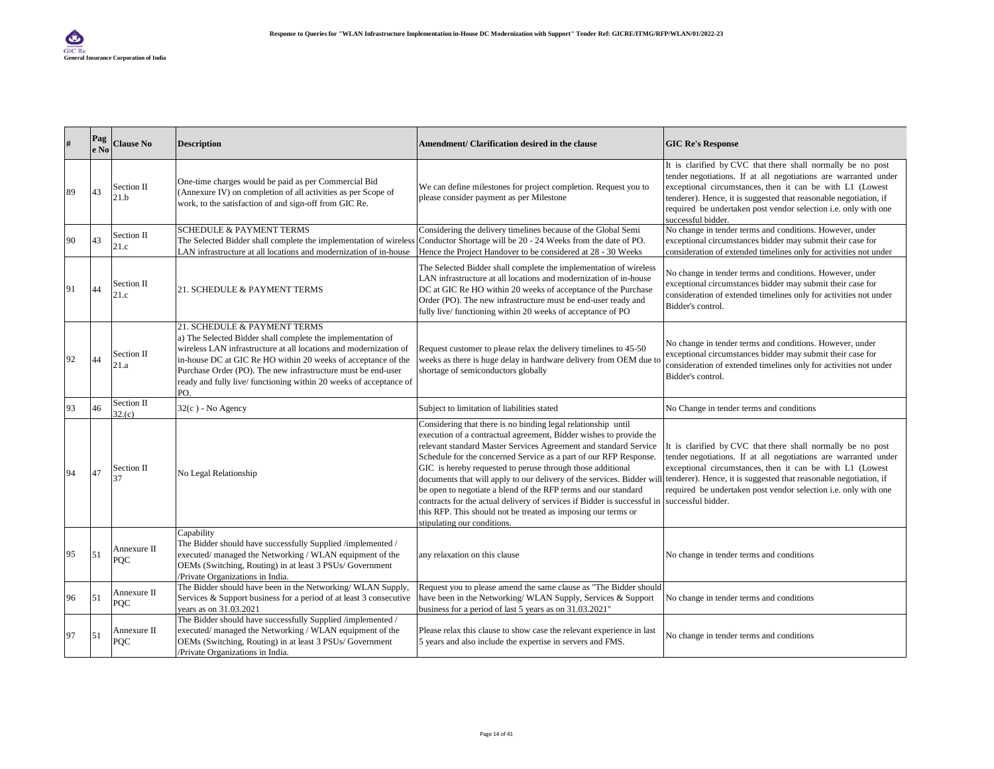| #  | Pag<br>le No | <b>Clause No</b>          | <b>Description</b>                                                                                                                                                                                                                                                                                                                                                             | Amendment/ Clarification desired in the clause                                                                                                                                                                                                                                                                                                                                                                                                                                                                                                                                                                                                                     | <b>GIC Re's Response</b>                                                                                                                                                                                                                                                                                                                                  |
|----|--------------|---------------------------|--------------------------------------------------------------------------------------------------------------------------------------------------------------------------------------------------------------------------------------------------------------------------------------------------------------------------------------------------------------------------------|--------------------------------------------------------------------------------------------------------------------------------------------------------------------------------------------------------------------------------------------------------------------------------------------------------------------------------------------------------------------------------------------------------------------------------------------------------------------------------------------------------------------------------------------------------------------------------------------------------------------------------------------------------------------|-----------------------------------------------------------------------------------------------------------------------------------------------------------------------------------------------------------------------------------------------------------------------------------------------------------------------------------------------------------|
| 89 | 43           | Section II<br>21.b        | One-time charges would be paid as per Commercial Bid<br>(Annexure IV) on completion of all activities as per Scope of<br>work, to the satisfaction of and sign-off from GIC Re.                                                                                                                                                                                                | We can define milestones for project completion. Request you to<br>please consider payment as per Milestone                                                                                                                                                                                                                                                                                                                                                                                                                                                                                                                                                        | It is clarified by CVC that there shall normally be no post<br>tender negotiations. If at all negotiations are warranted under<br>exceptional circumstances, then it can be with L1 (Lowest<br>tenderer). Hence, it is suggested that reasonable negotiation, if<br>required be undertaken post vendor selection i.e. only with one<br>successful bidder. |
| 90 | 43           | Section II<br>21.c        | <b>SCHEDULE &amp; PAYMENT TERMS</b><br>The Selected Bidder shall complete the implementation of wireless<br>LAN infrastructure at all locations and modernization of in-house                                                                                                                                                                                                  | Considering the delivery timelines because of the Global Semi<br>Conductor Shortage will be 20 - 24 Weeks from the date of PO.<br>Hence the Project Handover to be considered at 28 - 30 Weeks                                                                                                                                                                                                                                                                                                                                                                                                                                                                     | No change in tender terms and conditions. However, under<br>exceptional circumstances bidder may submit their case for<br>consideration of extended timelines only for activities not under                                                                                                                                                               |
| 91 | 44           | Section II<br>21.c        | 21. SCHEDULE & PAYMENT TERMS                                                                                                                                                                                                                                                                                                                                                   | The Selected Bidder shall complete the implementation of wireless<br>LAN infrastructure at all locations and modernization of in-house<br>DC at GIC Re HO within 20 weeks of acceptance of the Purchase<br>Order (PO). The new infrastructure must be end-user ready and<br>fully live/ functioning within 20 weeks of acceptance of PO                                                                                                                                                                                                                                                                                                                            | No change in tender terms and conditions. However, under<br>exceptional circumstances bidder may submit their case for<br>consideration of extended timelines only for activities not under<br>Bidder's control.                                                                                                                                          |
| 92 | 44           | Section II<br>21.a        | 21. SCHEDULE & PAYMENT TERMS<br>a) The Selected Bidder shall complete the implementation of<br>wireless LAN infrastructure at all locations and modernization of<br>in-house DC at GIC Re HO within 20 weeks of acceptance of the<br>Purchase Order (PO). The new infrastructure must be end-user<br>ready and fully live/ functioning within 20 weeks of acceptance of<br>PO. | Request customer to please relax the delivery timelines to 45-50<br>weeks as there is huge delay in hardware delivery from OEM due to<br>shortage of semiconductors globally                                                                                                                                                                                                                                                                                                                                                                                                                                                                                       | No change in tender terms and conditions. However, under<br>exceptional circumstances bidder may submit their case for<br>consideration of extended timelines only for activities not under<br>Bidder's control.                                                                                                                                          |
| 93 | 46           | Section II<br>32.(c)      | $32(c)$ - No Agency                                                                                                                                                                                                                                                                                                                                                            | Subject to limitation of liabilities stated                                                                                                                                                                                                                                                                                                                                                                                                                                                                                                                                                                                                                        | No Change in tender terms and conditions                                                                                                                                                                                                                                                                                                                  |
| 94 | 47           | Section II<br>37          | No Legal Relationship                                                                                                                                                                                                                                                                                                                                                          | Considering that there is no binding legal relationship until<br>execution of a contractual agreement, Bidder wishes to provide the<br>relevant standard Master Services Agreement and standard Service<br>Schedule for the concerned Service as a part of our RFP Response.<br>GIC is hereby requested to peruse through those additional<br>documents that will apply to our delivery of the services. Bidder will<br>be open to negotiate a blend of the RFP terms and our standard<br>contracts for the actual delivery of services if Bidder is successful in<br>this RFP. This should not be treated as imposing our terms or<br>stipulating our conditions. | It is clarified by CVC that there shall normally be no post<br>tender negotiations. If at all negotiations are warranted under<br>exceptional circumstances, then it can be with L1 (Lowest<br>tenderer). Hence, it is suggested that reasonable negotiation, if<br>required be undertaken post vendor selection i.e. only with one<br>successful bidder. |
| 95 | 51           | Annexure II<br><b>PQC</b> | Capability<br>The Bidder should have successfully Supplied /implemented /<br>executed/managed the Networking / WLAN equipment of the<br>OEMs (Switching, Routing) in at least 3 PSUs/ Government<br>/Private Organizations in India.                                                                                                                                           | any relaxation on this clause                                                                                                                                                                                                                                                                                                                                                                                                                                                                                                                                                                                                                                      | No change in tender terms and conditions                                                                                                                                                                                                                                                                                                                  |
| 96 | <b>51</b>    | Annexure II<br>POC        | The Bidder should have been in the Networking/WLAN Supply,<br>Services & Support business for a period of at least 3 consecutive<br>vears as on 31.03.2021                                                                                                                                                                                                                     | Request you to please amend the same clause as "The Bidder should<br>have been in the Networking/WLAN Supply, Services & Support<br>business for a period of last 5 years as on 31.03.2021"                                                                                                                                                                                                                                                                                                                                                                                                                                                                        | No change in tender terms and conditions                                                                                                                                                                                                                                                                                                                  |
| 97 | 151          | Annexure II<br>POC        | The Bidder should have successfully Supplied /implemented /<br>executed/managed the Networking / WLAN equipment of the<br>OEMs (Switching, Routing) in at least 3 PSUs/Government<br>/Private Organizations in India.                                                                                                                                                          | Please relax this clause to show case the relevant experience in last<br>5 years and also include the expertise in servers and FMS.                                                                                                                                                                                                                                                                                                                                                                                                                                                                                                                                | No change in tender terms and conditions                                                                                                                                                                                                                                                                                                                  |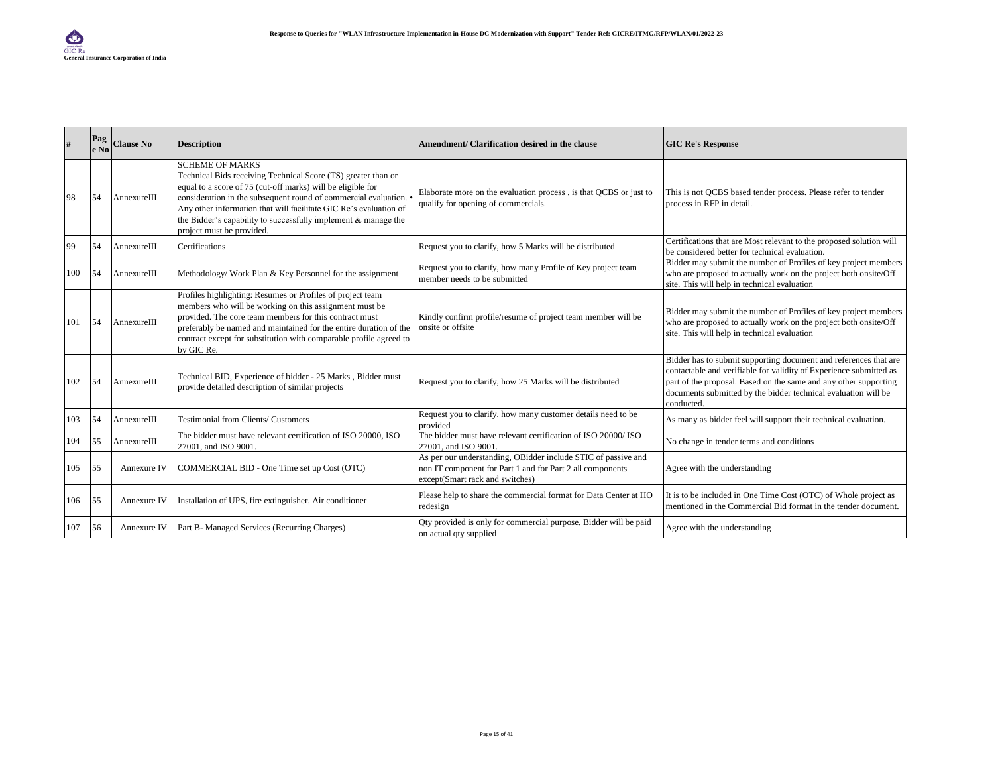|     | Pag<br>e No | <b>Clause No</b> | <b>Description</b>                                                                                                                                                                                                                                                                                                                                                                            | Amendment/ Clarification desired in the clause                                                                                                                | <b>GIC Re's Response</b>                                                                                                                                                                                                                                                                   |
|-----|-------------|------------------|-----------------------------------------------------------------------------------------------------------------------------------------------------------------------------------------------------------------------------------------------------------------------------------------------------------------------------------------------------------------------------------------------|---------------------------------------------------------------------------------------------------------------------------------------------------------------|--------------------------------------------------------------------------------------------------------------------------------------------------------------------------------------------------------------------------------------------------------------------------------------------|
| 98  | 54          | AnnexureIII      | <b>SCHEME OF MARKS</b><br>Technical Bids receiving Technical Score (TS) greater than or<br>equal to a score of 75 (cut-off marks) will be eligible for<br>consideration in the subsequent round of commercial evaluation.<br>Any other information that will facilitate GIC Re's evaluation of<br>the Bidder's capability to successfully implement & manage the<br>project must be provided. | Elaborate more on the evaluation process, is that QCBS or just to<br>qualify for opening of commercials.                                                      | This is not QCBS based tender process. Please refer to tender<br>process in RFP in detail.                                                                                                                                                                                                 |
| 99  | 54          | AnnexureIII      | Certifications                                                                                                                                                                                                                                                                                                                                                                                | Request you to clarify, how 5 Marks will be distributed                                                                                                       | Certifications that are Most relevant to the proposed solution will<br>be considered better for technical evaluation.                                                                                                                                                                      |
| 100 | 54          | AnnexureIII      | Methodology/ Work Plan & Key Personnel for the assignment                                                                                                                                                                                                                                                                                                                                     | Request you to clarify, how many Profile of Key project team<br>member needs to be submitted                                                                  | Bidder may submit the number of Profiles of key project members<br>who are proposed to actually work on the project both onsite/Off<br>site. This will help in technical evaluation                                                                                                        |
| 101 | .54         | AnnexureIII      | Profiles highlighting: Resumes or Profiles of project team<br>members who will be working on this assignment must be<br>provided. The core team members for this contract must<br>preferably be named and maintained for the entire duration of the<br>contract except for substitution with comparable profile agreed to<br>by GIC Re.                                                       | Kindly confirm profile/resume of project team member will be<br>onsite or offsite                                                                             | Bidder may submit the number of Profiles of key project members<br>who are proposed to actually work on the project both onsite/Off<br>site. This will help in technical evaluation                                                                                                        |
| 102 | 54          | AnnexureIII      | Technical BID, Experience of bidder - 25 Marks, Bidder must<br>provide detailed description of similar projects                                                                                                                                                                                                                                                                               | Request you to clarify, how 25 Marks will be distributed                                                                                                      | Bidder has to submit supporting document and references that are<br>contactable and verifiable for validity of Experience submitted as<br>part of the proposal. Based on the same and any other supporting<br>documents submitted by the bidder technical evaluation will be<br>conducted. |
| 103 | 54          | AnnexureIII      | Testimonial from Clients/ Customers                                                                                                                                                                                                                                                                                                                                                           | Request you to clarify, how many customer details need to be<br>provided                                                                                      | As many as bidder feel will support their technical evaluation.                                                                                                                                                                                                                            |
| 104 | 55          | AnnexureIII      | The bidder must have relevant certification of ISO 20000, ISO<br>27001, and ISO 9001.                                                                                                                                                                                                                                                                                                         | The bidder must have relevant certification of ISO 20000/ISO<br>27001, and ISO 9001                                                                           | No change in tender terms and conditions                                                                                                                                                                                                                                                   |
| 105 | 55          | Annexure IV      | COMMERCIAL BID - One Time set up Cost (OTC)                                                                                                                                                                                                                                                                                                                                                   | As per our understanding, OBidder include STIC of passive and<br>non IT component for Part 1 and for Part 2 all components<br>except(Smart rack and switches) | Agree with the understanding                                                                                                                                                                                                                                                               |
| 106 | 55          | Annexure IV      | Installation of UPS, fire extinguisher, Air conditioner                                                                                                                                                                                                                                                                                                                                       | Please help to share the commercial format for Data Center at HO<br>redesign                                                                                  | It is to be included in One Time Cost (OTC) of Whole project as<br>mentioned in the Commercial Bid format in the tender document.                                                                                                                                                          |
| 107 | 56          | Annexure IV      | Part B- Managed Services (Recurring Charges)                                                                                                                                                                                                                                                                                                                                                  | Qty provided is only for commercial purpose, Bidder will be paid<br>on actual qty supplied                                                                    | Agree with the understanding                                                                                                                                                                                                                                                               |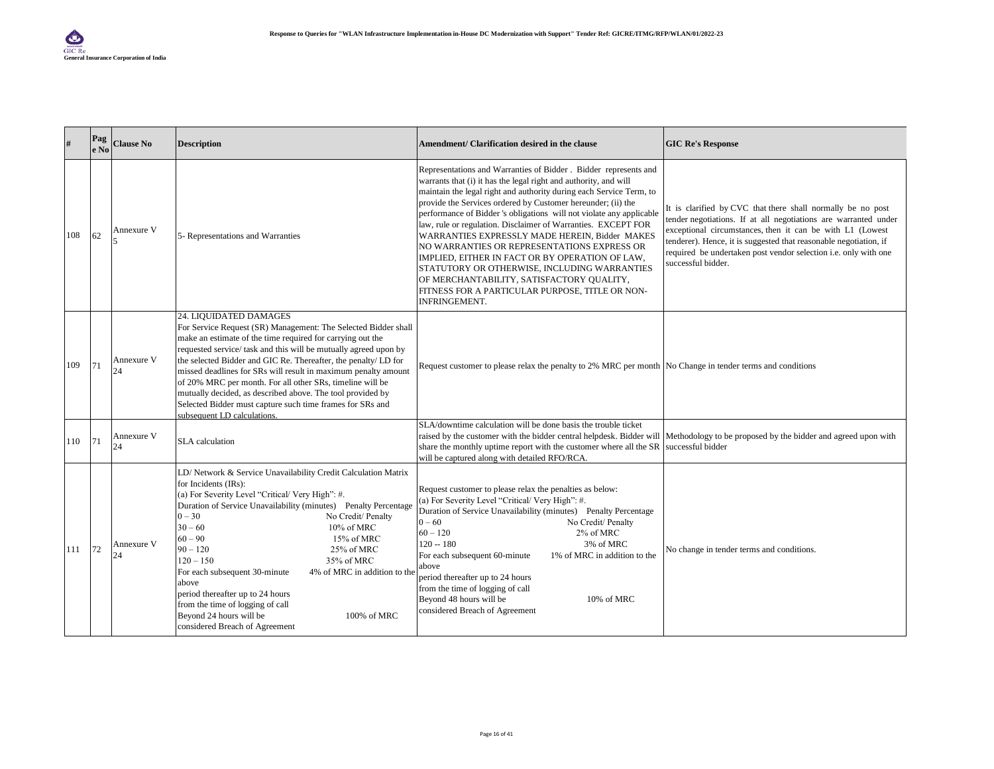| #   | $\mathbf{P}\mathbf{a}\mathbf{g}$<br>e No | <b>Clause No</b> | <b>Description</b>                                                                                                                                                                                                                                                                                                                                                                                                                                                                                                                                                                           | Amendment/ Clarification desired in the clause                                                                                                                                                                                                                                                                                                                                                                                                                                                                                                                                                                                                                                                                                                   | <b>GIC Re's Response</b>                                                                                                                                                                                                                                                                                                                                  |
|-----|------------------------------------------|------------------|----------------------------------------------------------------------------------------------------------------------------------------------------------------------------------------------------------------------------------------------------------------------------------------------------------------------------------------------------------------------------------------------------------------------------------------------------------------------------------------------------------------------------------------------------------------------------------------------|--------------------------------------------------------------------------------------------------------------------------------------------------------------------------------------------------------------------------------------------------------------------------------------------------------------------------------------------------------------------------------------------------------------------------------------------------------------------------------------------------------------------------------------------------------------------------------------------------------------------------------------------------------------------------------------------------------------------------------------------------|-----------------------------------------------------------------------------------------------------------------------------------------------------------------------------------------------------------------------------------------------------------------------------------------------------------------------------------------------------------|
| 108 | 62                                       | Annexure V       | 5- Representations and Warranties                                                                                                                                                                                                                                                                                                                                                                                                                                                                                                                                                            | Representations and Warranties of Bidder . Bidder represents and<br>warrants that (i) it has the legal right and authority, and will<br>maintain the legal right and authority during each Service Term, to<br>provide the Services ordered by Customer hereunder; (ii) the<br>performance of Bidder 's obligations will not violate any applicable<br>law, rule or regulation. Disclaimer of Warranties. EXCEPT FOR<br>WARRANTIES EXPRESSLY MADE HEREIN, Bidder MAKES<br>NO WARRANTIES OR REPRESENTATIONS EXPRESS OR<br>IMPLIED, EITHER IN FACT OR BY OPERATION OF LAW,<br>STATUTORY OR OTHERWISE, INCLUDING WARRANTIES<br>OF MERCHANTABILITY, SATISFACTORY QUALITY,<br>FITNESS FOR A PARTICULAR PURPOSE, TITLE OR NON-<br><b>INFRINGEMENT.</b> | It is clarified by CVC that there shall normally be no post<br>tender negotiations. If at all negotiations are warranted under<br>exceptional circumstances, then it can be with L1 (Lowest<br>tenderer). Hence, it is suggested that reasonable negotiation, if<br>required be undertaken post vendor selection i.e. only with one<br>successful bidder. |
| 109 | 71                                       | Annexure V<br>24 | 24. LIQUIDATED DAMAGES<br>For Service Request (SR) Management: The Selected Bidder shall<br>make an estimate of the time required for carrying out the<br>requested service/ task and this will be mutually agreed upon by<br>the selected Bidder and GIC Re. Thereafter, the penalty/ LD for<br>missed deadlines for SRs will result in maximum penalty amount<br>of 20% MRC per month. For all other SRs, timeline will be<br>mutually decided, as described above. The tool provided by<br>Selected Bidder must capture such time frames for SRs and<br>subsequent LD calculations.       | Request customer to please relax the penalty to 2% MRC per month No Change in tender terms and conditions                                                                                                                                                                                                                                                                                                                                                                                                                                                                                                                                                                                                                                        |                                                                                                                                                                                                                                                                                                                                                           |
| 110 | 171                                      | Annexure V<br>24 | SLA calculation                                                                                                                                                                                                                                                                                                                                                                                                                                                                                                                                                                              | SLA/downtime calculation will be done basis the trouble ticket<br>raised by the customer with the bidder central helpdesk. Bidder will Methodology to be proposed by the bidder and agreed upon with<br>share the monthly uptime report with the customer where all the SR successful bidder<br>will be captured along with detailed RFO/RCA.                                                                                                                                                                                                                                                                                                                                                                                                    |                                                                                                                                                                                                                                                                                                                                                           |
| 111 | 72                                       | Annexure V<br>24 | LD/ Network & Service Unavailability Credit Calculation Matrix<br>for Incidents (IRs):<br>(a) For Severity Level "Critical/ Very High": #.<br>Duration of Service Unavailability (minutes) Penalty Percentage<br>$0 - 30$<br>No Credit/ Penalty<br>$30 - 60$<br>10% of MRC<br>$60 - 90$<br>15% of MRC<br>$90 - 120$<br>25% of MRC<br>$120 - 150$<br>35% of MRC<br>For each subsequent 30-minute<br>4% of MRC in addition to the<br>above<br>period thereafter up to 24 hours<br>from the time of logging of call<br>Beyond 24 hours will be<br>100% of MRC<br>considered Breach of Agreement | Request customer to please relax the penalties as below:<br>(a) For Severity Level "Critical/ Very High": #.<br>Duration of Service Unavailability (minutes) Penalty Percentage<br>$0 - 60$<br>No Credit/ Penalty<br>$60 - 120$<br>2% of MRC<br>$120 - 180$<br>3% of MRC<br>For each subsequent 60-minute<br>1% of MRC in addition to the<br>above<br>period thereafter up to 24 hours<br>from the time of logging of call<br>Beyond 48 hours will be<br>10% of MRC<br>considered Breach of Agreement                                                                                                                                                                                                                                            | No change in tender terms and conditions.                                                                                                                                                                                                                                                                                                                 |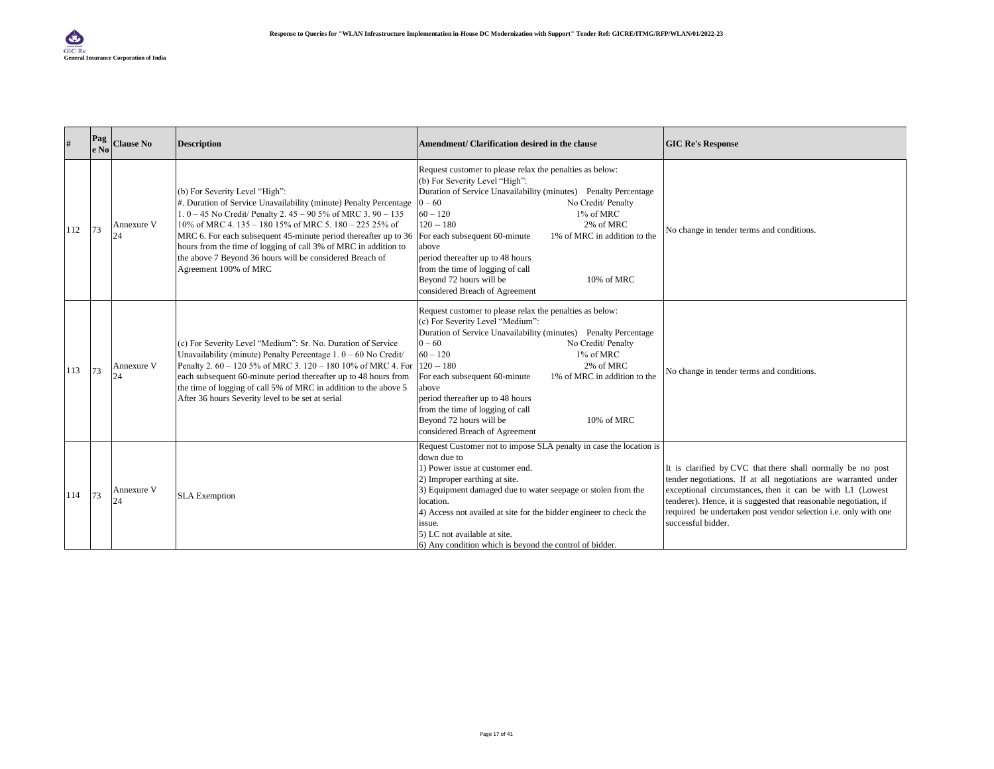| #   | Pag<br>$e$ No | <b>Clause No</b> | <b>Description</b>                                                                                                                                                                                                                                                                                                                                                                                                                                                                          | Amendment/ Clarification desired in the clause                                                                                                                                                                                                                                                                                                                                                                                                                         | <b>GIC Re's Response</b>                                                                                                                                                                                                                                                                                                                                  |
|-----|---------------|------------------|---------------------------------------------------------------------------------------------------------------------------------------------------------------------------------------------------------------------------------------------------------------------------------------------------------------------------------------------------------------------------------------------------------------------------------------------------------------------------------------------|------------------------------------------------------------------------------------------------------------------------------------------------------------------------------------------------------------------------------------------------------------------------------------------------------------------------------------------------------------------------------------------------------------------------------------------------------------------------|-----------------------------------------------------------------------------------------------------------------------------------------------------------------------------------------------------------------------------------------------------------------------------------------------------------------------------------------------------------|
| 112 | 73            | Annexure V<br>24 | (b) For Severity Level "High":<br>#. Duration of Service Unavailability (minute) Penalty Percentage<br>1. $0 - 45$ No Credit/ Penalty 2. $45 - 90$ 5% of MRC 3. $90 - 135$<br>10% of MRC 4.135 - 180 15% of MRC 5.180 - 225 25% of<br>MRC 6. For each subsequent 45-minute period thereafter up to 36 For each subsequent 60-minute<br>hours from the time of logging of call 3% of MRC in addition to<br>the above 7 Beyond 36 hours will be considered Breach of<br>Agreement 100% of MRC | Request customer to please relax the penalties as below:<br>(b) For Severity Level "High":<br>Duration of Service Unavailability (minutes) Penalty Percentage<br>No Credit/ Penalty<br>$0 - 60$<br>$60 - 120$<br>1% of MRC<br>$120 - 180$<br>2% of MRC<br>1% of MRC in addition to the<br>above<br>period thereafter up to 48 hours<br>from the time of logging of call<br>Beyond 72 hours will be<br>10% of MRC<br>considered Breach of Agreement                     | No change in tender terms and conditions.                                                                                                                                                                                                                                                                                                                 |
| 113 | 73            | Annexure V<br>24 | (c) For Severity Level "Medium": Sr. No. Duration of Service<br>Unavailability (minute) Penalty Percentage $1.0 - 60$ No Credit/<br>Penalty 2. 60 - 120 5% of MRC 3. 120 - 180 10% of MRC 4. For 120 -- 180<br>each subsequent 60-minute period thereafter up to 48 hours from<br>the time of logging of call 5% of MRC in addition to the above 5<br>After 36 hours Severity level to be set at serial                                                                                     | Request customer to please relax the penalties as below:<br>(c) For Severity Level "Medium":<br>Duration of Service Unavailability (minutes) Penalty Percentage<br>$0 - 60$<br>No Credit/ Penalty<br>$60 - 120$<br>1% of MRC<br>2% of MRC<br>1% of MRC in addition to the<br>For each subsequent 60-minute<br>above<br>period thereafter up to 48 hours<br>from the time of logging of call<br>Beyond 72 hours will be<br>10% of MRC<br>considered Breach of Agreement | No change in tender terms and conditions.                                                                                                                                                                                                                                                                                                                 |
| 114 | 73            | Annexure V<br>24 | <b>SLA</b> Exemption                                                                                                                                                                                                                                                                                                                                                                                                                                                                        | Request Customer not to impose SLA penalty in case the location is<br>down due to<br>1) Power issue at customer end.<br>2) Improper earthing at site.<br>3) Equipment damaged due to water seepage or stolen from the<br>location.<br>4) Access not availed at site for the bidder engineer to check the<br>issue.<br>5) LC not available at site.<br>6) Any condition which is beyond the control of bidder.                                                          | It is clarified by CVC that there shall normally be no post<br>tender negotiations. If at all negotiations are warranted under<br>exceptional circumstances, then it can be with L1 (Lowest<br>tenderer). Hence, it is suggested that reasonable negotiation, if<br>required be undertaken post vendor selection i.e. only with one<br>successful bidder. |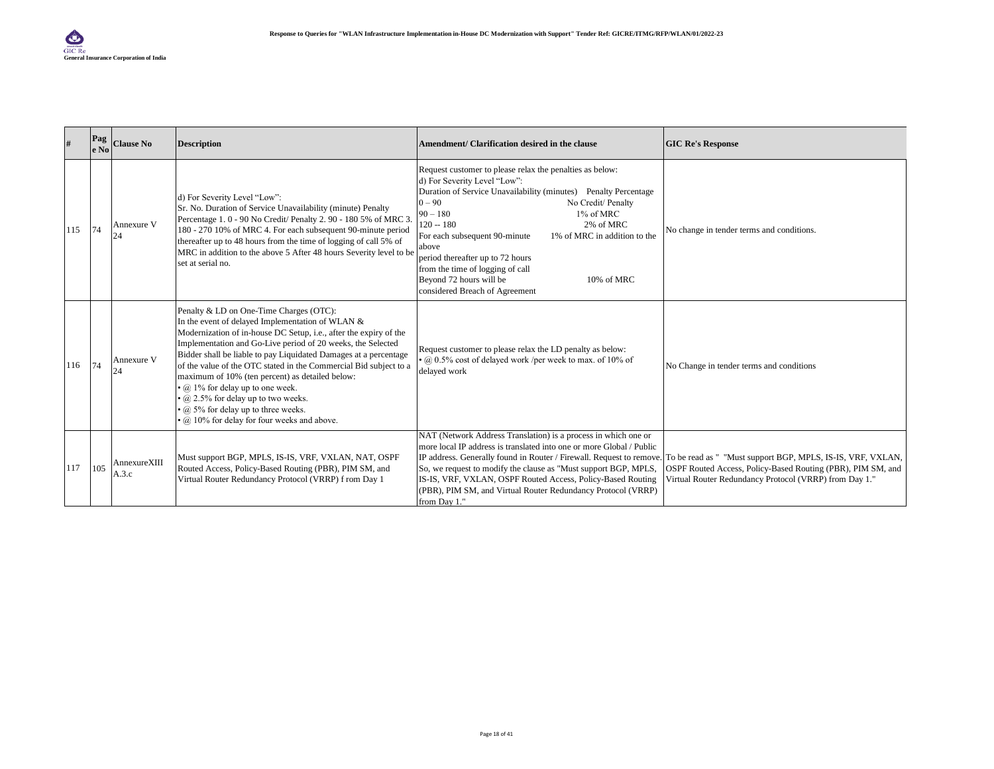| #   | Pag<br>e No | <b>Clause No</b>      | <b>Description</b>                                                                                                                                                                                                                                                                                                                                                                                                                                                                                                                                                                                             | Amendment/ Clarification desired in the clause                                                                                                                                                                                                                                                                                                                                                                                                                                               | <b>GIC Re's Response</b>                                                                                              |
|-----|-------------|-----------------------|----------------------------------------------------------------------------------------------------------------------------------------------------------------------------------------------------------------------------------------------------------------------------------------------------------------------------------------------------------------------------------------------------------------------------------------------------------------------------------------------------------------------------------------------------------------------------------------------------------------|----------------------------------------------------------------------------------------------------------------------------------------------------------------------------------------------------------------------------------------------------------------------------------------------------------------------------------------------------------------------------------------------------------------------------------------------------------------------------------------------|-----------------------------------------------------------------------------------------------------------------------|
| 115 | 74          | Annexure V<br>24      | d) For Severity Level "Low":<br>Sr. No. Duration of Service Unavailability (minute) Penalty<br>Percentage 1.0 - 90 No Credit/ Penalty 2.90 - 180 5% of MRC 3.<br>180 - 270 10% of MRC 4. For each subsequent 90-minute period<br>thereafter up to 48 hours from the time of logging of call 5% of<br>MRC in addition to the above 5 After 48 hours Severity level to be<br>set at serial no.                                                                                                                                                                                                                   | Request customer to please relax the penalties as below:<br>d) For Severity Level "Low":<br>Duration of Service Unavailability (minutes) Penalty Percentage<br>$0 - 90$<br>No Credit/ Penalty<br>1% of MRC<br>$90 - 180$<br>$120 - 180$<br>2% of MRC<br>1% of MRC in addition to the<br>For each subsequent 90-minute<br>above<br>period thereafter up to 72 hours<br>from the time of logging of call<br>Beyond 72 hours will be<br>10% of MRC<br>considered Breach of Agreement            | No change in tender terms and conditions.                                                                             |
| 116 | 74          | Annexure V<br>24      | Penalty & LD on One-Time Charges (OTC):<br>In the event of delayed Implementation of WLAN &<br>Modernization of in-house DC Setup, i.e., after the expiry of the<br>Implementation and Go-Live period of 20 weeks, the Selected<br>Bidder shall be liable to pay Liquidated Damages at a percentage<br>of the value of the OTC stated in the Commercial Bid subject to a<br>maximum of 10% (ten percent) as detailed below:<br>$\cdot$ @ 1% for delay up to one week.<br>$\cdot$ @ 2.5% for delay up to two weeks.<br>$\cdot$ @ 5% for delay up to three weeks.<br>· @ 10% for delay for four weeks and above. | Request customer to please relax the LD penalty as below:<br>$\cdot$ @ 0.5% cost of delayed work /per week to max. of 10% of<br>delayed work                                                                                                                                                                                                                                                                                                                                                 | No Change in tender terms and conditions                                                                              |
| 117 | 105         | AnnexureXIII<br>A.3.c | Must support BGP, MPLS, IS-IS, VRF, VXLAN, NAT, OSPF<br>Routed Access, Policy-Based Routing (PBR), PIM SM, and<br>Virtual Router Redundancy Protocol (VRRP) f rom Day 1                                                                                                                                                                                                                                                                                                                                                                                                                                        | NAT (Network Address Translation) is a process in which one or<br>more local IP address is translated into one or more Global / Public<br>IP address. Generally found in Router / Firewall. Request to remove. To be read as " "Must support BGP, MPLS, IS-IS, VRF, VXLAN,<br>So, we request to modify the clause as "Must support BGP, MPLS,<br>IS-IS, VRF, VXLAN, OSPF Routed Access, Policy-Based Routing<br>(PBR), PIM SM, and Virtual Router Redundancy Protocol (VRRP)<br>from Day 1." | OSPF Routed Access, Policy-Based Routing (PBR), PIM SM, and<br>Virtual Router Redundancy Protocol (VRRP) from Day 1." |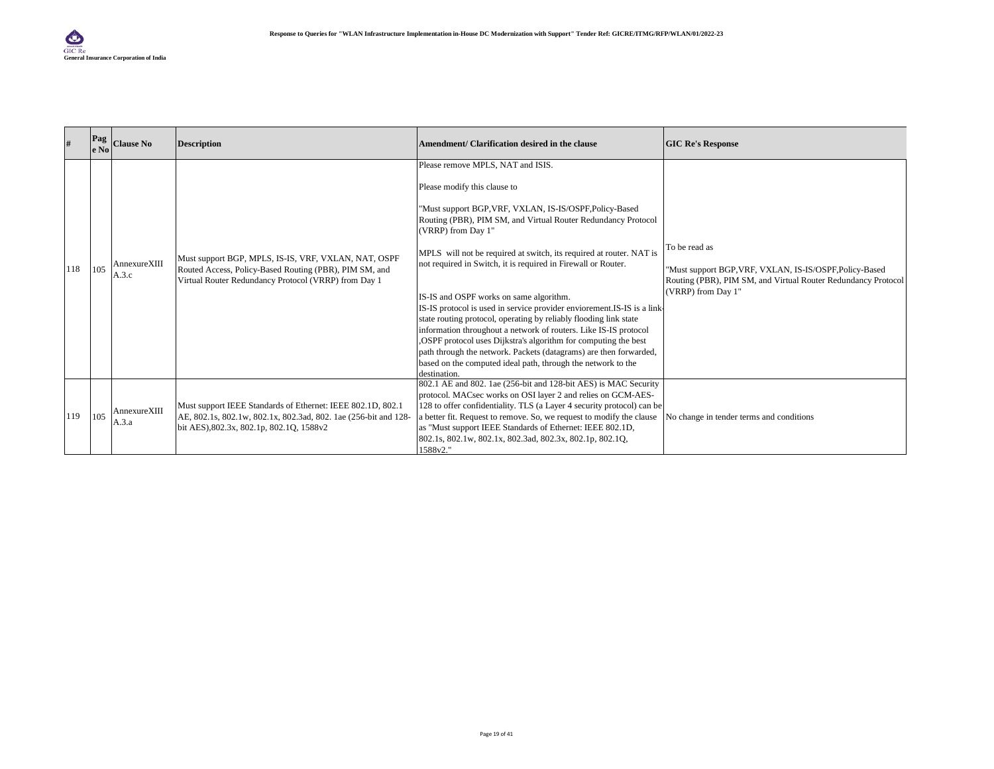|     | Pag<br>e No | <b>Clause No</b>              | <b>Description</b>                                                                                                                                                         | Amendment/ Clarification desired in the clause                                                                                                                                                                                                                                                                                                                                                                                                                                                                                                                                                                                                                                                                                                                                                                                                    | <b>GIC Re's Response</b>                                                                                                                                        |
|-----|-------------|-------------------------------|----------------------------------------------------------------------------------------------------------------------------------------------------------------------------|---------------------------------------------------------------------------------------------------------------------------------------------------------------------------------------------------------------------------------------------------------------------------------------------------------------------------------------------------------------------------------------------------------------------------------------------------------------------------------------------------------------------------------------------------------------------------------------------------------------------------------------------------------------------------------------------------------------------------------------------------------------------------------------------------------------------------------------------------|-----------------------------------------------------------------------------------------------------------------------------------------------------------------|
| 118 | 105         | $An nexture XIII \\$<br>A.3.c | Must support BGP, MPLS, IS-IS, VRF, VXLAN, NAT, OSPF<br>Routed Access, Policy-Based Routing (PBR), PIM SM, and<br>Virtual Router Redundancy Protocol (VRRP) from Day 1     | Please remove MPLS, NAT and ISIS.<br>Please modify this clause to<br>"Must support BGP, VRF, VXLAN, IS-IS/OSPF, Policy-Based<br>Routing (PBR), PIM SM, and Virtual Router Redundancy Protocol<br>(VRRP) from Day 1"<br>MPLS will not be required at switch, its required at router. NAT is<br>not required in Switch, it is required in Firewall or Router.<br>IS-IS and OSPF works on same algorithm.<br>IS-IS protocol is used in service provider enviorement.IS-IS is a link-<br>state routing protocol, operating by reliably flooding link state<br>information throughout a network of routers. Like IS-IS protocol<br>OSPF protocol uses Dijkstra's algorithm for computing the best<br>path through the network. Packets (datagrams) are then forwarded,<br>based on the computed ideal path, through the network to the<br>destination. | To be read as<br>"Must support BGP, VRF, VXLAN, IS-IS/OSPF, Policy-Based<br>Routing (PBR), PIM SM, and Virtual Router Redundancy Protocol<br>(VRRP) from Day 1" |
| 119 | 105         | AnnexureXIII<br>A.3.a         | Must support IEEE Standards of Ethernet: IEEE 802.1D, 802.1<br>AE, 802.1s, 802.1w, 802.1x, 802.3ad, 802. 1ae (256-bit and 128-<br>bit AES), 802.3x, 802.1p, 802.1Q, 1588v2 | 802.1 AE and 802. 1ae (256-bit and 128-bit AES) is MAC Security<br>protocol. MACsec works on OSI layer 2 and relies on GCM-AES-<br>128 to offer confidentiality. TLS (a Layer 4 security protocol) can be<br>a better fit. Request to remove. So, we request to modify the clause<br>as "Must support IEEE Standards of Ethernet: IEEE 802.1D,<br>802.1s, 802.1w, 802.1x, 802.3ad, 802.3x, 802.1p, 802.1Q,<br>1588v2."                                                                                                                                                                                                                                                                                                                                                                                                                            | No change in tender terms and conditions                                                                                                                        |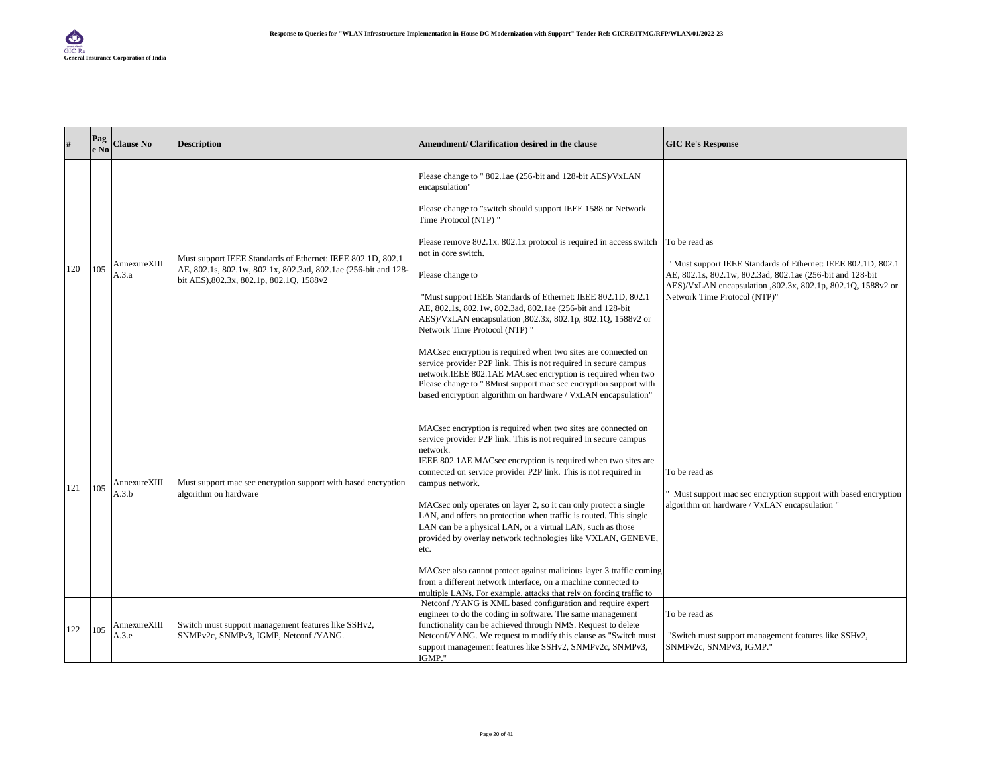| $\#$ | Pag<br>e No | <b>Clause No</b>      | <b>Description</b>                                                                                         | Amendment/ Clarification desired in the clause                                                                                                                                                                                                                                                                                                                                                                                                                                                                                                                                      | <b>GIC Re's Response</b>                                                                                                        |
|------|-------------|-----------------------|------------------------------------------------------------------------------------------------------------|-------------------------------------------------------------------------------------------------------------------------------------------------------------------------------------------------------------------------------------------------------------------------------------------------------------------------------------------------------------------------------------------------------------------------------------------------------------------------------------------------------------------------------------------------------------------------------------|---------------------------------------------------------------------------------------------------------------------------------|
|      |             |                       |                                                                                                            | Please change to "802.1ae (256-bit and 128-bit AES)/VxLAN<br>encapsulation"                                                                                                                                                                                                                                                                                                                                                                                                                                                                                                         |                                                                                                                                 |
|      |             |                       |                                                                                                            | Please change to "switch should support IEEE 1588 or Network<br>Time Protocol (NTP) "                                                                                                                                                                                                                                                                                                                                                                                                                                                                                               |                                                                                                                                 |
|      |             | AnnexureXIII          | Must support IEEE Standards of Ethernet: IEEE 802.1D, 802.1                                                | Please remove 802.1x. 802.1x protocol is required in access switch<br>not in core switch.                                                                                                                                                                                                                                                                                                                                                                                                                                                                                           | To be read as<br>" Must support IEEE Standards of Ethernet: IEEE 802.1D, 802.1                                                  |
| 120  | 105         | A.3.a                 | AE, 802.1s, 802.1w, 802.1x, 802.3ad, 802.1ae (256-bit and 128-<br>bit AES), 802.3x, 802.1p, 802.1Q, 1588v2 | Please change to                                                                                                                                                                                                                                                                                                                                                                                                                                                                                                                                                                    | AE, 802.1s, 802.1w, 802.3ad, 802.1ae (256-bit and 128-bit                                                                       |
|      |             |                       |                                                                                                            | "Must support IEEE Standards of Ethernet: IEEE 802.1D, 802.1<br>AE, 802.1s, 802.1w, 802.3ad, 802.1ae (256-bit and 128-bit<br>AES)/VxLAN encapsulation ,802.3x, 802.1p, 802.1Q, 1588v2 or<br>Network Time Protocol (NTP) "                                                                                                                                                                                                                                                                                                                                                           | AES)/VxLAN encapsulation ,802.3x, 802.1p, 802.1Q, 1588v2 or<br>Network Time Protocol (NTP)"                                     |
|      |             |                       |                                                                                                            | MACsec encryption is required when two sites are connected on<br>service provider P2P link. This is not required in secure campus<br>network.IEEE 802.1AE MACsec encryption is required when two                                                                                                                                                                                                                                                                                                                                                                                    |                                                                                                                                 |
|      |             |                       |                                                                                                            | Please change to " 8Must support mac sec encryption support with<br>based encryption algorithm on hardware / VxLAN encapsulation"                                                                                                                                                                                                                                                                                                                                                                                                                                                   |                                                                                                                                 |
| 121  | 105         | AnnexureXIII<br>A.3.b | Must support mac sec encryption support with based encryption<br>algorithm on hardware                     | MACsec encryption is required when two sites are connected on<br>service provider P2P link. This is not required in secure campus<br>network.<br>IEEE 802.1AE MACsec encryption is required when two sites are<br>connected on service provider P2P link. This is not required in<br>campus network.<br>MACsec only operates on layer 2, so it can only protect a single<br>LAN, and offers no protection when traffic is routed. This single<br>LAN can be a physical LAN, or a virtual LAN, such as those<br>provided by overlay network technologies like VXLAN, GENEVE,<br>etc. | To be read as<br>Must support mac sec encryption support with based encryption<br>algorithm on hardware / VxLAN encapsulation " |
|      |             |                       |                                                                                                            | MACsec also cannot protect against malicious layer 3 traffic coming<br>from a different network interface, on a machine connected to<br>multiple LANs. For example, attacks that rely on forcing traffic to                                                                                                                                                                                                                                                                                                                                                                         |                                                                                                                                 |
| 122  | 105         | AnnexureXIII<br>A.3.e | Switch must support management features like SSHv2,<br>SNMPv2c, SNMPv3, IGMP, Netconf /YANG.               | Netconf /YANG is XML based configuration and require expert<br>engineer to do the coding in software. The same management<br>functionality can be achieved through NMS. Request to delete<br>Netconf/YANG. We request to modify this clause as "Switch must"<br>support management features like SSHv2, SNMPv2c, SNMPv3,<br>IGMP."                                                                                                                                                                                                                                                  | To be read as<br>"Switch must support management features like SSHv2,<br>SNMPv2c, SNMPv3, IGMP."                                |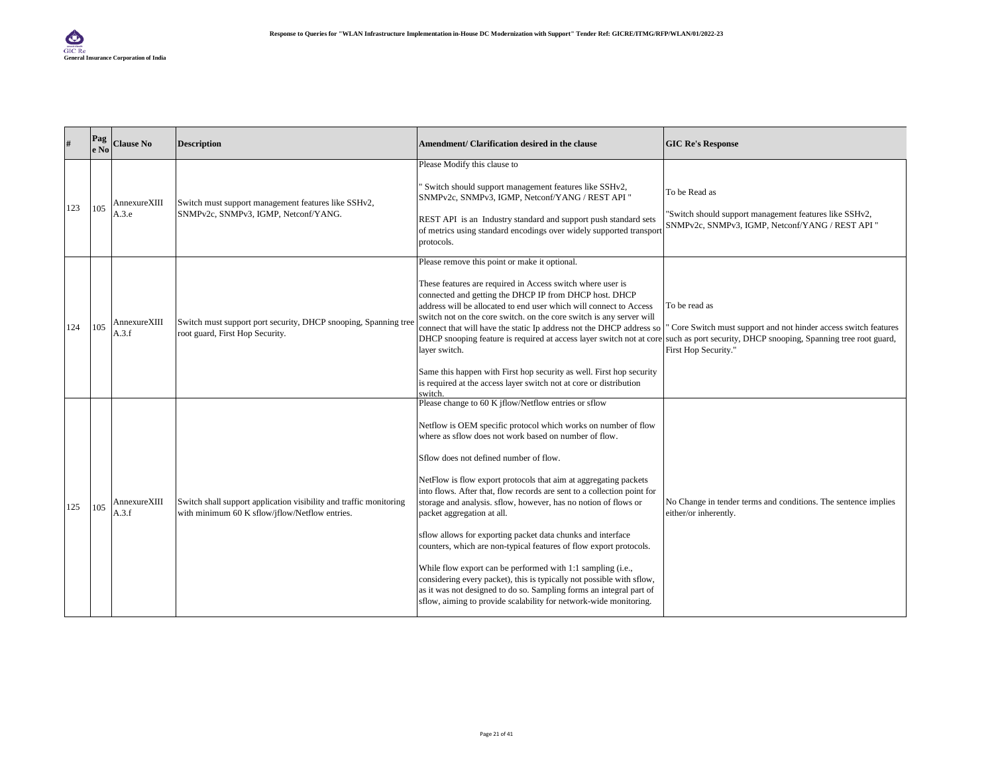| #   | Pag<br>le No | <b>Clause No</b>      | <b>Description</b>                                                                                                   | Amendment/ Clarification desired in the clause                                                                                                                                                                                                                                                                                                                                                                                                                                                                                                                                                                                                                                                                                                                                                                                                                                                     | <b>GIC Re's Response</b>                                                                                                                                                   |
|-----|--------------|-----------------------|----------------------------------------------------------------------------------------------------------------------|----------------------------------------------------------------------------------------------------------------------------------------------------------------------------------------------------------------------------------------------------------------------------------------------------------------------------------------------------------------------------------------------------------------------------------------------------------------------------------------------------------------------------------------------------------------------------------------------------------------------------------------------------------------------------------------------------------------------------------------------------------------------------------------------------------------------------------------------------------------------------------------------------|----------------------------------------------------------------------------------------------------------------------------------------------------------------------------|
| 123 | 105          | AnnexureXIII<br>A.3.e | Switch must support management features like SSHv2,<br>SNMPv2c, SNMPv3, IGMP, Netconf/YANG.                          | Please Modify this clause to<br>'Switch should support management features like SSHv2,<br>SNMPv2c, SNMPv3, IGMP, Netconf/YANG / REST API "<br>REST API is an Industry standard and support push standard sets<br>of metrics using standard encodings over widely supported transport<br>protocols.                                                                                                                                                                                                                                                                                                                                                                                                                                                                                                                                                                                                 | To be Read as<br>"Switch should support management features like SSHv2,<br>SNMPv2c, SNMPv3, IGMP, Netconf/YANG / REST API "                                                |
| 124 | 105          | AnnexureXIII<br>A.3.f | Switch must support port security, DHCP snooping, Spanning tree<br>root guard, First Hop Security.                   | Please remove this point or make it optional.<br>These features are required in Access switch where user is<br>connected and getting the DHCP IP from DHCP host. DHCP<br>address will be allocated to end user which will connect to Access<br>switch not on the core switch, on the core switch is any server will<br>connect that will have the static Ip address not the DHCP address so<br>DHCP snooping feature is required at access layer switch not at core<br>layer switch.<br>Same this happen with First hop security as well. First hop security<br>is required at the access layer switch not at core or distribution<br>switch.                                                                                                                                                                                                                                                      | To be read as<br>Core Switch must support and not hinder access switch features<br>such as port security, DHCP snooping, Spanning tree root guard,<br>First Hop Security." |
| 125 | 105          | AnnexureXIII<br>A.3.f | Switch shall support application visibility and traffic monitoring<br>with minimum 60 K sflow/jflow/Netflow entries. | Please change to 60 K iflow/Netflow entries or sflow<br>Netflow is OEM specific protocol which works on number of flow<br>where as sflow does not work based on number of flow.<br>Sflow does not defined number of flow.<br>NetFlow is flow export protocols that aim at aggregating packets<br>into flows. After that, flow records are sent to a collection point for<br>storage and analysis. sflow, however, has no notion of flows or<br>packet aggregation at all.<br>sflow allows for exporting packet data chunks and interface<br>counters, which are non-typical features of flow export protocols.<br>While flow export can be performed with 1:1 sampling (i.e.,<br>considering every packet), this is typically not possible with sflow,<br>as it was not designed to do so. Sampling forms an integral part of<br>sflow, aiming to provide scalability for network-wide monitoring. | No Change in tender terms and conditions. The sentence implies<br>either/or inherently.                                                                                    |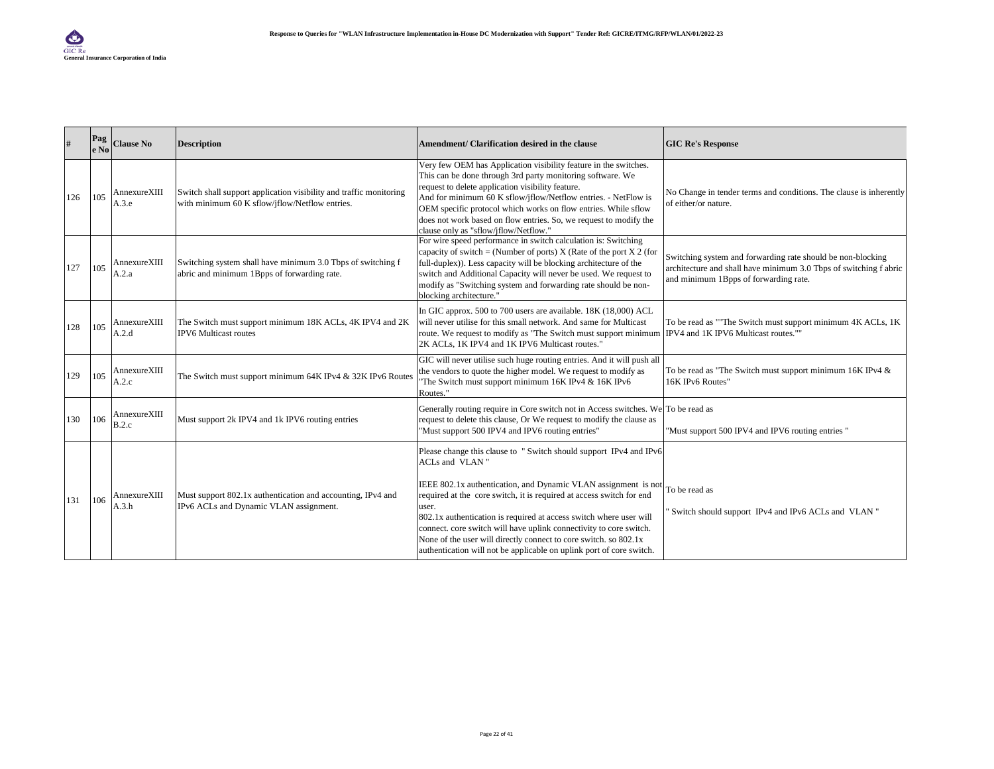|     | Pag<br>le No | <b>Clause No</b>      | <b>Description</b>                                                                                                   | Amendment/ Clarification desired in the clause                                                                                                                                                                                                                                                                                                                                                                                                                                                                                 | <b>GIC Re's Response</b>                                                                                                                                                  |
|-----|--------------|-----------------------|----------------------------------------------------------------------------------------------------------------------|--------------------------------------------------------------------------------------------------------------------------------------------------------------------------------------------------------------------------------------------------------------------------------------------------------------------------------------------------------------------------------------------------------------------------------------------------------------------------------------------------------------------------------|---------------------------------------------------------------------------------------------------------------------------------------------------------------------------|
| 126 | 105          | AnnexureXIII<br>A.3.e | Switch shall support application visibility and traffic monitoring<br>with minimum 60 K sflow/jflow/Netflow entries. | Very few OEM has Application visibility feature in the switches.<br>This can be done through 3rd party monitoring software. We<br>request to delete application visibility feature.<br>And for minimum 60 K sflow/jflow/Netflow entries. - NetFlow is<br>OEM specific protocol which works on flow entries. While sflow<br>does not work based on flow entries. So, we request to modify the<br>clause only as "sflow/jflow/Netflow."                                                                                          | No Change in tender terms and conditions. The clause is inherently<br>of either/or nature.                                                                                |
| 127 | 105          | AnnexureXIII<br>A.2.a | Switching system shall have minimum 3.0 Tbps of switching f<br>abric and minimum 1Bpps of forwarding rate.           | For wire speed performance in switch calculation is: Switching<br>capacity of switch = (Number of ports) X (Rate of the port X 2 (for<br>full-duplex)). Less capacity will be blocking architecture of the<br>switch and Additional Capacity will never be used. We request to<br>modify as "Switching system and forwarding rate should be non-<br>blocking architecture."                                                                                                                                                    | Switching system and forwarding rate should be non-blocking<br>architecture and shall have minimum 3.0 Tbps of switching f abric<br>and minimum 1Bpps of forwarding rate. |
| 128 | 105          | AnnexureXIII<br>A.2.d | The Switch must support minimum 18K ACLs, 4K IPV4 and 2K<br><b>IPV6</b> Multicast routes                             | In GIC approx. 500 to 700 users are available. 18K (18,000) ACL<br>will never utilise for this small network. And same for Multicast<br>route. We request to modify as "The Switch must support minimum<br>2K ACLs. 1K IPV4 and 1K IPV6 Multicast routes."                                                                                                                                                                                                                                                                     | To be read as ""The Switch must support minimum 4K ACLs, 1K<br>IPV4 and 1K IPV6 Multicast routes.""                                                                       |
| 129 | 105          | AnnexureXIII<br>A.2.c | The Switch must support minimum 64K IPv4 & 32K IPv6 Routes                                                           | GIC will never utilise such huge routing entries. And it will push all<br>the vendors to quote the higher model. We request to modify as<br>"The Switch must support minimum 16K IPv4 & 16K IPv6<br>Routes."                                                                                                                                                                                                                                                                                                                   | To be read as "The Switch must support minimum 16K IPv4 &<br>16K IPv6 Routes"                                                                                             |
| 130 | 106          | AnnexureXIII<br>B.2.c | Must support 2k IPV4 and 1k IPV6 routing entries                                                                     | Generally routing require in Core switch not in Access switches. We To be read as<br>request to delete this clause, Or We request to modify the clause as<br>"Must support 500 IPV4 and IPV6 routing entries"                                                                                                                                                                                                                                                                                                                  | "Must support 500 IPV4 and IPV6 routing entries"                                                                                                                          |
| 131 | 106          | AnnexureXIII<br>A.3.h | Must support 802.1x authentication and accounting, IPv4 and<br>IPv6 ACLs and Dynamic VLAN assignment.                | Please change this clause to "Switch should support IPv4 and IPv6<br>ACLs and VLAN"<br>IEEE 802.1x authentication, and Dynamic VLAN assignment is not<br>required at the core switch, it is required at access switch for end<br>user.<br>802.1x authentication is required at access switch where user will<br>connect. core switch will have uplink connectivity to core switch.<br>None of the user will directly connect to core switch. so 802.1x<br>authentication will not be applicable on uplink port of core switch. | To be read as<br>Switch should support IPv4 and IPv6 ACLs and VLAN "                                                                                                      |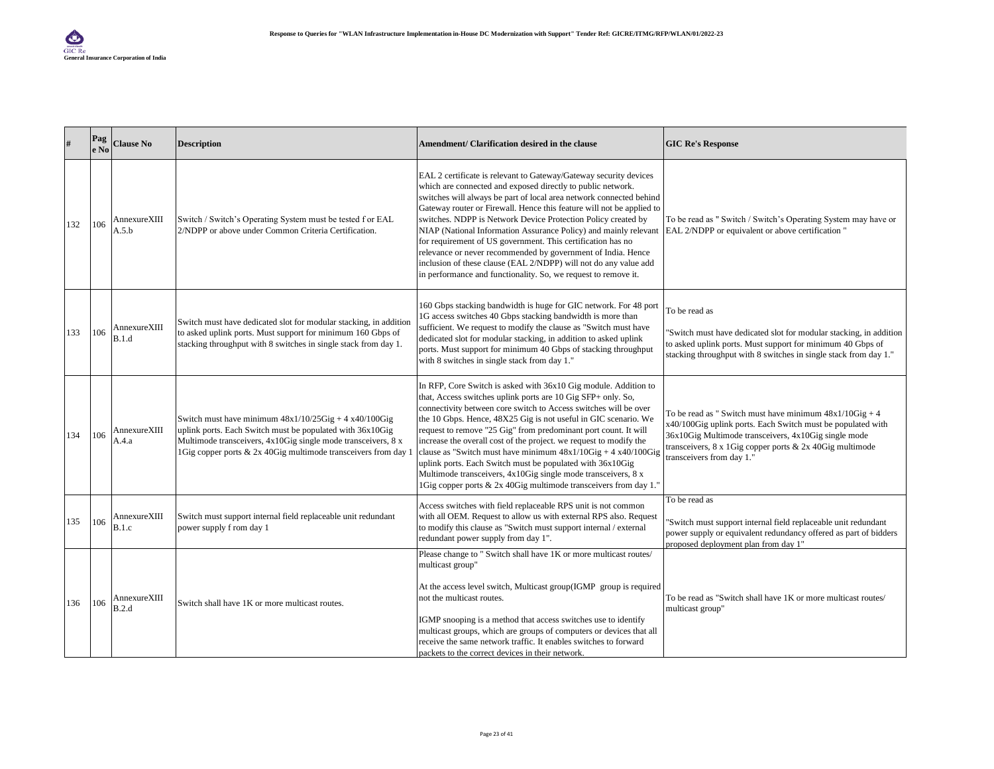| #   | Pag<br>e No | <b>Clause No</b>      | <b>Description</b>                                                                                                                                                                                                                                        | Amendment/ Clarification desired in the clause                                                                                                                                                                                                                                                                                                                                                                                                                                                                                                                                                                                                                                                                                               | <b>GIC Re's Response</b>                                                                                                                                                                                                                                                           |
|-----|-------------|-----------------------|-----------------------------------------------------------------------------------------------------------------------------------------------------------------------------------------------------------------------------------------------------------|----------------------------------------------------------------------------------------------------------------------------------------------------------------------------------------------------------------------------------------------------------------------------------------------------------------------------------------------------------------------------------------------------------------------------------------------------------------------------------------------------------------------------------------------------------------------------------------------------------------------------------------------------------------------------------------------------------------------------------------------|------------------------------------------------------------------------------------------------------------------------------------------------------------------------------------------------------------------------------------------------------------------------------------|
| 132 | 106         | AnnexureXIII<br>A.5.b | Switch / Switch's Operating System must be tested f or EAL<br>2/NDPP or above under Common Criteria Certification.                                                                                                                                        | EAL 2 certificate is relevant to Gateway/Gateway security devices<br>which are connected and exposed directly to public network.<br>switches will always be part of local area network connected behind<br>Gateway router or Firewall. Hence this feature will not be applied to<br>switches. NDPP is Network Device Protection Policy created by<br>NIAP (National Information Assurance Policy) and mainly relevant EAL 2/NDPP or equivalent or above certification "<br>for requirement of US government. This certification has no<br>relevance or never recommended by government of India. Hence<br>inclusion of these clause (EAL 2/NDPP) will not do any value add<br>in performance and functionality. So, we request to remove it. | To be read as " Switch / Switch's Operating System may have or                                                                                                                                                                                                                     |
| 133 | 106         | AnnexureXIII<br>B.1.d | Switch must have dedicated slot for modular stacking, in addition<br>to asked uplink ports. Must support for minimum 160 Gbps of<br>stacking throughput with 8 switches in single stack from day 1.                                                       | 160 Gbps stacking bandwidth is huge for GIC network. For 48 port<br>1G access switches 40 Gbps stacking bandwidth is more than<br>sufficient. We request to modify the clause as "Switch must have<br>dedicated slot for modular stacking, in addition to asked uplink<br>ports. Must support for minimum 40 Gbps of stacking throughput<br>with 8 switches in single stack from day 1."                                                                                                                                                                                                                                                                                                                                                     | To be read as<br>'Switch must have dedicated slot for modular stacking, in addition<br>to asked uplink ports. Must support for minimum 40 Gbps of<br>stacking throughput with 8 switches in single stack from day 1."                                                              |
| 134 | 106         | AnnexureXIII<br>A.4.a | Switch must have minimum $48x1/10/25$ Gig + 4 x40/100 Gig<br>uplink ports. Each Switch must be populated with 36x10Gig<br>Multimode transceivers, 4x10Gig single mode transceivers, 8 x<br>1Gig copper ports & 2x 40Gig multimode transceivers from day 1 | In RFP, Core Switch is asked with 36x10 Gig module. Addition to<br>that, Access switches uplink ports are 10 Gig SFP+ only. So,<br>connectivity between core switch to Access switches will be over<br>the 10 Gbps. Hence, 48X25 Gig is not useful in GIC scenario. We<br>request to remove "25 Gig" from predominant port count. It will<br>increase the overall cost of the project. we request to modify the<br>clause as "Switch must have minimum $48x1/10Gig + 4 x40/100Gig$<br>uplink ports. Each Switch must be populated with 36x10Gig<br>Multimode transceivers, 4x10Gig single mode transceivers, 8 x<br>1Gig copper ports & 2x 40Gig multimode transceivers from day 1."                                                         | To be read as " Switch must have minimum $48x1/10Gig + 4$<br>x40/100Gig uplink ports. Each Switch must be populated with<br>36x10Gig Multimode transceivers, 4x10Gig single mode<br>transceivers, $8 \times 1$ Gig copper ports & 2x 40 Gig multimode<br>transceivers from day 1." |
| 135 | 106         | AnnexureXIII<br>B.1.c | Switch must support internal field replaceable unit redundant<br>power supply f rom day 1                                                                                                                                                                 | Access switches with field replaceable RPS unit is not common<br>with all OEM. Request to allow us with external RPS also. Request<br>to modify this clause as "Switch must support internal / external<br>redundant power supply from day 1".                                                                                                                                                                                                                                                                                                                                                                                                                                                                                               | To be read as<br>'Switch must support internal field replaceable unit redundant<br>power supply or equivalent redundancy offered as part of bidders<br>proposed deployment plan from day 1"                                                                                        |
| 136 | 106         | AnnexureXIII<br>B.2.d | Switch shall have 1K or more multicast routes.                                                                                                                                                                                                            | Please change to " Switch shall have 1K or more multicast routes/<br>multicast group"<br>At the access level switch, Multicast group(IGMP group is required<br>not the multicast routes.<br>IGMP snooping is a method that access switches use to identify<br>multicast groups, which are groups of computers or devices that all<br>receive the same network traffic. It enables switches to forward<br>packets to the correct devices in their network.                                                                                                                                                                                                                                                                                    | To be read as "Switch shall have 1K or more multicast routes/<br>multicast group"                                                                                                                                                                                                  |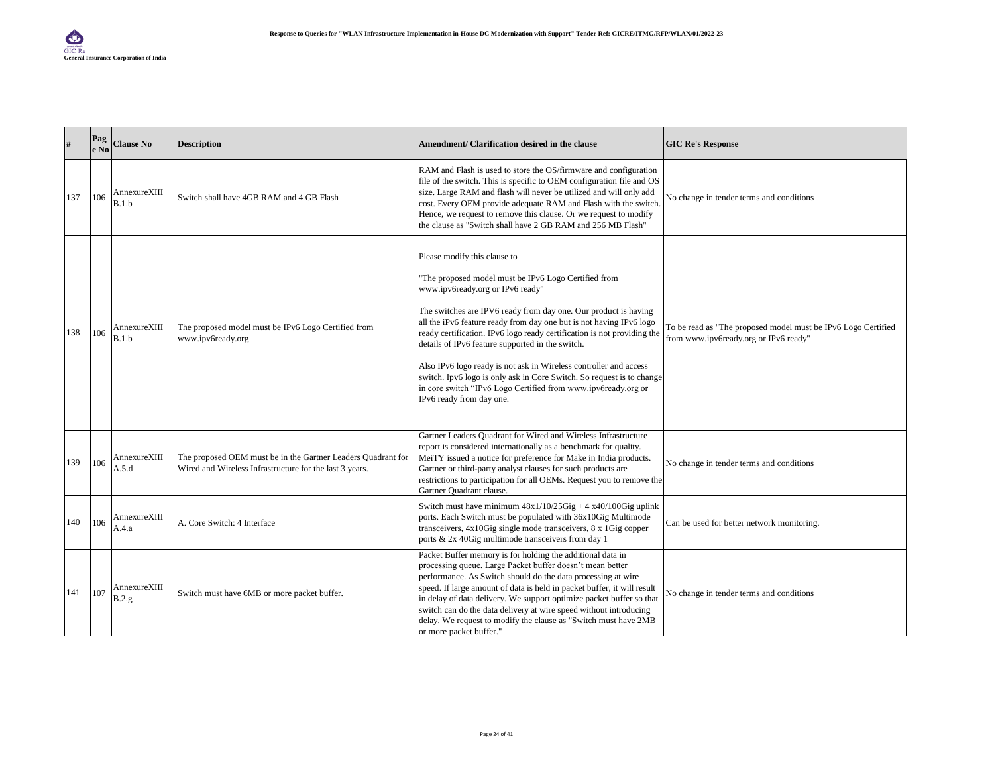| #   | Pag<br>e No | <b>Clause No</b>       | <b>Description</b>                                                                                                      | Amendment/ Clarification desired in the clause                                                                                                                                                                                                                                                                                                                                                                                                                                                                                                                                                                                               | <b>GIC Re's Response</b>                                                                               |
|-----|-------------|------------------------|-------------------------------------------------------------------------------------------------------------------------|----------------------------------------------------------------------------------------------------------------------------------------------------------------------------------------------------------------------------------------------------------------------------------------------------------------------------------------------------------------------------------------------------------------------------------------------------------------------------------------------------------------------------------------------------------------------------------------------------------------------------------------------|--------------------------------------------------------------------------------------------------------|
| 137 | 106         | AnnexureXIII<br>B.1.b  | Switch shall have 4GB RAM and 4 GB Flash                                                                                | RAM and Flash is used to store the OS/firmware and configuration<br>file of the switch. This is specific to OEM configuration file and OS<br>size. Large RAM and flash will never be utilized and will only add<br>cost. Every OEM provide adequate RAM and Flash with the switch.<br>Hence, we request to remove this clause. Or we request to modify<br>the clause as "Switch shall have 2 GB RAM and 256 MB Flash"                                                                                                                                                                                                                        | No change in tender terms and conditions                                                               |
| 138 | 106         | AnnexureXIII<br>B.1.b  | The proposed model must be IPv6 Logo Certified from<br>www.ipv6ready.org                                                | Please modify this clause to<br>"The proposed model must be IPv6 Logo Certified from<br>www.ipv6ready.org or IPv6 ready"<br>The switches are IPV6 ready from day one. Our product is having<br>all the iPv6 feature ready from day one but is not having IPv6 logo<br>ready certification. IPv6 logo ready certification is not providing the<br>details of IPv6 feature supported in the switch.<br>Also IPv6 logo ready is not ask in Wireless controller and access<br>switch. Ipv6 logo is only ask in Core Switch. So request is to change<br>in core switch "IPv6 Logo Certified from www.ipv6ready.org or<br>IPv6 ready from day one. | To be read as "The proposed model must be IPv6 Logo Certified<br>from www.ipv6ready.org or IPv6 ready" |
| 139 | 106         | AnnexureXIII<br>A.5.d  | The proposed OEM must be in the Gartner Leaders Quadrant for<br>Wired and Wireless Infrastructure for the last 3 years. | Gartner Leaders Quadrant for Wired and Wireless Infrastructure<br>report is considered internationally as a benchmark for quality.<br>MeiTY issued a notice for preference for Make in India products.<br>Gartner or third-party analyst clauses for such products are<br>restrictions to participation for all OEMs. Request you to remove the<br>Gartner Quadrant clause.                                                                                                                                                                                                                                                                  | No change in tender terms and conditions                                                               |
| 140 | 106         | AnnexureXIII<br>A.4.a  | A. Core Switch: 4 Interface                                                                                             | Switch must have minimum $48x1/10/25Gig + 4x40/100Gig$ uplink<br>ports. Each Switch must be populated with 36x10Gig Multimode<br>transceivers, 4x10Gig single mode transceivers, 8 x 1Gig copper<br>ports & 2x 40Gig multimode transceivers from day 1                                                                                                                                                                                                                                                                                                                                                                                       | Can be used for better network monitoring.                                                             |
| 141 | 107         | AnnexureXIII<br>B.2.g. | Switch must have 6MB or more packet buffer.                                                                             | Packet Buffer memory is for holding the additional data in<br>processing queue. Large Packet buffer doesn't mean better<br>performance. As Switch should do the data processing at wire<br>speed. If large amount of data is held in packet buffer, it will result<br>in delay of data delivery. We support optimize packet buffer so that<br>switch can do the data delivery at wire speed without introducing<br>delay. We request to modify the clause as "Switch must have 2MB<br>or more packet buffer."                                                                                                                                | No change in tender terms and conditions                                                               |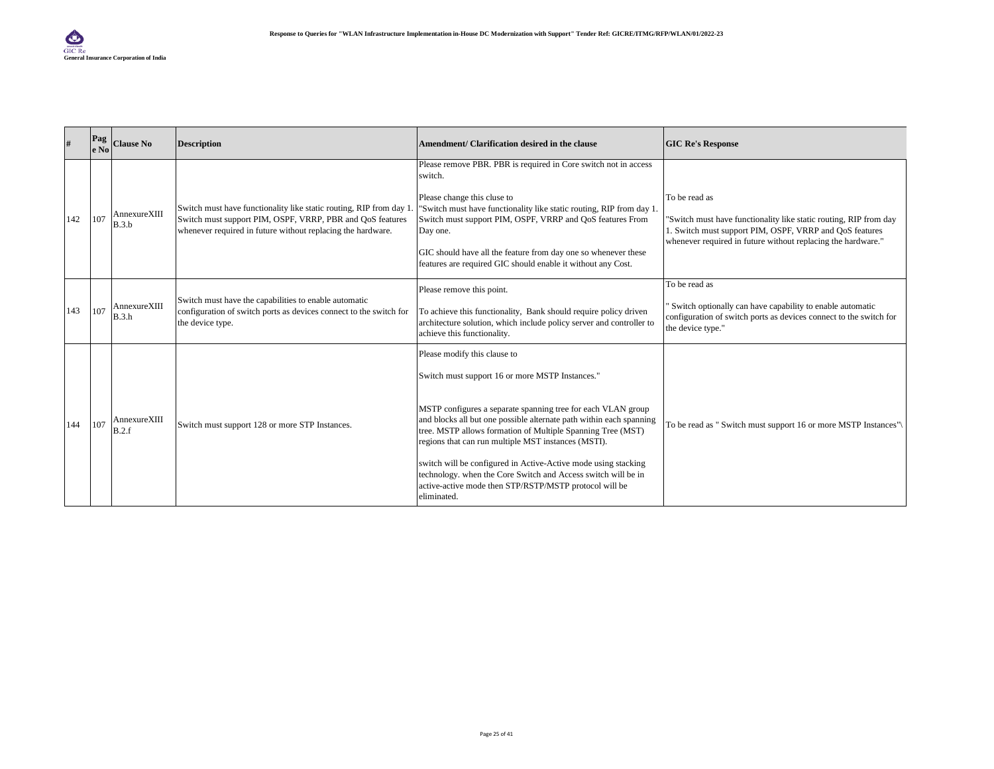|     | Pag<br>$e$ No | <b>Clause No</b>      | <b>Description</b>                                                                                                              | Amendment/ Clarification desired in the clause                                                                                                                                                                                                            | <b>GIC Re's Response</b>                                                                                                                             |
|-----|---------------|-----------------------|---------------------------------------------------------------------------------------------------------------------------------|-----------------------------------------------------------------------------------------------------------------------------------------------------------------------------------------------------------------------------------------------------------|------------------------------------------------------------------------------------------------------------------------------------------------------|
|     |               |                       |                                                                                                                                 | Please remove PBR. PBR is required in Core switch not in access<br>switch.                                                                                                                                                                                |                                                                                                                                                      |
| 142 | 107           | AnnexureXIII<br>B.3.b | Switch must have functionality like static routing, RIP from day 1<br>Switch must support PIM, OSPF, VRRP, PBR and QoS features | Please change this cluse to<br>"Switch must have functionality like static routing, RIP from day 1.<br>Switch must support PIM, OSPF, VRRP and QoS features From                                                                                          | To be read as<br>"Switch must have functionality like static routing, RIP from day                                                                   |
|     |               |                       | whenever required in future without replacing the hardware.                                                                     | Day one.                                                                                                                                                                                                                                                  | 1. Switch must support PIM, OSPF, VRRP and QoS features<br>whenever required in future without replacing the hardware."                              |
|     |               |                       |                                                                                                                                 | GIC should have all the feature from day one so whenever these<br>features are required GIC should enable it without any Cost.                                                                                                                            |                                                                                                                                                      |
|     |               |                       | Switch must have the capabilities to enable automatic                                                                           | Please remove this point.                                                                                                                                                                                                                                 | To be read as                                                                                                                                        |
| 143 | 107           | AnnexureXIII<br>B.3.h | configuration of switch ports as devices connect to the switch for<br>the device type.                                          | To achieve this functionality, Bank should require policy driven<br>architecture solution, which include policy server and controller to<br>achieve this functionality.                                                                                   | Switch optionally can have capability to enable automatic<br>configuration of switch ports as devices connect to the switch for<br>the device type." |
|     |               |                       |                                                                                                                                 | Please modify this clause to                                                                                                                                                                                                                              |                                                                                                                                                      |
|     |               |                       |                                                                                                                                 | Switch must support 16 or more MSTP Instances."                                                                                                                                                                                                           |                                                                                                                                                      |
| 144 | 107           | AnnexureXIII<br>B.2.f | Switch must support 128 or more STP Instances.                                                                                  | MSTP configures a separate spanning tree for each VLAN group<br>and blocks all but one possible alternate path within each spanning<br>tree. MSTP allows formation of Multiple Spanning Tree (MST)<br>regions that can run multiple MST instances (MSTI). | To be read as " Switch must support 16 or more MSTP Instances"                                                                                       |
|     |               |                       |                                                                                                                                 | switch will be configured in Active-Active mode using stacking<br>technology. when the Core Switch and Access switch will be in<br>active-active mode then STP/RSTP/MSTP protocol will be<br>eliminated.                                                  |                                                                                                                                                      |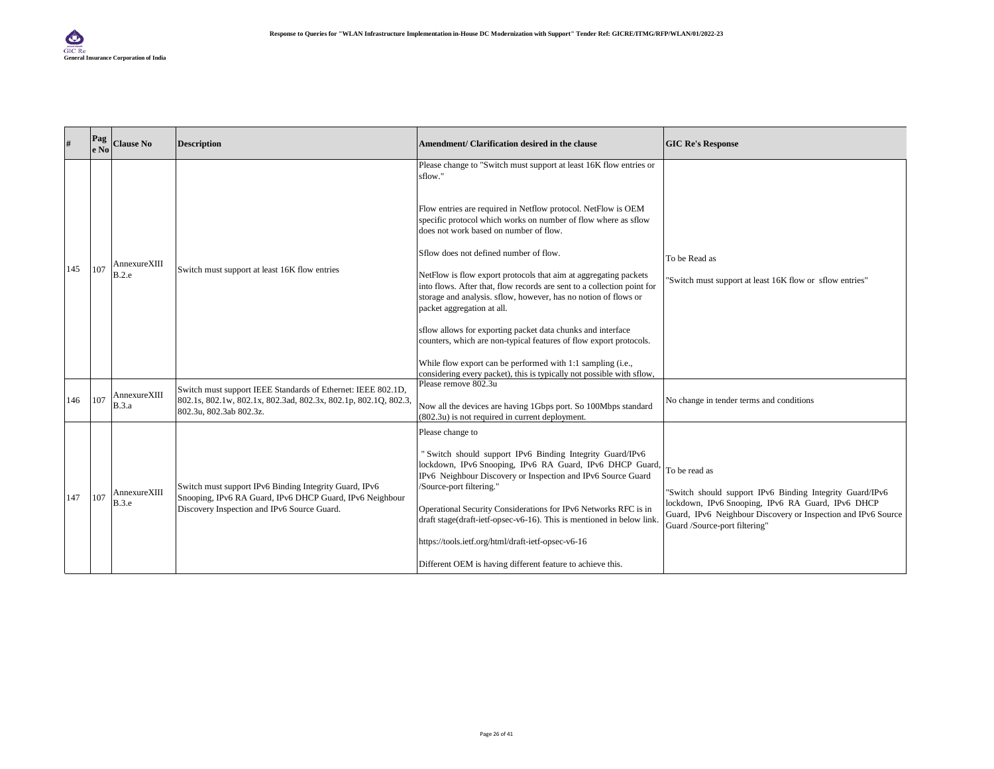|     | Pag<br>e No | <b>Clause No</b>      | <b>Description</b>                                                                                                                                                | Amendment/ Clarification desired in the clause                                                                                                                                                                                                                                                                                                                                                                                                                                                                                                                                                                                                                                                                                                                                                                                    | <b>GIC Re's Response</b>                                                                                                                                                                                                         |
|-----|-------------|-----------------------|-------------------------------------------------------------------------------------------------------------------------------------------------------------------|-----------------------------------------------------------------------------------------------------------------------------------------------------------------------------------------------------------------------------------------------------------------------------------------------------------------------------------------------------------------------------------------------------------------------------------------------------------------------------------------------------------------------------------------------------------------------------------------------------------------------------------------------------------------------------------------------------------------------------------------------------------------------------------------------------------------------------------|----------------------------------------------------------------------------------------------------------------------------------------------------------------------------------------------------------------------------------|
| 145 | 107         | AnnexureXIII<br>B.2.e | Switch must support at least 16K flow entries                                                                                                                     | Please change to "Switch must support at least 16K flow entries or<br>sflow."<br>Flow entries are required in Netflow protocol. NetFlow is OEM<br>specific protocol which works on number of flow where as sflow<br>does not work based on number of flow.<br>Sflow does not defined number of flow.<br>NetFlow is flow export protocols that aim at aggregating packets<br>into flows. After that, flow records are sent to a collection point for<br>storage and analysis. sflow, however, has no notion of flows or<br>packet aggregation at all.<br>sflow allows for exporting packet data chunks and interface<br>counters, which are non-typical features of flow export protocols.<br>While flow export can be performed with 1:1 sampling (i.e.,<br>considering every packet), this is typically not possible with sflow. | To be Read as<br>"Switch must support at least 16K flow or sflow entries"                                                                                                                                                        |
| 146 | 107         | AnnexureXIII<br>B.3.a | Switch must support IEEE Standards of Ethernet: IEEE 802.1D,<br>802.1s, 802.1w, 802.1x, 802.3ad, 802.3x, 802.1p, 802.1Q, 802.3,<br>802.3u, 802.3ab 802.3z.        | Please remove 802.3u<br>Now all the devices are having 1Gbps port. So 100Mbps standard<br>(802.3u) is not required in current deployment.                                                                                                                                                                                                                                                                                                                                                                                                                                                                                                                                                                                                                                                                                         | No change in tender terms and conditions                                                                                                                                                                                         |
| 147 | 107         | AnnexureXIII<br>B.3.e | Switch must support IPv6 Binding Integrity Guard, IPv6<br>Snooping, IPv6 RA Guard, IPv6 DHCP Guard, IPv6 Neighbour<br>Discovery Inspection and IPv6 Source Guard. | Please change to<br>"Switch should support IPv6 Binding Integrity Guard/IPv6<br>lockdown, IPv6 Snooping, IPv6 RA Guard, IPv6 DHCP Guard,<br>IPv6 Neighbour Discovery or Inspection and IPv6 Source Guard<br>/Source-port filtering."<br>Operational Security Considerations for IPv6 Networks RFC is in<br>draft stage(draft-ietf-opsec-v6-16). This is mentioned in below link.<br>https://tools.ietf.org/html/draft-ietf-opsec-v6-16<br>Different OEM is having different feature to achieve this.                                                                                                                                                                                                                                                                                                                              | To be read as<br>"Switch should support IPv6 Binding Integrity Guard/IPv6<br>lockdown, IPv6 Snooping, IPv6 RA Guard, IPv6 DHCP<br>Guard, IPv6 Neighbour Discovery or Inspection and IPv6 Source<br>Guard /Source-port filtering" |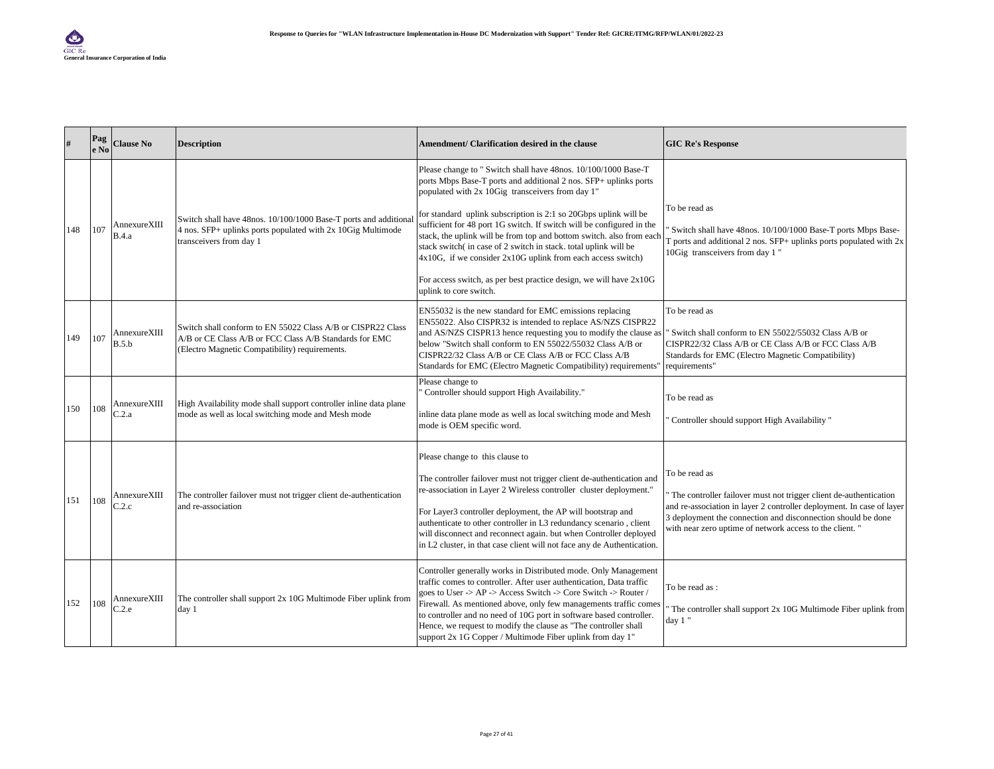|     | Pag<br>e No | <b>Clause No</b>      | <b>Description</b>                                                                                                                                                      | Amendment/ Clarification desired in the clause                                                                                                                                                                                                                                                                                                                                                                                                                                                                                                                                                                                                     | <b>GIC Re's Response</b>                                                                                                                                                                                                                                                                |
|-----|-------------|-----------------------|-------------------------------------------------------------------------------------------------------------------------------------------------------------------------|----------------------------------------------------------------------------------------------------------------------------------------------------------------------------------------------------------------------------------------------------------------------------------------------------------------------------------------------------------------------------------------------------------------------------------------------------------------------------------------------------------------------------------------------------------------------------------------------------------------------------------------------------|-----------------------------------------------------------------------------------------------------------------------------------------------------------------------------------------------------------------------------------------------------------------------------------------|
| 148 | 107         | AnnexureXIII<br>B.4.a | Switch shall have 48nos. 10/100/1000 Base-T ports and additional<br>4 nos. SFP+ uplinks ports populated with 2x 10Gig Multimode<br>transceivers from day 1              | Please change to " Switch shall have 48nos. 10/100/1000 Base-T<br>ports Mbps Base-T ports and additional 2 nos. SFP+ uplinks ports<br>populated with 2x 10Gig transceivers from day 1"<br>for standard uplink subscription is 2:1 so 20Gbps uplink will be<br>sufficient for 48 port 1G switch. If switch will be configured in the<br>stack, the uplink will be from top and bottom switch. also from each<br>stack switch(in case of 2 switch in stack. total uplink will be<br>$4x10G$ , if we consider $2x10G$ uplink from each access switch)<br>For access switch, as per best practice design, we will have 2x10G<br>uplink to core switch. | To be read as<br>Switch shall have 48nos. 10/100/1000 Base-T ports Mbps Base-<br>$\Gamma$ ports and additional 2 nos. SFP+ uplinks ports populated with $2x$<br>10Gig transceivers from day 1"                                                                                          |
| 149 | 107         | AnnexureXIII<br>B.5.b | Switch shall conform to EN 55022 Class A/B or CISPR22 Class<br>A/B or CE Class A/B or FCC Class A/B Standards for EMC<br>(Electro Magnetic Compatibility) requirements. | EN55032 is the new standard for EMC emissions replacing<br>EN55022. Also CISPR32 is intended to replace AS/NZS CISPR22<br>and AS/NZS CISPR13 hence requesting you to modify the clause as<br>below "Switch shall conform to EN 55022/55032 Class A/B or<br>CISPR22/32 Class A/B or CE Class A/B or FCC Class A/B<br>Standards for EMC (Electro Magnetic Compatibility) requirements"                                                                                                                                                                                                                                                               | To be read as<br>Switch shall conform to EN 55022/55032 Class A/B or<br>CISPR22/32 Class A/B or CE Class A/B or FCC Class A/B<br>Standards for EMC (Electro Magnetic Compatibility)<br>requirements"                                                                                    |
| 150 | 108         | AnnexureXIII<br>C.2.a | High Availability mode shall support controller inline data plane<br>mode as well as local switching mode and Mesh mode                                                 | Please change to<br>' Controller should support High Availability."<br>inline data plane mode as well as local switching mode and Mesh<br>mode is OEM specific word.                                                                                                                                                                                                                                                                                                                                                                                                                                                                               | To be read as<br>Controller should support High Availability"                                                                                                                                                                                                                           |
| 151 | 108         | AnnexureXIII<br>2.2.c | The controller failover must not trigger client de-authentication<br>and re-association                                                                                 | Please change to this clause to<br>The controller failover must not trigger client de-authentication and<br>re-association in Layer 2 Wireless controller cluster deployment."<br>For Layer3 controller deployment, the AP will bootstrap and<br>authenticate to other controller in L3 redundancy scenario, client<br>will disconnect and reconnect again. but when Controller deployed<br>in L2 cluster, in that case client will not face any de Authentication.                                                                                                                                                                                | To be read as<br>The controller failover must not trigger client de-authentication<br>and re-association in layer 2 controller deployment. In case of layer<br>3 deployment the connection and disconnection should be done<br>with near zero uptime of network access to the client. " |
| 152 | 108         | AnnexureXIII<br>C.2.e | The controller shall support 2x 10G Multimode Fiber uplink from<br>day 1                                                                                                | Controller generally works in Distributed mode. Only Management<br>traffic comes to controller. After user authentication. Data traffic<br>goes to User -> AP -> Access Switch -> Core Switch -> Router /<br>Firewall. As mentioned above, only few managements traffic comes<br>to controller and no need of 10G port in software based controller.<br>Hence, we request to modify the clause as "The controller shall<br>support 2x 1G Copper / Multimode Fiber uplink from day 1"                                                                                                                                                               | To be read as:<br>The controller shall support 2x 10G Multimode Fiber uplink from<br>day 1"                                                                                                                                                                                             |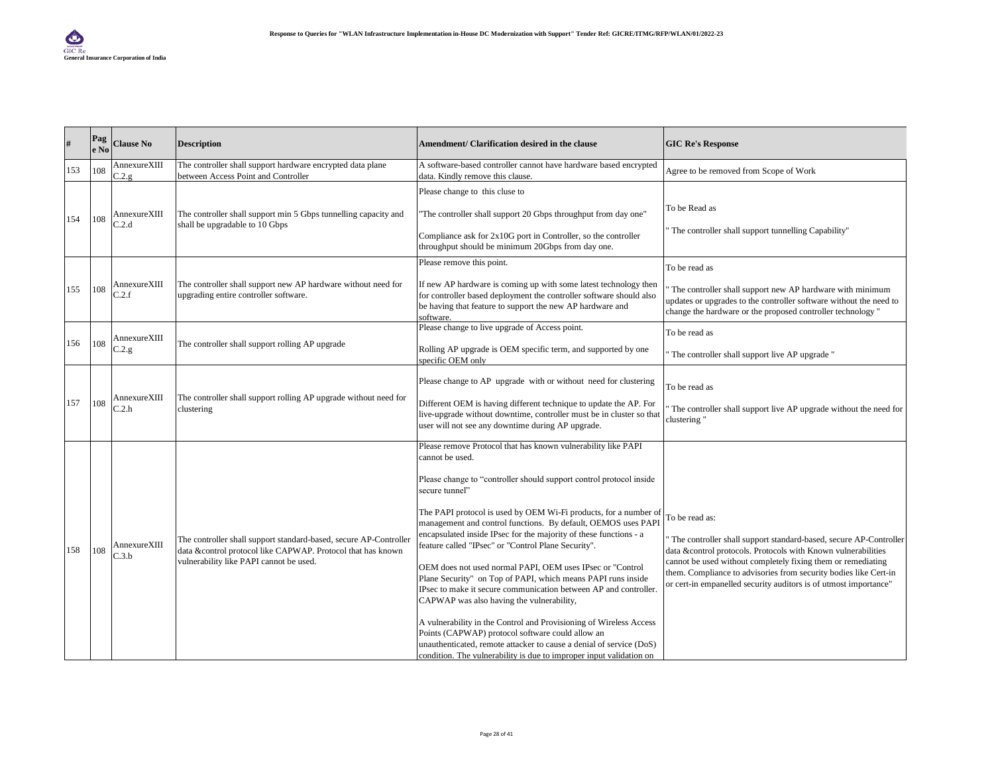| $\#$ | Pag<br>e No | <b>Clause No</b>                | <b>Description</b>                                                                                                                                                          | Amendment/ Clarification desired in the clause                                                                                                                                                                                                                                                                                                                                                                                                                                                                                                                                                                                                                                                                                                                                                                                                                                                                                                                   | <b>GIC Re's Response</b>                                                                                                                                                                                                                                                                                                                                     |
|------|-------------|---------------------------------|-----------------------------------------------------------------------------------------------------------------------------------------------------------------------------|------------------------------------------------------------------------------------------------------------------------------------------------------------------------------------------------------------------------------------------------------------------------------------------------------------------------------------------------------------------------------------------------------------------------------------------------------------------------------------------------------------------------------------------------------------------------------------------------------------------------------------------------------------------------------------------------------------------------------------------------------------------------------------------------------------------------------------------------------------------------------------------------------------------------------------------------------------------|--------------------------------------------------------------------------------------------------------------------------------------------------------------------------------------------------------------------------------------------------------------------------------------------------------------------------------------------------------------|
| 153  | 108         | AnnexureXIII<br>$2.2 \text{ g}$ | The controller shall support hardware encrypted data plane<br>between Access Point and Controller                                                                           | A software-based controller cannot have hardware based encrypted<br>data. Kindly remove this clause.                                                                                                                                                                                                                                                                                                                                                                                                                                                                                                                                                                                                                                                                                                                                                                                                                                                             | Agree to be removed from Scope of Work                                                                                                                                                                                                                                                                                                                       |
| 154  | 108         | AnnexureXIII<br>C.2.d           | The controller shall support min 5 Gbps tunnelling capacity and<br>shall be upgradable to 10 Gbps                                                                           | Please change to this cluse to<br>"The controller shall support 20 Gbps throughput from day one"<br>Compliance ask for 2x10G port in Controller, so the controller<br>throughput should be minimum 20Gbps from day one.                                                                                                                                                                                                                                                                                                                                                                                                                                                                                                                                                                                                                                                                                                                                          | To be Read as<br>The controller shall support tunnelling Capability"                                                                                                                                                                                                                                                                                         |
| 155  | 108         | AnnexureXIII<br>C.2.f           | The controller shall support new AP hardware without need for<br>upgrading entire controller software.                                                                      | Please remove this point.<br>If new AP hardware is coming up with some latest technology then<br>for controller based deployment the controller software should also<br>be having that feature to support the new AP hardware and<br>software.                                                                                                                                                                                                                                                                                                                                                                                                                                                                                                                                                                                                                                                                                                                   | To be read as<br>The controller shall support new AP hardware with minimum<br>updates or upgrades to the controller software without the need to<br>change the hardware or the proposed controller technology "                                                                                                                                              |
| 156  | 108         | AnnexureXIII<br>C.2.g.          | The controller shall support rolling AP upgrade                                                                                                                             | Please change to live upgrade of Access point.<br>Rolling AP upgrade is OEM specific term, and supported by one<br>specific OEM only                                                                                                                                                                                                                                                                                                                                                                                                                                                                                                                                                                                                                                                                                                                                                                                                                             | To be read as<br>The controller shall support live AP upgrade "                                                                                                                                                                                                                                                                                              |
| 157  | 108         | AnnexureXIII<br>C.2.h           | The controller shall support rolling AP upgrade without need for<br>clustering                                                                                              | Please change to AP upgrade with or without need for clustering<br>Different OEM is having different technique to update the AP. For<br>live-upgrade without downtime, controller must be in cluster so that<br>user will not see any downtime during AP upgrade.                                                                                                                                                                                                                                                                                                                                                                                                                                                                                                                                                                                                                                                                                                | To be read as<br>The controller shall support live AP upgrade without the need for<br>clustering "                                                                                                                                                                                                                                                           |
| 158  | 108         | AnnexureXIII<br>C.3.b           | The controller shall support standard-based, secure AP-Controller<br>data &control protocol like CAPWAP. Protocol that has known<br>vulnerability like PAPI cannot be used. | Please remove Protocol that has known vulnerability like PAPI<br>cannot be used.<br>Please change to "controller should support control protocol inside<br>secure tunnel"<br>The PAPI protocol is used by OEM Wi-Fi products, for a number of<br>management and control functions. By default, OEMOS uses PAPI<br>encapsulated inside IPsec for the majority of these functions - a<br>feature called "IPsec" or "Control Plane Security".<br>OEM does not used normal PAPI, OEM uses IPsec or "Control<br>Plane Security" on Top of PAPI, which means PAPI runs inside<br>IPsec to make it secure communication between AP and controller.<br>CAPWAP was also having the vulnerability,<br>A vulnerability in the Control and Provisioning of Wireless Access<br>Points (CAPWAP) protocol software could allow an<br>unauthenticated, remote attacker to cause a denial of service (DoS)<br>condition. The vulnerability is due to improper input validation on | To be read as:<br>The controller shall support standard-based, secure AP-Controller<br>data &control protocols. Protocols with Known vulnerabilities<br>cannot be used without completely fixing them or remediating<br>them. Compliance to advisories from security bodies like Cert-in<br>or cert-in empanelled security auditors is of utmost importance" |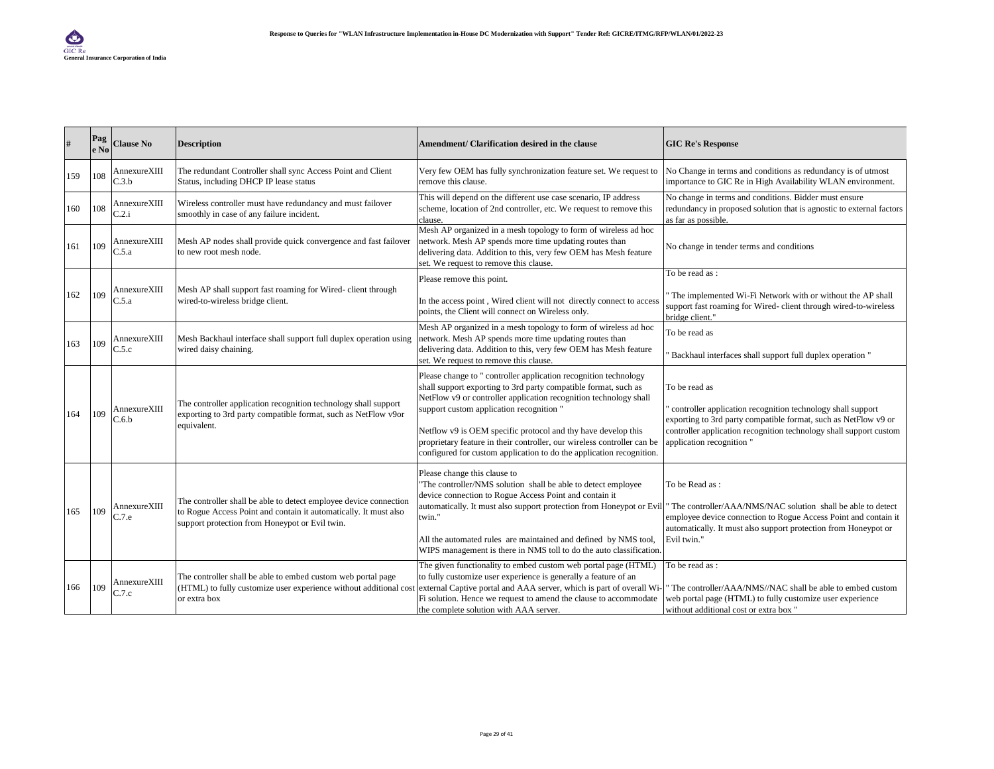|     | Pag<br>e No | <b>Clause No</b>            | <b>Description</b>                                                                                                                                                                      | Amendment/ Clarification desired in the clause                                                                                                                                                                                                                                                                                                                                                                                                                           | <b>GIC Re's Response</b>                                                                                                                                                                                                                           |
|-----|-------------|-----------------------------|-----------------------------------------------------------------------------------------------------------------------------------------------------------------------------------------|--------------------------------------------------------------------------------------------------------------------------------------------------------------------------------------------------------------------------------------------------------------------------------------------------------------------------------------------------------------------------------------------------------------------------------------------------------------------------|----------------------------------------------------------------------------------------------------------------------------------------------------------------------------------------------------------------------------------------------------|
| 159 | 108         | AnnexureXIII<br>C.3.b       | The redundant Controller shall sync Access Point and Client<br>Status, including DHCP IP lease status                                                                                   | Very few OEM has fully synchronization feature set. We request to<br>remove this clause.                                                                                                                                                                                                                                                                                                                                                                                 | No Change in terms and conditions as redundancy is of utmost<br>importance to GIC Re in High Availability WLAN environment.                                                                                                                        |
| 160 | 108         | AnnexureXIII<br>C.2.i       | Wireless controller must have redundancy and must failover<br>smoothly in case of any failure incident.                                                                                 | This will depend on the different use case scenario, IP address<br>scheme, location of 2nd controller, etc. We request to remove this<br>clause.                                                                                                                                                                                                                                                                                                                         | No change in terms and conditions. Bidder must ensure<br>redundancy in proposed solution that is agnostic to external factors<br>as far as possible.                                                                                               |
| 161 | 109         | AnnexureXIII<br>2.5.a       | Mesh AP nodes shall provide quick convergence and fast failover<br>to new root mesh node.                                                                                               | Mesh AP organized in a mesh topology to form of wireless ad hoc<br>network. Mesh AP spends more time updating routes than<br>delivering data. Addition to this, very few OEM has Mesh feature<br>set. We request to remove this clause.                                                                                                                                                                                                                                  | No change in tender terms and conditions                                                                                                                                                                                                           |
|     |             |                             |                                                                                                                                                                                         | Please remove this point.                                                                                                                                                                                                                                                                                                                                                                                                                                                | To be read as:                                                                                                                                                                                                                                     |
| 162 | 109         | $\mathbb{C}.5.\overline{a}$ | Mesh AP shall support fast roaming for Wired- client through<br>AnnexureXIII<br>wired-to-wireless bridge client.                                                                        | In the access point, Wired client will not directly connect to access<br>points, the Client will connect on Wireless only.                                                                                                                                                                                                                                                                                                                                               | The implemented Wi-Fi Network with or without the AP shall<br>support fast roaming for Wired-client through wired-to-wireless<br>bridge client."                                                                                                   |
|     |             | AnnexureXIII                | Mesh Backhaul interface shall support full duplex operation using                                                                                                                       | Mesh AP organized in a mesh topology to form of wireless ad hoc<br>network. Mesh AP spends more time updating routes than                                                                                                                                                                                                                                                                                                                                                | To be read as                                                                                                                                                                                                                                      |
| 163 | 109         | C.5.c                       | wired daisy chaining.                                                                                                                                                                   | delivering data. Addition to this, very few OEM has Mesh feature<br>set. We request to remove this clause.                                                                                                                                                                                                                                                                                                                                                               | Backhaul interfaces shall support full duplex operation "                                                                                                                                                                                          |
| 164 | 109         | AnnexureXIII<br>C.6.b       | The controller application recognition technology shall support<br>exporting to 3rd party compatible format, such as NetFlow v9or<br>equivalent.                                        | Please change to " controller application recognition technology<br>shall support exporting to 3rd party compatible format, such as<br>NetFlow v9 or controller application recognition technology shall<br>support custom application recognition "<br>Netflow v9 is OEM specific protocol and thy have develop this<br>proprietary feature in their controller, our wireless controller can be<br>configured for custom application to do the application recognition. | To be read as<br>controller application recognition technology shall support<br>exporting to 3rd party compatible format, such as NetFlow v9 or<br>controller application recognition technology shall support custom<br>application recognition " |
| 165 | 109         | AnnexureXIII<br>C.7.e       | The controller shall be able to detect employee device connection<br>to Rogue Access Point and contain it automatically. It must also<br>support protection from Honeypot or Evil twin. | Please change this clause to<br>"The controller/NMS solution shall be able to detect employee<br>device connection to Rogue Access Point and contain it<br>automatically. It must also support protection from Honeypot or Evil "<br>twin."<br>All the automated rules are maintained and defined by NMS tool,<br>WIPS management is there in NMS toll to do the auto classification.                                                                                    | To be Read as:<br>The controller/AAA/NMS/NAC solution shall be able to detect<br>employee device connection to Rogue Access Point and contain it<br>automatically. It must also support protection from Honeypot or<br>Evil twin."                 |
| 166 | 109         | AnnexureXIII<br>C.7.c       | The controller shall be able to embed custom web portal page<br>(HTML) to fully customize user experience without additional cost<br>or extra box                                       | The given functionality to embed custom web portal page (HTML)<br>to fully customize user experience is generally a feature of an<br>external Captive portal and AAA server, which is part of overall Wi-<br>Fi solution. Hence we request to amend the clause to accommodate<br>the complete solution with AAA server.                                                                                                                                                  | To be read as :<br>The controller/AAA/NMS//NAC shall be able to embed custom<br>web portal page (HTML) to fully customize user experience<br>without additional cost or extra box "                                                                |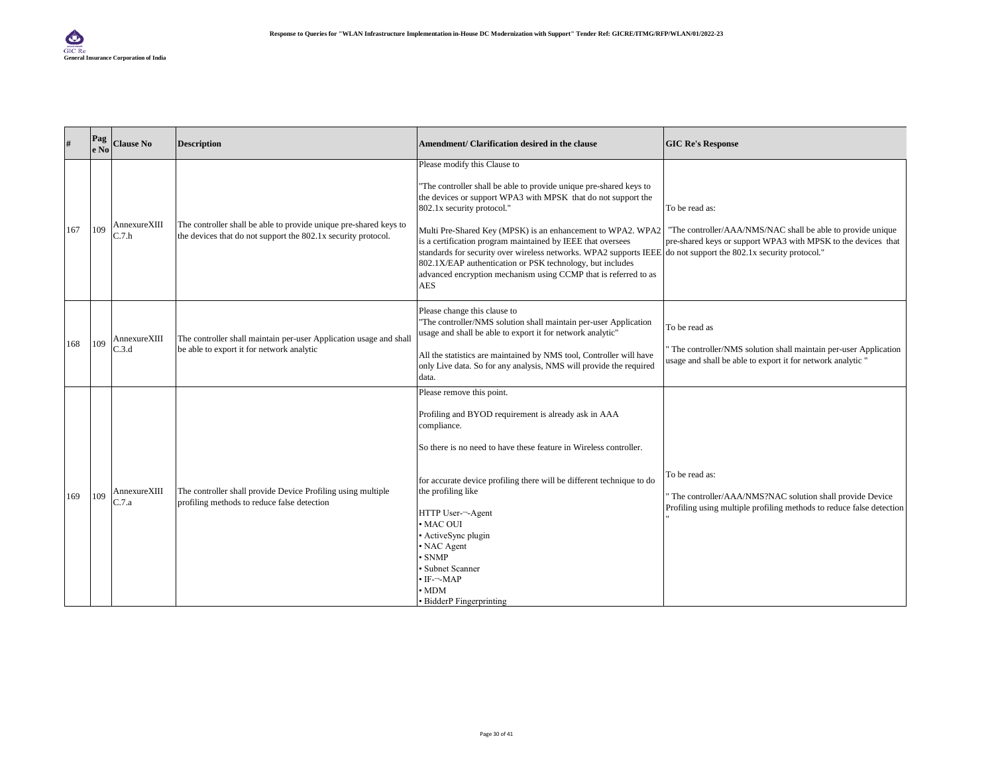| #   | $  \mathbf{P}\mathbf{a}\mathbf{g} $<br>e No | <b>Clause No</b>                 | <b>Description</b>                                                                                                                 | Amendment/ Clarification desired in the clause                                                                                                                                                                                                                                                                                                                                                                                                                                                                                                                                                                                                                 | <b>GIC Re's Response</b>                                                                                                                           |
|-----|---------------------------------------------|----------------------------------|------------------------------------------------------------------------------------------------------------------------------------|----------------------------------------------------------------------------------------------------------------------------------------------------------------------------------------------------------------------------------------------------------------------------------------------------------------------------------------------------------------------------------------------------------------------------------------------------------------------------------------------------------------------------------------------------------------------------------------------------------------------------------------------------------------|----------------------------------------------------------------------------------------------------------------------------------------------------|
| 167 | 109                                         | AnnexureXIII<br>2.7 <sub>h</sub> | The controller shall be able to provide unique pre-shared keys to<br>the devices that do not support the 802.1x security protocol. | Please modify this Clause to<br>"The controller shall be able to provide unique pre-shared keys to<br>the devices or support WPA3 with MPSK that do not support the<br>802.1x security protocol."<br>Multi Pre-Shared Key (MPSK) is an enhancement to WPA2. WPA2   "The controller/AAA/NMS/NAC shall be able to provide unique<br>is a certification program maintained by IEEE that oversees<br>standards for security over wireless networks. WPA2 supports IEEE do not support the 802.1x security protocol."<br>802.1X/EAP authentication or PSK technology, but includes<br>advanced encryption mechanism using CCMP that is referred to as<br><b>AES</b> | To be read as:<br>pre-shared keys or support WPA3 with MPSK to the devices that                                                                    |
| 168 | 109                                         | AnnexureXIII<br>C.3.d            | The controller shall maintain per-user Application usage and shall<br>be able to export it for network analytic                    | Please change this clause to<br>"The controller/NMS solution shall maintain per-user Application<br>usage and shall be able to export it for network analytic"<br>All the statistics are maintained by NMS tool, Controller will have<br>only Live data. So for any analysis, NMS will provide the required<br>data.                                                                                                                                                                                                                                                                                                                                           | To be read as<br>The controller/NMS solution shall maintain per-user Application<br>usage and shall be able to export it for network analytic "    |
| 169 | 109                                         | AnnexureXIII<br>C.7.a            | The controller shall provide Device Profiling using multiple<br>profiling methods to reduce false detection                        | Please remove this point.<br>Profiling and BYOD requirement is already ask in AAA<br>compliance.<br>So there is no need to have these feature in Wireless controller.<br>for accurate device profiling there will be different technique to do<br>the profiling like<br>HTTP User-~- Agent<br>• MAC OUI<br>• ActiveSync plugin<br>• NAC Agent<br>· SNMP<br>Subnet Scanner<br>• IF-¬-MAP<br>$\cdot$ MDM<br>• BidderP Fingerprinting                                                                                                                                                                                                                             | To be read as:<br>The controller/AAA/NMS?NAC solution shall provide Device<br>Profiling using multiple profiling methods to reduce false detection |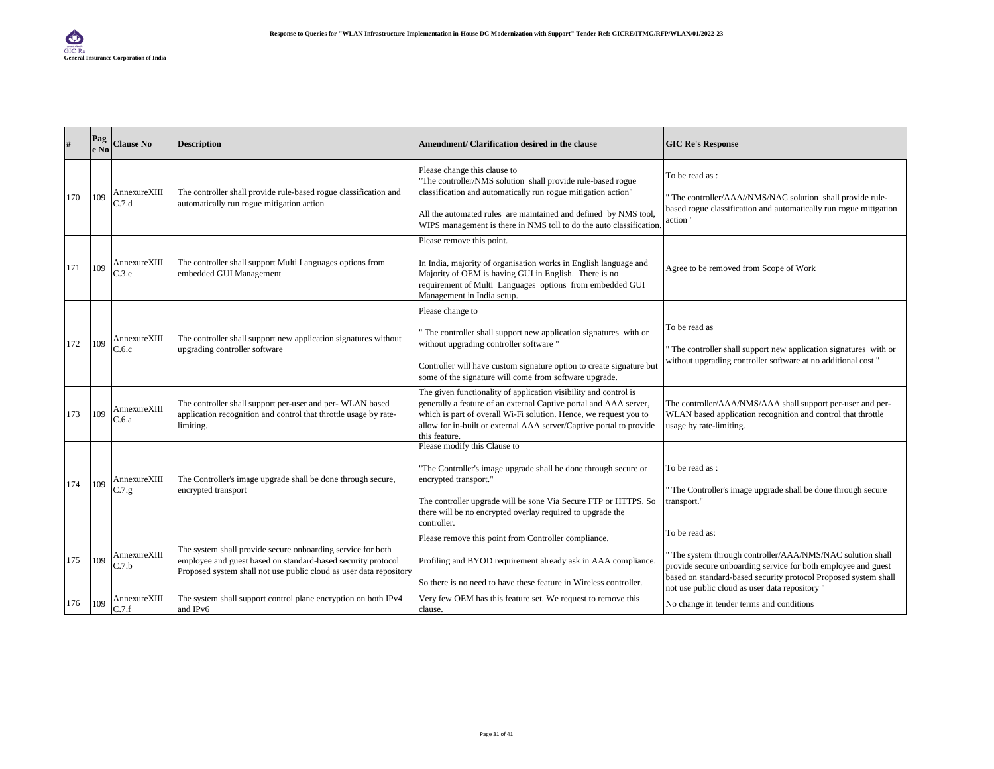|     | Pag<br>e No | <b>Clause No</b>        | <b>Description</b>                                                                                                                                                                                | Amendment/ Clarification desired in the clause                                                                                                                                                                                                                                                        | <b>GIC Re's Response</b>                                                                                                                                                                                                                                         |
|-----|-------------|-------------------------|---------------------------------------------------------------------------------------------------------------------------------------------------------------------------------------------------|-------------------------------------------------------------------------------------------------------------------------------------------------------------------------------------------------------------------------------------------------------------------------------------------------------|------------------------------------------------------------------------------------------------------------------------------------------------------------------------------------------------------------------------------------------------------------------|
| 170 | 109         | AnnexureXIII<br>C.7.d   | The controller shall provide rule-based rogue classification and<br>automatically run rogue mitigation action                                                                                     | Please change this clause to<br>"The controller/NMS solution shall provide rule-based rogue<br>classification and automatically run rogue mitigation action"<br>All the automated rules are maintained and defined by NMS tool,<br>WIPS management is there in NMS toll to do the auto classification | To be read as:<br>The controller/AAA//NMS/NAC solution shall provide rule-<br>based rogue classification and automatically run rogue mitigation<br>action"                                                                                                       |
| 171 | 109         | AnnexureXIII<br>C.3.e   | The controller shall support Multi Languages options from<br>embedded GUI Management                                                                                                              | Please remove this point.<br>In India, majority of organisation works in English language and<br>Majority of OEM is having GUI in English. There is no<br>requirement of Multi Languages options from embedded GUI<br>Management in India setup.                                                      | Agree to be removed from Scope of Work                                                                                                                                                                                                                           |
| 172 | 109         | AnnexureXIII<br>$-.6.c$ | The controller shall support new application signatures without<br>upgrading controller software                                                                                                  | Please change to<br>The controller shall support new application signatures with or<br>without upgrading controller software "<br>Controller will have custom signature option to create signature but<br>some of the signature will come from software upgrade.                                      | To be read as<br>The controller shall support new application signatures with or<br>without upgrading controller software at no additional cost "                                                                                                                |
| 173 | 109         | AnnexureXIII<br>C.6.a   | The controller shall support per-user and per-WLAN based<br>application recognition and control that throttle usage by rate-<br>limiting.                                                         | The given functionality of application visibility and control is<br>generally a feature of an external Captive portal and AAA server,<br>which is part of overall Wi-Fi solution. Hence, we request you to<br>allow for in-built or external AAA server/Captive portal to provide<br>this feature.    | The controller/AAA/NMS/AAA shall support per-user and per-<br>WLAN based application recognition and control that throttle<br>usage by rate-limiting.                                                                                                            |
| 174 | 109         | AnnexureXIII<br>C.7.g.  | The Controller's image upgrade shall be done through secure,<br>encrypted transport                                                                                                               | Please modify this Clause to<br>"The Controller's image upgrade shall be done through secure or<br>encrypted transport."<br>The controller upgrade will be sone Via Secure FTP or HTTPS. So<br>there will be no encrypted overlay required to upgrade the<br>controller.                              | To be read as :<br>The Controller's image upgrade shall be done through secure<br>transport."                                                                                                                                                                    |
| 175 | 109         | AnnexureXIII<br>C.7.b   | The system shall provide secure onboarding service for both<br>employee and guest based on standard-based security protocol<br>Proposed system shall not use public cloud as user data repository | Please remove this point from Controller compliance.<br>Profiling and BYOD requirement already ask in AAA compliance.<br>So there is no need to have these feature in Wireless controller.                                                                                                            | To be read as:<br>The system through controller/AAA/NMS/NAC solution shall<br>provide secure onboarding service for both employee and guest<br>based on standard-based security protocol Proposed system shall<br>not use public cloud as user data repository " |
| 176 | 109         | AnnexureXIII<br>C.7.f   | The system shall support control plane encryption on both IPv4<br>and IPv6                                                                                                                        | Very few OEM has this feature set. We request to remove this<br>clause.                                                                                                                                                                                                                               | No change in tender terms and conditions                                                                                                                                                                                                                         |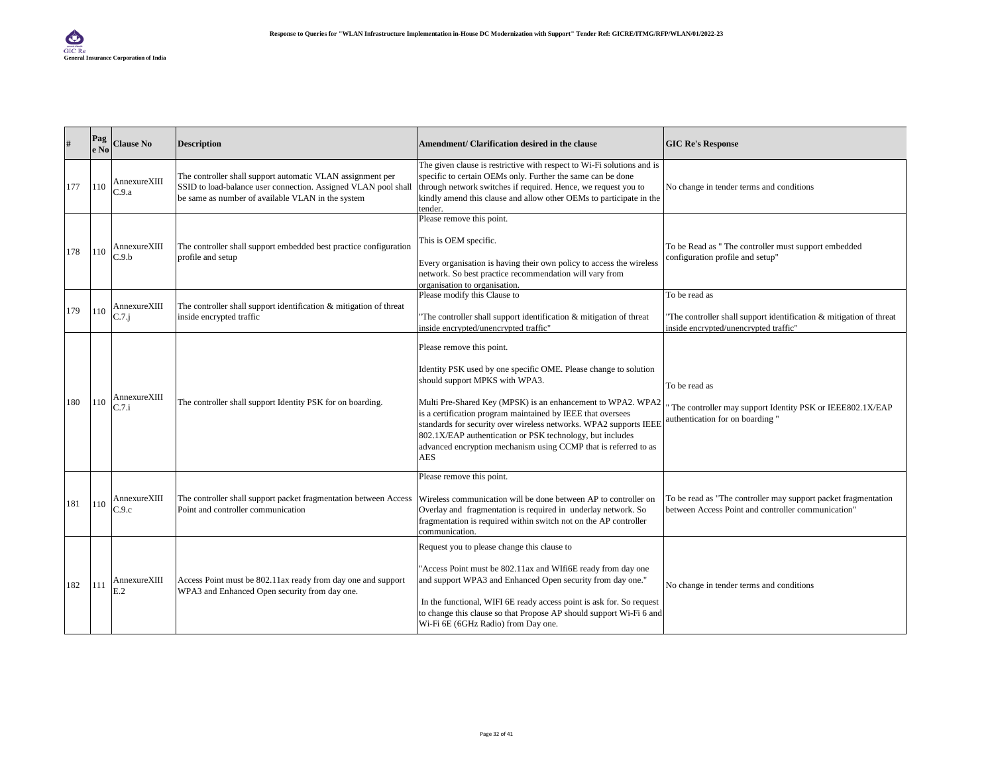| #   | Pag<br>e No | <b>Clause No</b>      | <b>Description</b>                                                                                                                                                                | Amendment/ Clarification desired in the clause                                                                                                                                                                                                                                                                                                                                                                                                                                   | <b>GIC Re's Response</b>                                                                                                      |
|-----|-------------|-----------------------|-----------------------------------------------------------------------------------------------------------------------------------------------------------------------------------|----------------------------------------------------------------------------------------------------------------------------------------------------------------------------------------------------------------------------------------------------------------------------------------------------------------------------------------------------------------------------------------------------------------------------------------------------------------------------------|-------------------------------------------------------------------------------------------------------------------------------|
| 177 | 110         | AnnexureXIII<br>C.9.a | The controller shall support automatic VLAN assignment per<br>SSID to load-balance user connection. Assigned VLAN pool shall<br>be same as number of available VLAN in the system | The given clause is restrictive with respect to Wi-Fi solutions and is<br>specific to certain OEMs only. Further the same can be done<br>through network switches if required. Hence, we request you to<br>kindly amend this clause and allow other OEMs to participate in the<br>tender.                                                                                                                                                                                        | No change in tender terms and conditions                                                                                      |
| 178 | 110         | AnnexureXIII<br>C.9.b | The controller shall support embedded best practice configuration<br>profile and setup                                                                                            | Please remove this point.<br>This is OEM specific.<br>Every organisation is having their own policy to access the wireless<br>network. So best practice recommendation will vary from<br>organisation to organisation.                                                                                                                                                                                                                                                           | To be Read as " The controller must support embedded<br>configuration profile and setup"                                      |
| 179 | 110         | AnnexureXIII<br>C.7.j | The controller shall support identification & mitigation of threat<br>inside encrypted traffic                                                                                    | Please modify this Clause to<br>"The controller shall support identification & mitigation of threat<br>inside encrypted/unencrypted traffic"                                                                                                                                                                                                                                                                                                                                     | To be read as<br>"The controller shall support identification & mitigation of threat<br>inside encrypted/unencrypted traffic" |
| 180 | 110         | AnnexureXIII<br>C.7.i | The controller shall support Identity PSK for on boarding.                                                                                                                        | Please remove this point.<br>Identity PSK used by one specific OME. Please change to solution<br>should support MPKS with WPA3.<br>Multi Pre-Shared Key (MPSK) is an enhancement to WPA2. WPA2<br>is a certification program maintained by IEEE that oversees<br>standards for security over wireless networks. WPA2 supports IEEE<br>802.1X/EAP authentication or PSK technology, but includes<br>advanced encryption mechanism using CCMP that is referred to as<br><b>AES</b> | To be read as<br>The controller may support Identity PSK or IEEE802.1X/EAP<br>authentication for on boarding"                 |
| 181 | 110         | AnnexureXIII<br>C.9.c | The controller shall support packet fragmentation between Access<br>Point and controller communication                                                                            | Please remove this point.<br>Wireless communication will be done between AP to controller on<br>Overlay and fragmentation is required in underlay network. So<br>fragmentation is required within switch not on the AP controller<br>communication.                                                                                                                                                                                                                              | To be read as "The controller may support packet fragmentation<br>between Access Point and controller communication"          |
| 182 | 111         | AnnexureXIII<br>E.2   | Access Point must be 802.11ax ready from day one and support<br>WPA3 and Enhanced Open security from day one.                                                                     | Request you to please change this clause to<br>"Access Point must be 802.11ax and WIfi6E ready from day one<br>and support WPA3 and Enhanced Open security from day one."<br>In the functional, WIFI 6E ready access point is ask for. So request<br>to change this clause so that Propose AP should support Wi-Fi 6 and<br>Wi-Fi 6E (6GHz Radio) from Day one.                                                                                                                  | No change in tender terms and conditions                                                                                      |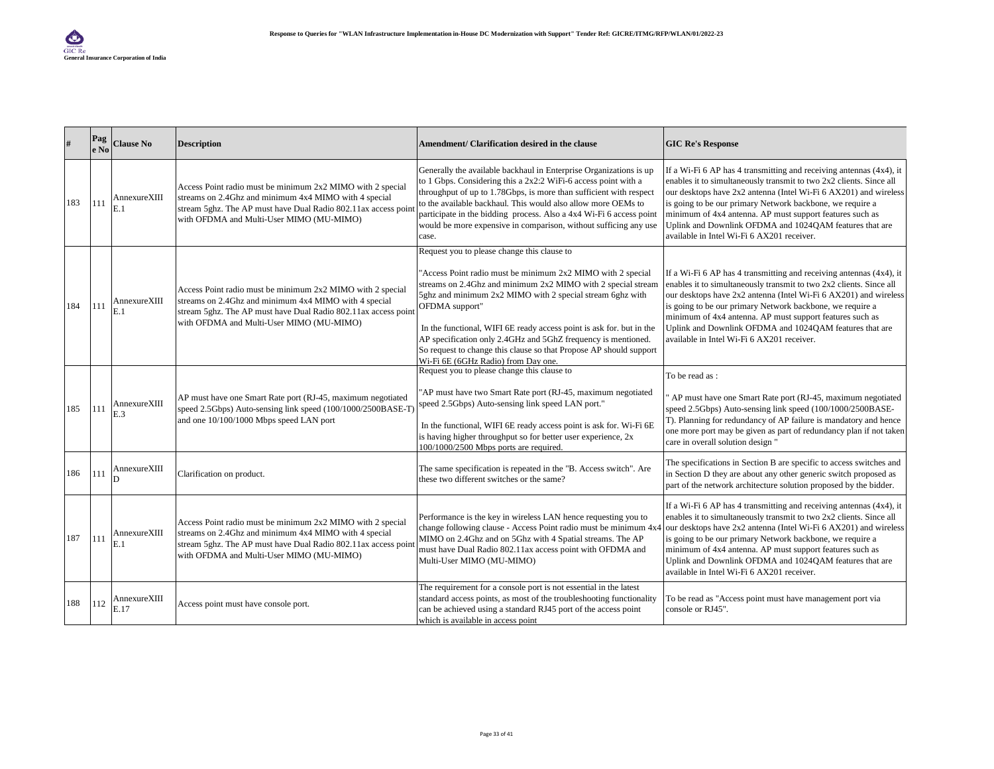| #   | Pag<br>e No | <b>Clause No</b>     | <b>Description</b>                                                                                                                                                                                                               | Amendment/ Clarification desired in the clause                                                                                                                                                                                                                                                                                                                                                                                                                                                                  | <b>GIC Re's Response</b>                                                                                                                                                                                                                                                                                                                                                                                                                              |
|-----|-------------|----------------------|----------------------------------------------------------------------------------------------------------------------------------------------------------------------------------------------------------------------------------|-----------------------------------------------------------------------------------------------------------------------------------------------------------------------------------------------------------------------------------------------------------------------------------------------------------------------------------------------------------------------------------------------------------------------------------------------------------------------------------------------------------------|-------------------------------------------------------------------------------------------------------------------------------------------------------------------------------------------------------------------------------------------------------------------------------------------------------------------------------------------------------------------------------------------------------------------------------------------------------|
| 183 | 111         | AnnexureXIII<br>E.1  | Access Point radio must be minimum 2x2 MIMO with 2 special<br>streams on 2.4Ghz and minimum 4x4 MIMO with 4 special<br>stream 5ghz. The AP must have Dual Radio 802.11ax access poin<br>with OFDMA and Multi-User MIMO (MU-MIMO) | Generally the available backhaul in Enterprise Organizations is up<br>to 1 Gbps. Considering this a 2x2:2 WiFi-6 access point with a<br>throughput of up to 1.78Gbps, is more than sufficient with respect<br>to the available backhaul. This would also allow more OEMs to<br>participate in the bidding process. Also a 4x4 Wi-Fi 6 access point<br>would be more expensive in comparison, without sufficing any use<br>case.                                                                                 | If a Wi-Fi $6$ AP has 4 transmitting and receiving antennas $(4x4)$ , it<br>enables it to simultaneously transmit to two 2x2 clients. Since all<br>our desktops have 2x2 antenna (Intel Wi-Fi 6 AX201) and wireless<br>is going to be our primary Network backbone, we require a<br>minimum of 4x4 antenna. AP must support features such as<br>Uplink and Downlink OFDMA and 1024QAM features that are<br>available in Intel Wi-Fi 6 AX201 receiver. |
| 184 | 111         | AnnexureXIII<br>E.1  | Access Point radio must be minimum 2x2 MIMO with 2 special<br>streams on 2.4Ghz and minimum 4x4 MIMO with 4 special<br>stream 5ghz. The AP must have Dual Radio 802.11ax access poin<br>with OFDMA and Multi-User MIMO (MU-MIMO) | Request you to please change this clause to<br>"Access Point radio must be minimum 2x2 MIMO with 2 special<br>streams on 2.4Ghz and minimum 2x2 MIMO with 2 special stream<br>5ghz and minimum 2x2 MIMO with 2 special stream 6ghz with<br>OFDMA support"<br>In the functional, WIFI 6E ready access point is ask for. but in the<br>AP specification only 2.4GHz and 5GhZ frequency is mentioned.<br>So request to change this clause so that Propose AP should support<br>Wi-Fi 6E (6GHz Radio) from Day one. | If a Wi-Fi $6$ AP has 4 transmitting and receiving antennas $(4x4)$ , it<br>enables it to simultaneously transmit to two 2x2 clients. Since all<br>our desktops have 2x2 antenna (Intel Wi-Fi 6 AX201) and wireless<br>is going to be our primary Network backbone, we require a<br>minimum of 4x4 antenna. AP must support features such as<br>Uplink and Downlink OFDMA and 1024QAM features that are<br>available in Intel Wi-Fi 6 AX201 receiver. |
| 185 | 111         | AnnexureXIII<br>E.3  | AP must have one Smart Rate port (RJ-45, maximum negotiated<br>speed 2.5Gbps) Auto-sensing link speed (100/1000/2500BASE-T)<br>and one 10/100/1000 Mbps speed LAN port                                                           | Request you to please change this clause to<br>"AP must have two Smart Rate port (RJ-45, maximum negotiated<br>speed 2.5Gbps) Auto-sensing link speed LAN port."<br>In the functional, WIFI 6E ready access point is ask for. Wi-Fi 6E<br>is having higher throughput so for better user experience, 2x<br>100/1000/2500 Mbps ports are required.                                                                                                                                                               | To be read as:<br>AP must have one Smart Rate port (RJ-45, maximum negotiated<br>speed 2.5Gbps) Auto-sensing link speed (100/1000/2500BASE-<br>T). Planning for redundancy of AP failure is mandatory and hence<br>one more port may be given as part of redundancy plan if not taken<br>care in overall solution design "                                                                                                                            |
| 186 | 111         | AnnexureXIII         | Clarification on product.                                                                                                                                                                                                        | The same specification is repeated in the "B. Access switch". Are<br>these two different switches or the same?                                                                                                                                                                                                                                                                                                                                                                                                  | The specifications in Section B are specific to access switches and<br>in Section D they are about any other generic switch proposed as<br>part of the network architecture solution proposed by the bidder.                                                                                                                                                                                                                                          |
| 187 | 111         | AnnexureXIII<br>E. 1 | Access Point radio must be minimum 2x2 MIMO with 2 special<br>streams on 2.4Ghz and minimum 4x4 MIMO with 4 special<br>stream 5ghz. The AP must have Dual Radio 802.11ax access poin<br>with OFDMA and Multi-User MIMO (MU-MIMO) | Performance is the key in wireless LAN hence requesting you to<br>change following clause - Access Point radio must be minimum 4x4<br>MIMO on 2.4Ghz and on 5Ghz with 4 Spatial streams. The AP<br>must have Dual Radio 802.11ax access point with OFDMA and<br>Multi-User MIMO (MU-MIMO)                                                                                                                                                                                                                       | If a Wi-Fi 6 AP has 4 transmitting and receiving antennas (4x4), it<br>enables it to simultaneously transmit to two 2x2 clients. Since all<br>our desktops have 2x2 antenna (Intel Wi-Fi 6 AX201) and wireless<br>is going to be our primary Network backbone, we require a<br>minimum of 4x4 antenna. AP must support features such as<br>Uplink and Downlink OFDMA and 1024QAM features that are<br>available in Intel Wi-Fi 6 AX201 receiver.      |
| 188 | 112         | AnnexureXIII<br>E.17 | Access point must have console port.                                                                                                                                                                                             | The requirement for a console port is not essential in the latest<br>standard access points, as most of the troubleshooting functionality<br>can be achieved using a standard RJ45 port of the access point<br>which is available in access point                                                                                                                                                                                                                                                               | To be read as "Access point must have management port via<br>console or RJ45".                                                                                                                                                                                                                                                                                                                                                                        |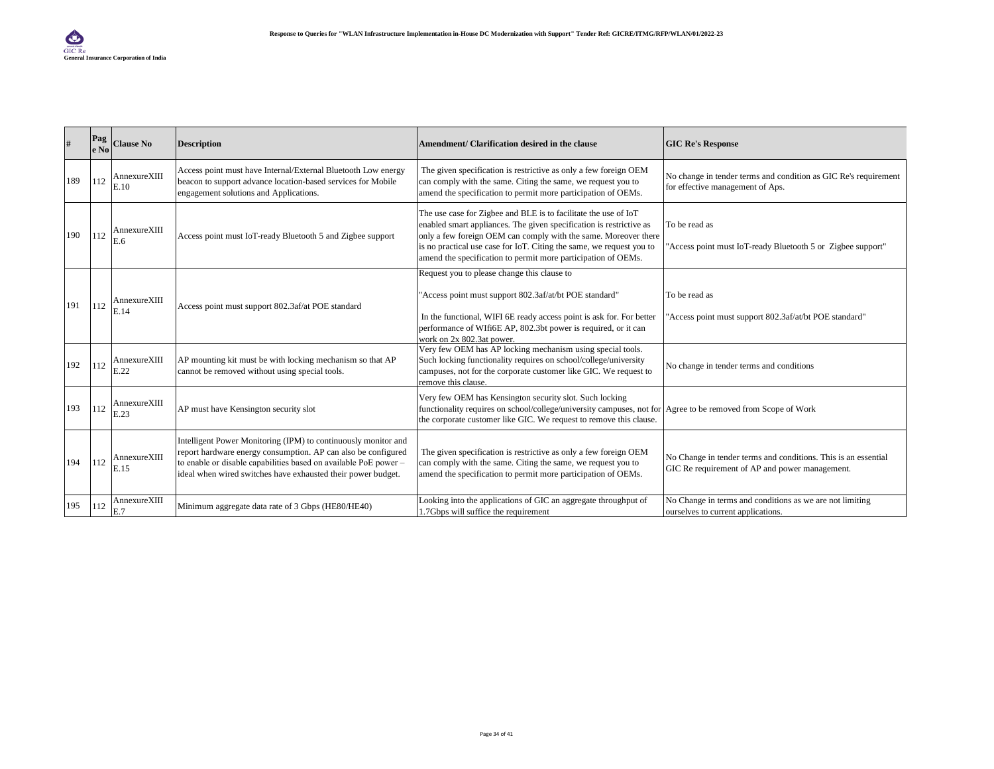|     | Pag<br>le No | <b>Clause No</b>     | <b>Description</b>                                                                                                                                                                                                                                                  | Amendment/ Clarification desired in the clause                                                                                                                                                                                                                                                                                                     | <b>GIC Re's Response</b>                                                                                         |
|-----|--------------|----------------------|---------------------------------------------------------------------------------------------------------------------------------------------------------------------------------------------------------------------------------------------------------------------|----------------------------------------------------------------------------------------------------------------------------------------------------------------------------------------------------------------------------------------------------------------------------------------------------------------------------------------------------|------------------------------------------------------------------------------------------------------------------|
| 189 | 112          | AnnexureXIII<br>E.10 | Access point must have Internal/External Bluetooth Low energy<br>beacon to support advance location-based services for Mobile<br>engagement solutions and Applications.                                                                                             | The given specification is restrictive as only a few foreign OEM<br>can comply with the same. Citing the same, we request you to<br>amend the specification to permit more participation of OEMs.                                                                                                                                                  | No change in tender terms and condition as GIC Re's requirement<br>for effective management of Aps.              |
| 190 | 112          | AnnexureXIII<br>E.6  | Access point must IoT-ready Bluetooth 5 and Zigbee support                                                                                                                                                                                                          | The use case for Zigbee and BLE is to facilitate the use of IoT<br>enabled smart appliances. The given specification is restrictive as<br>only a few foreign OEM can comply with the same. Moreover there<br>is no practical use case for IoT. Citing the same, we request you to<br>amend the specification to permit more participation of OEMs. | To be read as<br>"Access point must IoT-ready Bluetooth 5 or Zigbee support"                                     |
| 191 | 112          | AnnexureXIII<br>E.14 | Access point must support 802.3af/at POE standard                                                                                                                                                                                                                   | Request you to please change this clause to<br>'Access point must support 802.3af/at/bt POE standard"<br>In the functional, WIFI 6E ready access point is ask for. For better<br>performance of WIfi6E AP, 802.3bt power is required, or it can<br>work on 2x 802.3at nower.                                                                       | To be read as<br>'Access point must support 802.3af/at/bt POE standard"                                          |
| 192 | 112          | AnnexureXIII<br>E.22 | AP mounting kit must be with locking mechanism so that AP<br>cannot be removed without using special tools.                                                                                                                                                         | Very few OEM has AP locking mechanism using special tools.<br>Such locking functionality requires on school/college/university<br>campuses, not for the corporate customer like GIC. We request to<br>remove this clause.                                                                                                                          | No change in tender terms and conditions                                                                         |
| 193 | 112          | AnnexureXIII<br>E.23 | AP must have Kensington security slot                                                                                                                                                                                                                               | Very few OEM has Kensington security slot. Such locking<br>functionality requires on school/college/university campuses, not for Agree to be removed from Scope of Work<br>the corporate customer like GIC. We request to remove this clause.                                                                                                      |                                                                                                                  |
| 194 | 112          | AnnexureXIII<br>E.15 | Intelligent Power Monitoring (IPM) to continuously monitor and<br>report hardware energy consumption. AP can also be configured<br>to enable or disable capabilities based on available PoE power -<br>ideal when wired switches have exhausted their power budget. | The given specification is restrictive as only a few foreign OEM<br>can comply with the same. Citing the same, we request you to<br>amend the specification to permit more participation of OEMs.                                                                                                                                                  | No Change in tender terms and conditions. This is an essential<br>GIC Re requirement of AP and power management. |
| 195 | 112          | AnnexureXIII<br>E.7  | Minimum aggregate data rate of 3 Gbps (HE80/HE40)                                                                                                                                                                                                                   | Looking into the applications of GIC an aggregate throughput of<br>1.7Gbps will suffice the requirement                                                                                                                                                                                                                                            | No Change in terms and conditions as we are not limiting<br>ourselves to current applications.                   |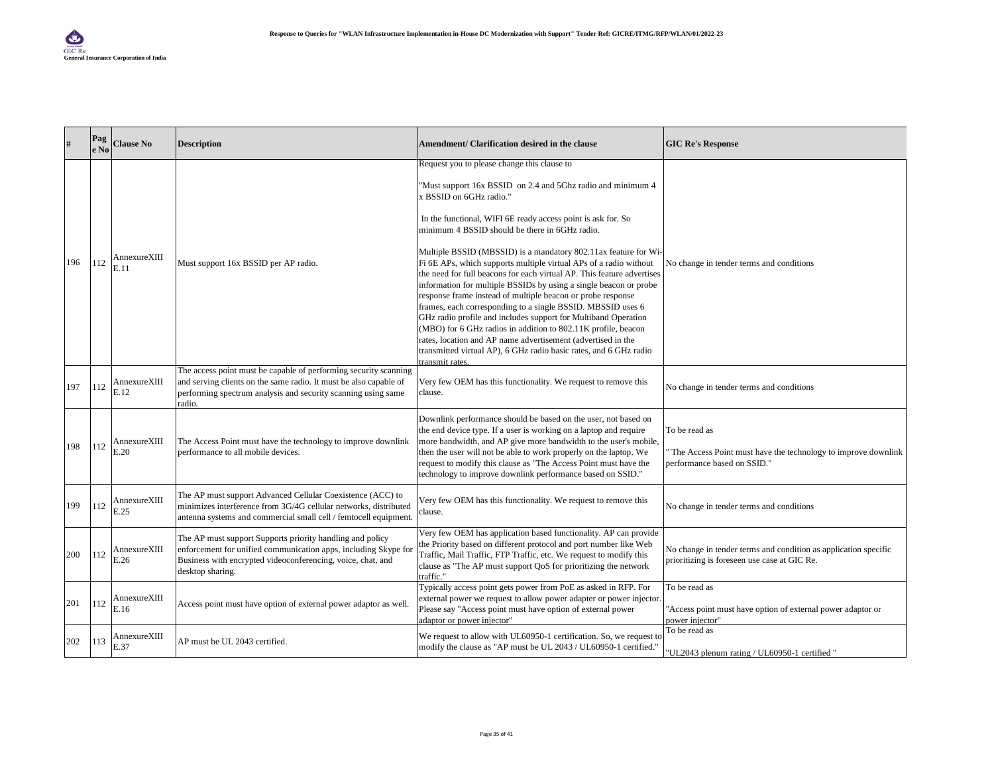| #   | Pag<br>e No | <b>Clause No</b>     | <b>Description</b>                                                                                                                                                                                               | Amendment/ Clarification desired in the clause                                                                                                                                                                                                                                                                                                                                                                                                                                                                                                                                                                                            | <b>GIC Re's Response</b>                                                                                        |
|-----|-------------|----------------------|------------------------------------------------------------------------------------------------------------------------------------------------------------------------------------------------------------------|-------------------------------------------------------------------------------------------------------------------------------------------------------------------------------------------------------------------------------------------------------------------------------------------------------------------------------------------------------------------------------------------------------------------------------------------------------------------------------------------------------------------------------------------------------------------------------------------------------------------------------------------|-----------------------------------------------------------------------------------------------------------------|
|     |             |                      |                                                                                                                                                                                                                  | Request you to please change this clause to<br>"Must support 16x BSSID on 2.4 and 5Ghz radio and minimum 4<br>x BSSID on 6GHz radio."                                                                                                                                                                                                                                                                                                                                                                                                                                                                                                     |                                                                                                                 |
|     |             |                      |                                                                                                                                                                                                                  | In the functional, WIFI 6E ready access point is ask for. So<br>minimum 4 BSSID should be there in 6GHz radio.<br>Multiple BSSID (MBSSID) is a mandatory 802.11ax feature for Wi-                                                                                                                                                                                                                                                                                                                                                                                                                                                         |                                                                                                                 |
| 196 | 112         | AnnexureXIII<br>E.11 | Must support 16x BSSID per AP radio.                                                                                                                                                                             | Fi 6E APs, which supports multiple virtual APs of a radio without<br>the need for full beacons for each virtual AP. This feature advertises<br>information for multiple BSSIDs by using a single beacon or probe<br>response frame instead of multiple beacon or probe response<br>frames, each corresponding to a single BSSID. MBSSID uses 6<br>GHz radio profile and includes support for Multiband Operation<br>(MBO) for 6 GHz radios in addition to 802.11K profile, beacon<br>rates, location and AP name advertisement (advertised in the<br>transmitted virtual AP), 6 GHz radio basic rates, and 6 GHz radio<br>transmit rates. | No change in tender terms and conditions                                                                        |
| 197 | 112         | AnnexureXIII<br>E.12 | The access point must be capable of performing security scanning<br>and serving clients on the same radio. It must be also capable of<br>performing spectrum analysis and security scanning using same<br>radio. | Very few OEM has this functionality. We request to remove this<br>clause.                                                                                                                                                                                                                                                                                                                                                                                                                                                                                                                                                                 | No change in tender terms and conditions                                                                        |
| 198 | 112         | AnnexureXIII<br>E.20 | The Access Point must have the technology to improve downlink<br>performance to all mobile devices.                                                                                                              | Downlink performance should be based on the user, not based on<br>the end device type. If a user is working on a laptop and require<br>more bandwidth, and AP give more bandwidth to the user's mobile,<br>then the user will not be able to work properly on the laptop. We<br>request to modify this clause as "The Access Point must have the<br>technology to improve downlink performance based on SSID."                                                                                                                                                                                                                            | To be read as<br>The Access Point must have the technology to improve downlink<br>performance based on SSID."   |
| 199 | 112         | AnnexureXIII<br>E.25 | The AP must support Advanced Cellular Coexistence (ACC) to<br>minimizes interference from 3G/4G cellular networks, distributed<br>antenna systems and commercial small cell / femtocell equipment.               | Very few OEM has this functionality. We request to remove this<br>clause.                                                                                                                                                                                                                                                                                                                                                                                                                                                                                                                                                                 | No change in tender terms and conditions                                                                        |
| 200 | 112         | AnnexureXIII<br>E.26 | The AP must support Supports priority handling and policy<br>enforcement for unified communication apps, including Skype for<br>Business with encrypted videoconferencing, voice, chat, and<br>desktop sharing.  | Very few OEM has application based functionality. AP can provide<br>the Priority based on different protocol and port number like Web<br>Traffic, Mail Traffic, FTP Traffic, etc. We request to modify this<br>clause as "The AP must support QoS for prioritizing the network<br>traffic."                                                                                                                                                                                                                                                                                                                                               | No change in tender terms and condition as application specific<br>prioritizing is foreseen use case at GIC Re. |
| 201 | 112         | AnnexureXIII<br>E.16 | Access point must have option of external power adaptor as well.                                                                                                                                                 | Typically access point gets power from PoE as asked in RFP. For<br>external power we request to allow power adapter or power injector.<br>Please say "Access point must have option of external power<br>adaptor or power injector"                                                                                                                                                                                                                                                                                                                                                                                                       | To be read as<br>Access point must have option of external power adaptor or<br>power injector"                  |
| 202 | 113         | AnnexureXIII<br>E.37 | AP must be UL 2043 certified.                                                                                                                                                                                    | We request to allow with UL60950-1 certification. So, we request to<br>modify the clause as "AP must be UL 2043 / UL60950-1 certified."                                                                                                                                                                                                                                                                                                                                                                                                                                                                                                   | To be read as<br>"UL2043 plenum rating / UL60950-1 certified "                                                  |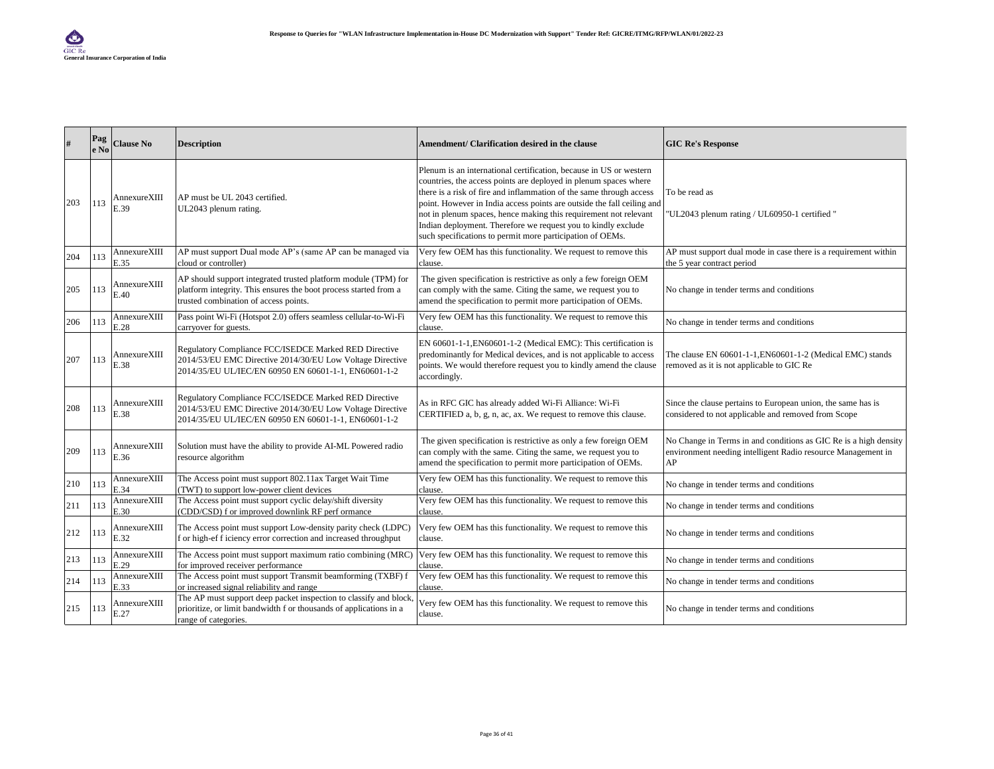| #   | Pag<br>e No | <b>Clause No</b>     | <b>Description</b>                                                                                                                                                          | Amendment/ Clarification desired in the clause                                                                                                                                                                                                                                                                                                                                                                                                                                            | <b>GIC Re's Response</b>                                                                                                               |
|-----|-------------|----------------------|-----------------------------------------------------------------------------------------------------------------------------------------------------------------------------|-------------------------------------------------------------------------------------------------------------------------------------------------------------------------------------------------------------------------------------------------------------------------------------------------------------------------------------------------------------------------------------------------------------------------------------------------------------------------------------------|----------------------------------------------------------------------------------------------------------------------------------------|
| 203 | 113         | AnnexureXIII<br>E.39 | AP must be UL 2043 certified.<br>UL2043 plenum rating.                                                                                                                      | Plenum is an international certification, because in US or western<br>countries, the access points are deployed in plenum spaces where<br>there is a risk of fire and inflammation of the same through access<br>point. However in India access points are outside the fall ceiling and<br>not in plenum spaces, hence making this requirement not relevant<br>Indian deployment. Therefore we request you to kindly exclude<br>such specifications to permit more participation of OEMs. | To be read as<br>"UL2043 plenum rating / UL60950-1 certified "                                                                         |
| 204 | 113         | AnnexureXIII<br>E.35 | AP must support Dual mode AP's (same AP can be managed via<br>cloud or controller)                                                                                          | Very few OEM has this functionality. We request to remove this<br>clause.                                                                                                                                                                                                                                                                                                                                                                                                                 | AP must support dual mode in case there is a requirement within<br>the 5 year contract period                                          |
| 205 | 113         | AnnexureXIII<br>E.40 | AP should support integrated trusted platform module (TPM) for<br>platform integrity. This ensures the boot process started from a<br>trusted combination of access points. | The given specification is restrictive as only a few foreign OEM<br>can comply with the same. Citing the same, we request you to<br>amend the specification to permit more participation of OEMs.                                                                                                                                                                                                                                                                                         | No change in tender terms and conditions                                                                                               |
| 206 | 113         | AnnexureXIII<br>E.28 | Pass point Wi-Fi (Hotspot 2.0) offers seamless cellular-to-Wi-Fi<br>carryover for guests.                                                                                   | Very few OEM has this functionality. We request to remove this<br>clause.                                                                                                                                                                                                                                                                                                                                                                                                                 | No change in tender terms and conditions                                                                                               |
| 207 | 113         | AnnexureXIII<br>E.38 | Regulatory Compliance FCC/ISEDCE Marked RED Directive<br>2014/53/EU EMC Directive 2014/30/EU Low Voltage Directive<br>2014/35/EU UL/IEC/EN 60950 EN 60601-1-1, EN60601-1-2  | EN 60601-1-1, EN60601-1-2 (Medical EMC): This certification is<br>predominantly for Medical devices, and is not applicable to access<br>points. We would therefore request you to kindly amend the clause<br>accordingly.                                                                                                                                                                                                                                                                 | The clause EN 60601-1-1, EN60601-1-2 (Medical EMC) stands<br>removed as it is not applicable to GIC Re                                 |
| 208 | 113         | AnnexureXIII<br>E.38 | Regulatory Compliance FCC/ISEDCE Marked RED Directive<br>2014/53/EU EMC Directive 2014/30/EU Low Voltage Directive<br>2014/35/EU UL/IEC/EN 60950 EN 60601-1-1, EN60601-1-2  | As in RFC GIC has already added Wi-Fi Alliance: Wi-Fi<br>CERTIFIED a, b, g, n, ac, ax. We request to remove this clause.                                                                                                                                                                                                                                                                                                                                                                  | Since the clause pertains to European union, the same has is<br>considered to not applicable and removed from Scope                    |
| 209 | 113         | AnnexureXIII<br>E.36 | Solution must have the ability to provide AI-ML Powered radio<br>resource algorithm                                                                                         | The given specification is restrictive as only a few foreign OEM<br>can comply with the same. Citing the same, we request you to<br>amend the specification to permit more participation of OEMs.                                                                                                                                                                                                                                                                                         | No Change in Terms in and conditions as GIC Re is a high density<br>environment needing intelligent Radio resource Management in<br>AP |
| 210 | 113         | AnnexureXIII<br>E.34 | The Access point must support 802.11ax Target Wait Time<br>(TWT) to support low-power client devices                                                                        | Very few OEM has this functionality. We request to remove this<br>clause.                                                                                                                                                                                                                                                                                                                                                                                                                 | No change in tender terms and conditions                                                                                               |
| 211 | 113         | AnnexureXIII<br>E.30 | The Access point must support cyclic delay/shift diversity<br>(CDD/CSD) f or improved downlink RF perf ormance                                                              | Very few OEM has this functionality. We request to remove this<br>clause.                                                                                                                                                                                                                                                                                                                                                                                                                 | No change in tender terms and conditions                                                                                               |
| 212 | 113         | AnnexureXIII<br>E.32 | The Access point must support Low-density parity check (LDPC)<br>f or high-ef f iciency error correction and increased throughput                                           | Very few OEM has this functionality. We request to remove this<br>clause.                                                                                                                                                                                                                                                                                                                                                                                                                 | No change in tender terms and conditions                                                                                               |
| 213 | 113         | AnnexureXIII<br>E.29 | The Access point must support maximum ratio combining (MRC)<br>for improved receiver performance                                                                            | Very few OEM has this functionality. We request to remove this<br>clause.                                                                                                                                                                                                                                                                                                                                                                                                                 | No change in tender terms and conditions                                                                                               |
| 214 | 113         | AnnexureXIII<br>E.33 | The Access point must support Transmit beamforming (TXBF) f<br>or increased signal reliability and range                                                                    | Very few OEM has this functionality. We request to remove this<br>clause.                                                                                                                                                                                                                                                                                                                                                                                                                 | No change in tender terms and conditions                                                                                               |
| 215 | 113         | AnnexureXIII<br>E.27 | The AP must support deep packet inspection to classify and block,<br>prioritize, or limit bandwidth f or thousands of applications in a<br>range of categories.             | Very few OEM has this functionality. We request to remove this<br>clause.                                                                                                                                                                                                                                                                                                                                                                                                                 | No change in tender terms and conditions                                                                                               |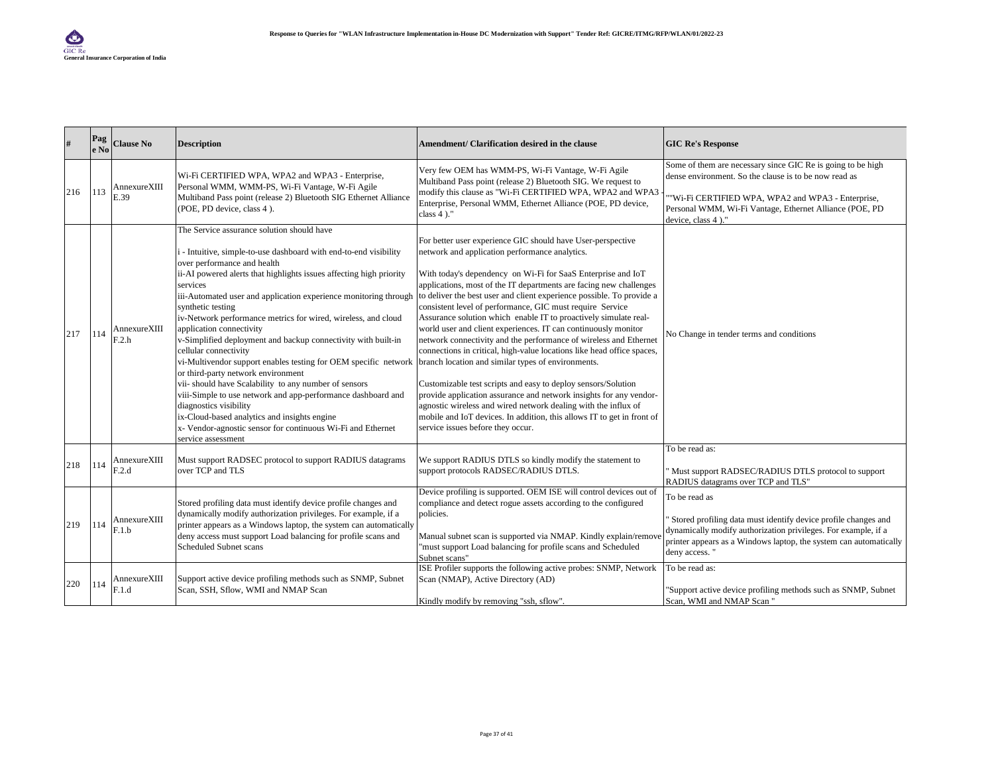| #   | Pag<br>le No | <b>Clause No</b>      | <b>Description</b>                                                                                                                                                                                                                                                                                                                                                                                                                                                                                                                                                                                                                                                                                                                                                                                                                                                                                                 | Amendment/ Clarification desired in the clause                                                                                                                                                                                                                                                                                                                                                                                                                                                                                                                                                                                                                                                                                                                                                                                                                                                                                                                                                                                                               | <b>GIC Re's Response</b>                                                                                                                                                                                                                                   |
|-----|--------------|-----------------------|--------------------------------------------------------------------------------------------------------------------------------------------------------------------------------------------------------------------------------------------------------------------------------------------------------------------------------------------------------------------------------------------------------------------------------------------------------------------------------------------------------------------------------------------------------------------------------------------------------------------------------------------------------------------------------------------------------------------------------------------------------------------------------------------------------------------------------------------------------------------------------------------------------------------|--------------------------------------------------------------------------------------------------------------------------------------------------------------------------------------------------------------------------------------------------------------------------------------------------------------------------------------------------------------------------------------------------------------------------------------------------------------------------------------------------------------------------------------------------------------------------------------------------------------------------------------------------------------------------------------------------------------------------------------------------------------------------------------------------------------------------------------------------------------------------------------------------------------------------------------------------------------------------------------------------------------------------------------------------------------|------------------------------------------------------------------------------------------------------------------------------------------------------------------------------------------------------------------------------------------------------------|
| 216 | 113          | AnnexureXIII<br>E.39  | Wi-Fi CERTIFIED WPA, WPA2 and WPA3 - Enterprise,<br>Personal WMM, WMM-PS, Wi-Fi Vantage, W-Fi Agile<br>Multiband Pass point (release 2) Bluetooth SIG Ethernet Alliance<br>(POE, PD device, class 4).                                                                                                                                                                                                                                                                                                                                                                                                                                                                                                                                                                                                                                                                                                              | Very few OEM has WMM-PS, Wi-Fi Vantage, W-Fi Agile<br>Multiband Pass point (release 2) Bluetooth SIG. We request to<br>modify this clause as "Wi-Fi CERTIFIED WPA, WPA2 and WPA3<br>Enterprise, Personal WMM, Ethernet Alliance (POE, PD device,<br>class $4$ )."                                                                                                                                                                                                                                                                                                                                                                                                                                                                                                                                                                                                                                                                                                                                                                                            | Some of them are necessary since GIC Re is going to be high<br>dense environment. So the clause is to be now read as<br>"Wi-Fi CERTIFIED WPA, WPA2 and WPA3 - Enterprise,<br>Personal WMM, Wi-Fi Vantage, Ethernet Alliance (POE, PD<br>device, class 4)." |
| 217 | 114          | AnnexureXIII<br>F.2.h | The Service assurance solution should have<br>i - Intuitive, simple-to-use dashboard with end-to-end visibility<br>over performance and health<br>ii-AI powered alerts that highlights issues affecting high priority<br>services<br>iii-Automated user and application experience monitoring through<br>synthetic testing<br>iv-Network performance metrics for wired, wireless, and cloud<br>application connectivity<br>v-Simplified deployment and backup connectivity with built-in<br>cellular connectivity<br>vi-Multivendor support enables testing for OEM specific network<br>or third-party network environment<br>vii- should have Scalability to any number of sensors<br>viii-Simple to use network and app-performance dashboard and<br>diagnostics visibility<br>ix-Cloud-based analytics and insights engine<br>x- Vendor-agnostic sensor for continuous Wi-Fi and Ethernet<br>service assessment | For better user experience GIC should have User-perspective<br>network and application performance analytics.<br>With today's dependency on Wi-Fi for SaaS Enterprise and IoT<br>applications, most of the IT departments are facing new challenges<br>to deliver the best user and client experience possible. To provide a<br>consistent level of performance, GIC must require Service<br>Assurance solution which enable IT to proactively simulate real-<br>world user and client experiences. IT can continuously monitor<br>network connectivity and the performance of wireless and Ethernet<br>connections in critical, high-value locations like head office spaces,<br>branch location and similar types of environments.<br>Customizable test scripts and easy to deploy sensors/Solution<br>provide application assurance and network insights for any vendor-<br>agnostic wireless and wired network dealing with the influx of<br>mobile and IoT devices. In addition, this allows IT to get in front of<br>service issues before they occur. | No Change in tender terms and conditions                                                                                                                                                                                                                   |
| 218 | 114          | AnnexureXIII<br>F.2.d | Must support RADSEC protocol to support RADIUS datagrams<br>over TCP and TLS                                                                                                                                                                                                                                                                                                                                                                                                                                                                                                                                                                                                                                                                                                                                                                                                                                       | We support RADIUS DTLS so kindly modify the statement to<br>support protocols RADSEC/RADIUS DTLS.                                                                                                                                                                                                                                                                                                                                                                                                                                                                                                                                                                                                                                                                                                                                                                                                                                                                                                                                                            | To be read as:<br>Must support RADSEC/RADIUS DTLS protocol to support<br>RADIUS datagrams over TCP and TLS"                                                                                                                                                |
| 219 | 114          | AnnexureXIII<br>F.1.b | Stored profiling data must identify device profile changes and<br>dynamically modify authorization privileges. For example, if a<br>printer appears as a Windows laptop, the system can automatically<br>deny access must support Load balancing for profile scans and<br><b>Scheduled Subnet scans</b>                                                                                                                                                                                                                                                                                                                                                                                                                                                                                                                                                                                                            | Device profiling is supported. OEM ISE will control devices out of<br>compliance and detect rogue assets according to the configured<br>policies.<br>Manual subnet scan is supported via NMAP. Kindly explain/remove<br>"must support Load balancing for profile scans and Scheduled<br>Subnet scans"                                                                                                                                                                                                                                                                                                                                                                                                                                                                                                                                                                                                                                                                                                                                                        | To be read as<br>Stored profiling data must identify device profile changes and<br>dynamically modify authorization privileges. For example, if a<br>printer appears as a Windows laptop, the system can automatically<br>deny access."                    |
| 220 | 114          | AnnexureXIII<br>F.1.d | Support active device profiling methods such as SNMP, Subnet<br>Scan, SSH, Sflow, WMI and NMAP Scan                                                                                                                                                                                                                                                                                                                                                                                                                                                                                                                                                                                                                                                                                                                                                                                                                | ISE Profiler supports the following active probes: SNMP, Network<br>Scan (NMAP), Active Directory (AD)<br>Kindly modify by removing "ssh, sflow".                                                                                                                                                                                                                                                                                                                                                                                                                                                                                                                                                                                                                                                                                                                                                                                                                                                                                                            | To be read as:<br>"Support active device profiling methods such as SNMP, Subnet<br>Scan, WMI and NMAP Scan "                                                                                                                                               |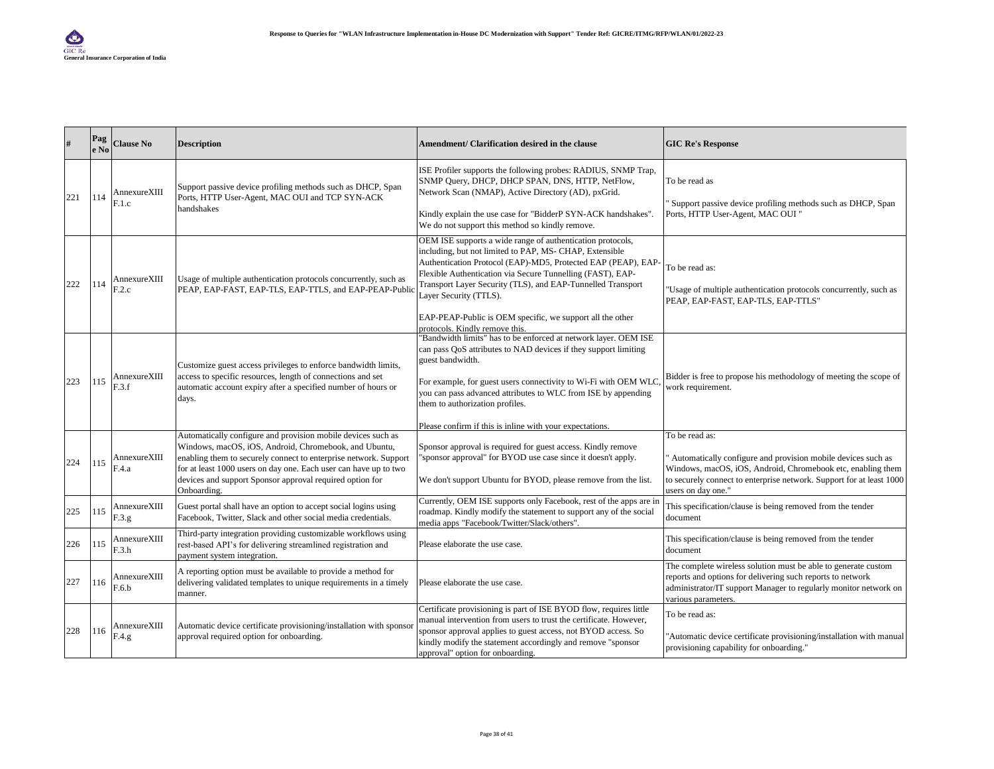|     | Pag<br>e No | <b>Clause No</b>       | <b>Description</b>                                                                                                                                                                                                                                                                                                                       | Amendment/ Clarification desired in the clause                                                                                                                                                                                                                                                                                                                                                                                               | <b>GIC Re's Response</b>                                                                                                                                                                                                                    |
|-----|-------------|------------------------|------------------------------------------------------------------------------------------------------------------------------------------------------------------------------------------------------------------------------------------------------------------------------------------------------------------------------------------|----------------------------------------------------------------------------------------------------------------------------------------------------------------------------------------------------------------------------------------------------------------------------------------------------------------------------------------------------------------------------------------------------------------------------------------------|---------------------------------------------------------------------------------------------------------------------------------------------------------------------------------------------------------------------------------------------|
| 221 | 114         | AnnexureXIII<br>F.1.c  | Support passive device profiling methods such as DHCP, Span<br>Ports, HTTP User-Agent, MAC OUI and TCP SYN-ACK<br>handshakes                                                                                                                                                                                                             | ISE Profiler supports the following probes: RADIUS, SNMP Trap,<br>SNMP Query, DHCP, DHCP SPAN, DNS, HTTP, NetFlow,<br>Network Scan (NMAP), Active Directory (AD), pxGrid.<br>Kindly explain the use case for "BidderP SYN-ACK handshakes".<br>We do not support this method so kindly remove.                                                                                                                                                | To be read as<br>Support passive device profiling methods such as DHCP, Span<br>Ports, HTTP User-Agent, MAC OUI "                                                                                                                           |
| 222 | 114         | AnnexureXIII<br>F.2.c  | Usage of multiple authentication protocols concurrently, such as<br>PEAP, EAP-FAST, EAP-TLS, EAP-TTLS, and EAP-PEAP-Public                                                                                                                                                                                                               | OEM ISE supports a wide range of authentication protocols,<br>including, but not limited to PAP, MS- CHAP, Extensible<br>Authentication Protocol (EAP)-MD5, Protected EAP (PEAP), EAP-<br>Flexible Authentication via Secure Tunnelling (FAST), EAP-<br>Transport Layer Security (TLS), and EAP-Tunnelled Transport<br>Layer Security (TTLS).<br>EAP-PEAP-Public is OEM specific, we support all the other<br>protocols. Kindly remove this. | To be read as:<br>"Usage of multiple authentication protocols concurrently, such as<br>PEAP, EAP-FAST, EAP-TLS, EAP-TTLS"                                                                                                                   |
| 223 | 115         | AnnexureXIII<br>F.3.f  | Customize guest access privileges to enforce bandwidth limits,<br>access to specific resources, length of connections and set<br>automatic account expiry after a specified number of hours or<br>days.                                                                                                                                  | "Bandwidth limits" has to be enforced at network layer. OEM ISE<br>can pass QoS attributes to NAD devices if they support limiting<br>guest bandwidth.<br>For example, for guest users connectivity to Wi-Fi with OEM WLC<br>you can pass advanced attributes to WLC from ISE by appending<br>them to authorization profiles.<br>Please confirm if this is inline with your expectations.                                                    | Bidder is free to propose his methodology of meeting the scope of<br>work requirement.                                                                                                                                                      |
| 224 | 115         | AnnexureXIII<br>F.4.a  | Automatically configure and provision mobile devices such as<br>Windows, macOS, iOS, Android, Chromebook, and Ubuntu,<br>enabling them to securely connect to enterprise network. Support<br>for at least 1000 users on day one. Each user can have up to two<br>devices and support Sponsor approval required option for<br>Onboarding. | Sponsor approval is required for guest access. Kindly remove<br>"sponsor approval" for BYOD use case since it doesn't apply.<br>We don't support Ubuntu for BYOD, please remove from the list.                                                                                                                                                                                                                                               | To be read as:<br>Automatically configure and provision mobile devices such as<br>Windows, macOS, iOS, Android, Chromebook etc, enabling them<br>to securely connect to enterprise network. Support for at least 1000<br>users on day one." |
| 225 | 115         | AnnexureXIII<br>F.3.g. | Guest portal shall have an option to accept social logins using<br>Facebook, Twitter, Slack and other social media credentials.                                                                                                                                                                                                          | Currently, OEM ISE supports only Facebook, rest of the apps are in<br>roadmap. Kindly modify the statement to support any of the social<br>media apps "Facebook/Twitter/Slack/others".                                                                                                                                                                                                                                                       | This specification/clause is being removed from the tender<br>document                                                                                                                                                                      |
| 226 | 115         | AnnexureXIII<br>F.3.h  | Third-party integration providing customizable workflows using<br>rest-based API's for delivering streamlined registration and<br>payment system integration.                                                                                                                                                                            | Please elaborate the use case.                                                                                                                                                                                                                                                                                                                                                                                                               | This specification/clause is being removed from the tender<br>document                                                                                                                                                                      |
| 227 | 116         | AnnexureXIII<br>F.6.b  | A reporting option must be available to provide a method for<br>delivering validated templates to unique requirements in a timely<br>manner.                                                                                                                                                                                             | Please elaborate the use case.                                                                                                                                                                                                                                                                                                                                                                                                               | The complete wireless solution must be able to generate custom<br>reports and options for delivering such reports to network<br>administrator/IT support Manager to regularly monitor network on<br>various parameters.                     |
| 228 | 116         | AnnexureXIII<br>F.4.g  | Automatic device certificate provisioning/installation with sponsor<br>approval required option for onboarding.                                                                                                                                                                                                                          | Certificate provisioning is part of ISE BYOD flow, requires little<br>manual intervention from users to trust the certificate. However,<br>sponsor approval applies to guest access, not BYOD access. So<br>kindly modify the statement accordingly and remove "sponsor<br>approval" option for onboarding.                                                                                                                                  | To be read as:<br>"Automatic device certificate provisioning/installation with manual<br>provisioning capability for onboarding."                                                                                                           |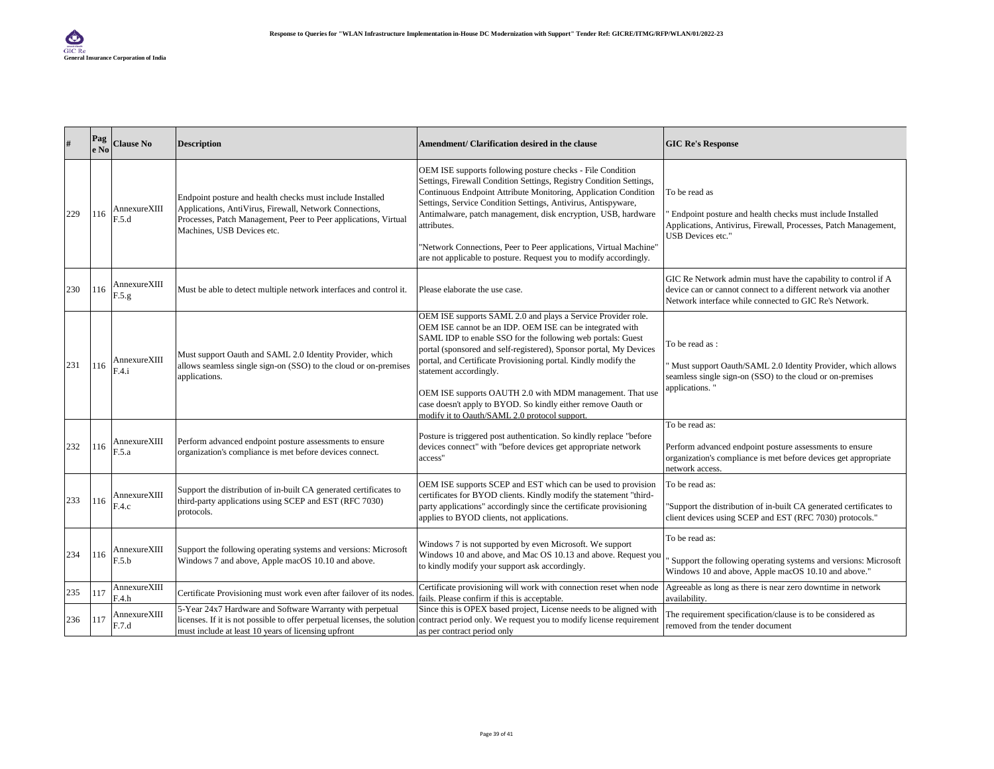|     | Pag<br>e No | <b>Clause No</b>       | <b>Description</b>                                                                                                                                                                                                    | Amendment/ Clarification desired in the clause                                                                                                                                                                                                                                                                                                                                                                                                                                                                                        | <b>GIC Re's Response</b>                                                                                                                                                                   |
|-----|-------------|------------------------|-----------------------------------------------------------------------------------------------------------------------------------------------------------------------------------------------------------------------|---------------------------------------------------------------------------------------------------------------------------------------------------------------------------------------------------------------------------------------------------------------------------------------------------------------------------------------------------------------------------------------------------------------------------------------------------------------------------------------------------------------------------------------|--------------------------------------------------------------------------------------------------------------------------------------------------------------------------------------------|
| 229 | 116         | AnnexureXIII<br>F.5.d  | Endpoint posture and health checks must include Installed<br>Applications, AntiVirus, Firewall, Network Connections,<br>Processes, Patch Management, Peer to Peer applications, Virtual<br>Machines, USB Devices etc. | OEM ISE supports following posture checks - File Condition<br>Settings, Firewall Condition Settings, Registry Condition Settings,<br>Continuous Endpoint Attribute Monitoring, Application Condition<br>Settings, Service Condition Settings, Antivirus, Antispyware,<br>Antimalware, patch management, disk encryption, USB, hardware<br>attributes.<br>"Network Connections, Peer to Peer applications, Virtual Machine"<br>are not applicable to posture. Request you to modify accordingly.                                       | To be read as<br>Endpoint posture and health checks must include Installed<br>Applications, Antivirus, Firewall, Processes, Patch Management,<br>USB Devices etc."                         |
| 230 | 116         | AnnexureXIII<br>F.5.g. | Must be able to detect multiple network interfaces and control it.                                                                                                                                                    | Please elaborate the use case.                                                                                                                                                                                                                                                                                                                                                                                                                                                                                                        | GIC Re Network admin must have the capability to control if A<br>device can or cannot connect to a different network via another<br>Network interface while connected to GIC Re's Network. |
| 231 | 116         | AnnexureXIII<br>F.4.i  | Must support Oauth and SAML 2.0 Identity Provider, which<br>allows seamless single sign-on (SSO) to the cloud or on-premises<br>applications.                                                                         | OEM ISE supports SAML 2.0 and plays a Service Provider role.<br>OEM ISE cannot be an IDP. OEM ISE can be integrated with<br>SAML IDP to enable SSO for the following web portals: Guest<br>portal (sponsored and self-registered), Sponsor portal, My Devices<br>portal, and Certificate Provisioning portal. Kindly modify the<br>statement accordingly.<br>OEM ISE supports OAUTH 2.0 with MDM management. That use<br>case doesn't apply to BYOD. So kindly either remove Oauth or<br>modify it to Oauth/SAML 2.0 protocol support | To be read as:<br>Must support Oauth/SAML 2.0 Identity Provider, which allows<br>seamless single sign-on (SSO) to the cloud or on-premises<br>applications."                               |
| 232 | 116         | AnnexureXIII<br>F.5.a  | Perform advanced endpoint posture assessments to ensure<br>organization's compliance is met before devices connect.                                                                                                   | Posture is triggered post authentication. So kindly replace "before<br>devices connect" with "before devices get appropriate network<br>access"                                                                                                                                                                                                                                                                                                                                                                                       | To be read as:<br>Perform advanced endpoint posture assessments to ensure<br>organization's compliance is met before devices get appropriate<br>network access.                            |
| 233 | 116         | AnnexureXIII<br>F.4.c  | Support the distribution of in-built CA generated certificates to<br>third-party applications using SCEP and EST (RFC 7030)<br>protocols.                                                                             | OEM ISE supports SCEP and EST which can be used to provision<br>certificates for BYOD clients. Kindly modify the statement "third-<br>party applications" accordingly since the certificate provisioning<br>applies to BYOD clients, not applications.                                                                                                                                                                                                                                                                                | To be read as:<br>"Support the distribution of in-built CA generated certificates to<br>client devices using SCEP and EST (RFC 7030) protocols."                                           |
| 234 | 116         | AnnexureXIII<br>F.5.b  | Support the following operating systems and versions: Microsoft<br>Windows 7 and above, Apple macOS 10.10 and above.                                                                                                  | Windows 7 is not supported by even Microsoft. We support<br>Windows 10 and above, and Mac OS 10.13 and above. Request you<br>to kindly modify your support ask accordingly.                                                                                                                                                                                                                                                                                                                                                           | To be read as:<br>Support the following operating systems and versions: Microsoft<br>Windows 10 and above, Apple macOS 10.10 and above."                                                   |
| 235 | 117         | AnnexureXIII<br>F.4.h  | Certificate Provisioning must work even after failover of its nodes.                                                                                                                                                  | Certificate provisioning will work with connection reset when node<br>fails. Please confirm if this is acceptable.                                                                                                                                                                                                                                                                                                                                                                                                                    | Agreeable as long as there is near zero downtime in network<br>availability.                                                                                                               |
| 236 | 117         | AnnexureXIII<br>F.7.d  | 5-Year 24x7 Hardware and Software Warranty with perpetual<br>must include at least 10 years of licensing upfront                                                                                                      | Since this is OPEX based project, License needs to be aligned with<br>licenses. If it is not possible to offer perpetual licenses, the solution contract period only. We request you to modify license requirement<br>as per contract period only                                                                                                                                                                                                                                                                                     | The requirement specification/clause is to be considered as<br>removed from the tender document                                                                                            |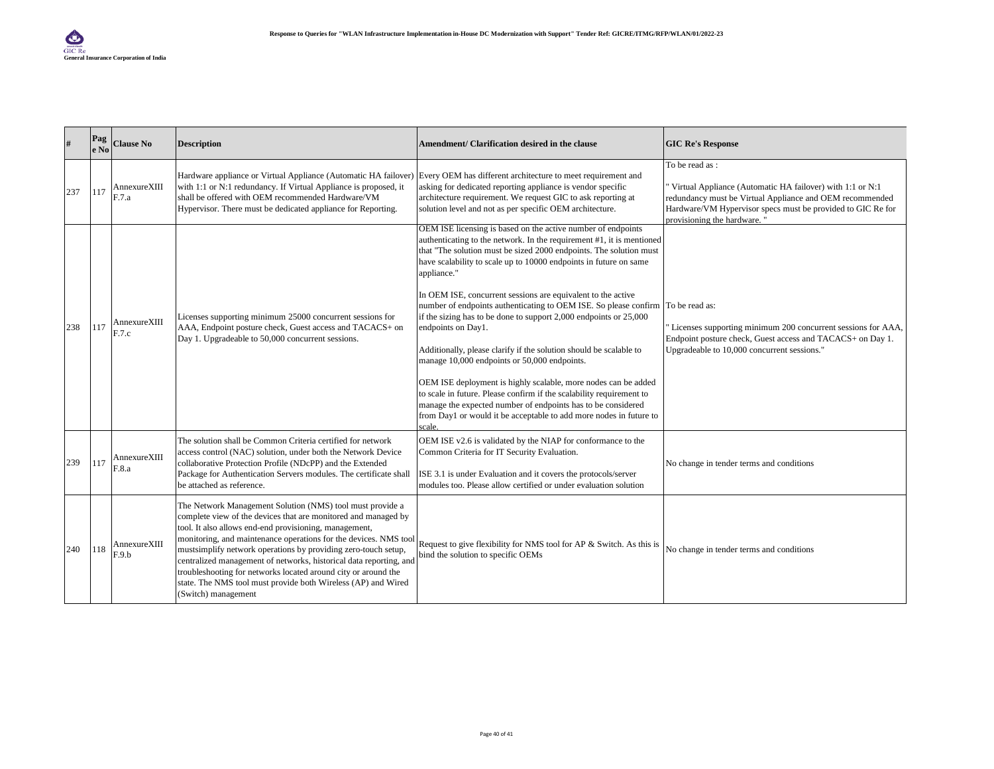| #   | Pag<br>e No | <b>Clause No</b>      | <b>Description</b>                                                                                                                                                                                                                                                                                                                                                                                                                                                                                                                                          | Amendment/ Clarification desired in the clause                                                                                                                                                                                                                                                                                                                                                                                                                                                                                                                                                                                                                                                                                                                                                                                                                                                                                                                    | <b>GIC Re's Response</b>                                                                                                                                                                                                              |
|-----|-------------|-----------------------|-------------------------------------------------------------------------------------------------------------------------------------------------------------------------------------------------------------------------------------------------------------------------------------------------------------------------------------------------------------------------------------------------------------------------------------------------------------------------------------------------------------------------------------------------------------|-------------------------------------------------------------------------------------------------------------------------------------------------------------------------------------------------------------------------------------------------------------------------------------------------------------------------------------------------------------------------------------------------------------------------------------------------------------------------------------------------------------------------------------------------------------------------------------------------------------------------------------------------------------------------------------------------------------------------------------------------------------------------------------------------------------------------------------------------------------------------------------------------------------------------------------------------------------------|---------------------------------------------------------------------------------------------------------------------------------------------------------------------------------------------------------------------------------------|
| 237 | 117         | AnnexureXIII<br>F.7.a | Hardware appliance or Virtual Appliance (Automatic HA failover) Every OEM has different architecture to meet requirement and<br>with 1:1 or N:1 redundancy. If Virtual Appliance is proposed, it<br>shall be offered with OEM recommended Hardware/VM<br>Hypervisor. There must be dedicated appliance for Reporting.                                                                                                                                                                                                                                       | asking for dedicated reporting appliance is vendor specific<br>architecture requirement. We request GIC to ask reporting at<br>solution level and not as per specific OEM architecture.                                                                                                                                                                                                                                                                                                                                                                                                                                                                                                                                                                                                                                                                                                                                                                           | To be read as:<br>Virtual Appliance (Automatic HA failover) with 1:1 or N:1<br>redundancy must be Virtual Appliance and OEM recommended<br>Hardware/VM Hypervisor specs must be provided to GIC Re for<br>provisioning the hardware." |
| 238 | 117         | AnnexureXIII<br>F.7.c | Licenses supporting minimum 25000 concurrent sessions for<br>AAA, Endpoint posture check, Guest access and TACACS+ on<br>Day 1. Upgradeable to 50,000 concurrent sessions.                                                                                                                                                                                                                                                                                                                                                                                  | OEM ISE licensing is based on the active number of endpoints<br>authenticating to the network. In the requirement #1, it is mentioned<br>that "The solution must be sized 2000 endpoints. The solution must<br>have scalability to scale up to 10000 endpoints in future on same<br>appliance."<br>In OEM ISE, concurrent sessions are equivalent to the active<br>number of endpoints authenticating to OEM ISE. So please confirm To be read as:<br>if the sizing has to be done to support $2,000$ endpoints or $25,000$<br>endpoints on Day1.<br>Additionally, please clarify if the solution should be scalable to<br>manage 10,000 endpoints or 50,000 endpoints.<br>OEM ISE deployment is highly scalable, more nodes can be added<br>to scale in future. Please confirm if the scalability requirement to<br>manage the expected number of endpoints has to be considered<br>from Day1 or would it be acceptable to add more nodes in future to<br>scale. | Licenses supporting minimum 200 concurrent sessions for AAA,<br>Endpoint posture check, Guest access and TACACS+ on Day 1.<br>Upgradeable to 10,000 concurrent sessions."                                                             |
| 239 | 117         | AnnexureXIII<br>F.8.a | The solution shall be Common Criteria certified for network<br>access control (NAC) solution, under both the Network Device<br>collaborative Protection Profile (NDcPP) and the Extended<br>Package for Authentication Servers modules. The certificate shall<br>be attached as reference.                                                                                                                                                                                                                                                                  | OEM ISE v2.6 is validated by the NIAP for conformance to the<br>Common Criteria for IT Security Evaluation.<br>ISE 3.1 is under Evaluation and it covers the protocols/server<br>modules too. Please allow certified or under evaluation solution                                                                                                                                                                                                                                                                                                                                                                                                                                                                                                                                                                                                                                                                                                                 | No change in tender terms and conditions                                                                                                                                                                                              |
| 240 | 118         | AnnexureXIII<br>F.9.b | The Network Management Solution (NMS) tool must provide a<br>complete view of the devices that are monitored and managed by<br>tool. It also allows end-end provisioning, management,<br>monitoring, and maintenance operations for the devices. NMS tool<br>mustsimplify network operations by providing zero-touch setup,<br>centralized management of networks, historical data reporting, and<br>troubleshooting for networks located around city or around the<br>state. The NMS tool must provide both Wireless (AP) and Wired<br>(Switch) management | Request to give flexibility for NMS tool for AP & Switch. As this is<br>bind the solution to specific OEMs                                                                                                                                                                                                                                                                                                                                                                                                                                                                                                                                                                                                                                                                                                                                                                                                                                                        | No change in tender terms and conditions                                                                                                                                                                                              |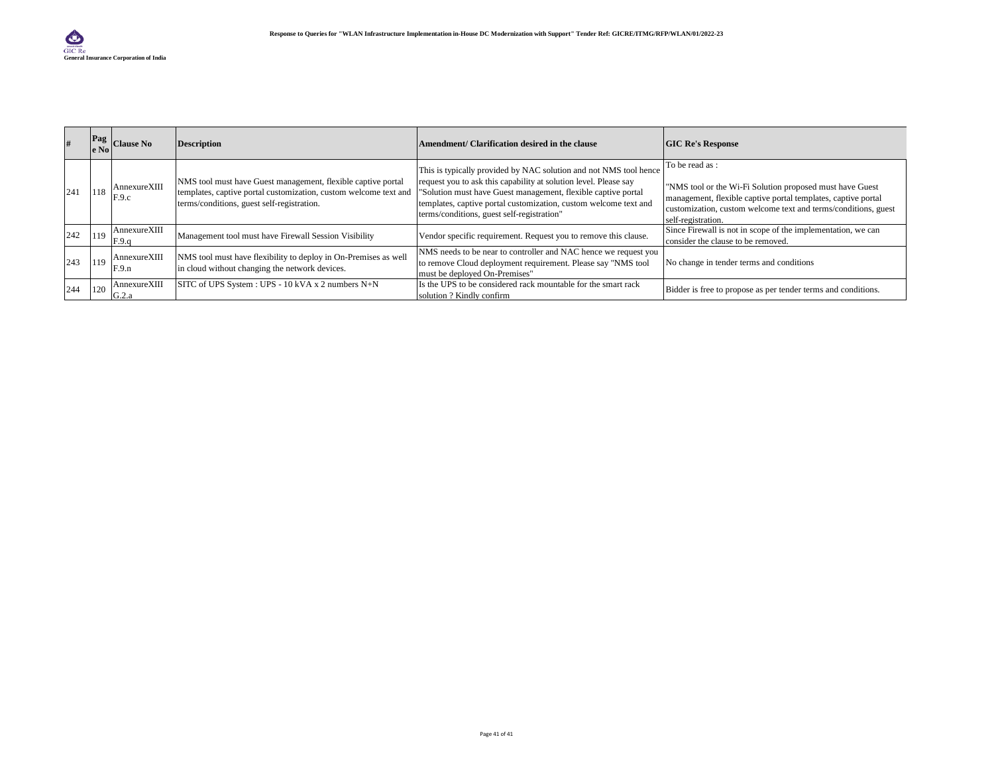|     |     | Pag Clause No         | <b>Description</b>                                                                                                                                                             | Amendment/ Clarification desired in the clause                                                                                                                                                                                                                                                                           | <b>GIC Re's Response</b>                                                                                                                                                                                                            |
|-----|-----|-----------------------|--------------------------------------------------------------------------------------------------------------------------------------------------------------------------------|--------------------------------------------------------------------------------------------------------------------------------------------------------------------------------------------------------------------------------------------------------------------------------------------------------------------------|-------------------------------------------------------------------------------------------------------------------------------------------------------------------------------------------------------------------------------------|
| 241 | 118 | AnnexureXIII<br>F.9.c | NMS tool must have Guest management, flexible captive portal<br>templates, captive portal customization, custom welcome text and<br>terms/conditions, guest self-registration. | This is typically provided by NAC solution and not NMS tool hence<br>request you to ask this capability at solution level. Please say<br>"Solution must have Guest management, flexible captive portal<br>templates, captive portal customization, custom welcome text and<br>terms/conditions, guest self-registration" | To be read as:<br>"NMS tool or the Wi-Fi Solution proposed must have Guest<br>management, flexible captive portal templates, captive portal<br>customization, custom welcome text and terms/conditions, guest<br>self-registration. |
| 242 | 119 | AnnexureXIII<br>F.9.g | Management tool must have Firewall Session Visibility                                                                                                                          | Vendor specific requirement. Request you to remove this clause.                                                                                                                                                                                                                                                          | Since Firewall is not in scope of the implementation, we can<br>consider the clause to be removed.                                                                                                                                  |
| 243 | 119 | AnnexureXIII<br>F.9.n | NMS tool must have flexibility to deploy in On-Premises as well<br>in cloud without changing the network devices.                                                              | NMS needs to be near to controller and NAC hence we request you<br>to remove Cloud deployment requirement. Please say "NMS tool<br>must be deployed On-Premises"                                                                                                                                                         | No change in tender terms and conditions                                                                                                                                                                                            |
| 244 | 120 | AnnexureXIII<br>G.2.a | SITC of UPS System : UPS - 10 kVA x 2 numbers N+N                                                                                                                              | Is the UPS to be considered rack mountable for the smart rack<br>solution ? Kindly confirm                                                                                                                                                                                                                               | Bidder is free to propose as per tender terms and conditions.                                                                                                                                                                       |